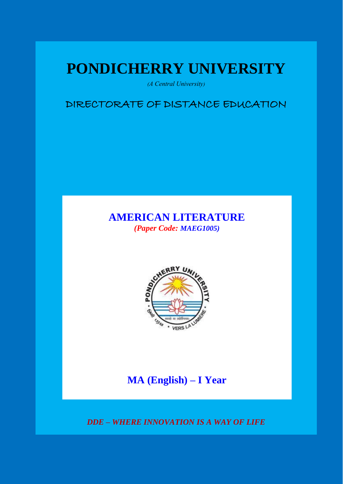# **PONDICHERRY UNIVERSITY**

*(A Central University)*

DIRECTORATE OF DISTANCE EDUCATION

# **AMERICAN LITERATURE** *(Paper Code: MAEG1005)*



# **MA (English) – I Year**

*DDE – WHERE INNOVATION IS A WAY OF LIFE*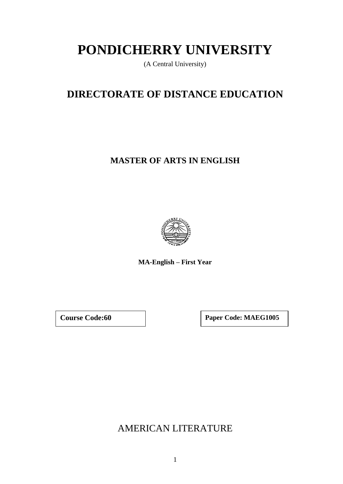# **PONDICHERRY UNIVERSITY**

(A Central University)

# **DIRECTORATE OF DISTANCE EDUCATION**

# **MASTER OF ARTS IN ENGLISH**



**MA-English – First Year**

**Course Code:60 Paper Code: MAEG1005**

AMERICAN LITERATURE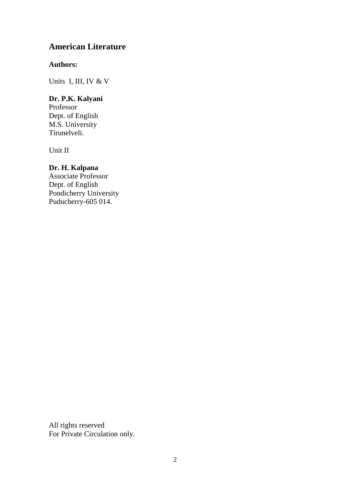# **American Literature**

# **Authors:**

Units I, III, IV & V

# **Dr. P.K. Kalyani**

Professor Dept. of English M.S. University Tirunelveli.

Unit II

# **Dr. H. Kalpana**

Associate Professor Dept. of English Pondicherry University Puducherry-605 014.

All rights reserved For Private Circulation only.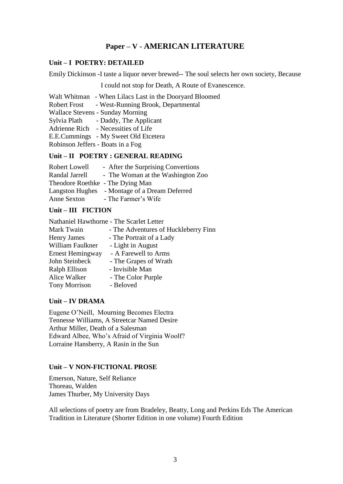# **Paper – V - AMERICAN LITERATURE**

# **Unit – I POETRY: DETAILED**

Emily Dickinson -I taste a liquor never brewed-- The soul selects her own society, Because

I could not stop for Death, A Route of Evanescence.

Walt Whitman - When Lilacs Last in the Dooryard Bloomed Robert Frost - West-Running Brook, Departmental Wallace Stevens - Sunday Morning

Sylvia Plath - Daddy, The Applicant

Adrienne Rich - Necessities of Life

E.E.Cummings - My Sweet Old Etcetera

Robinson Jeffers - Boats in a Fog

# **Unit – II POETRY : GENERAL READING**

| Robert Lowell                    | - After the Surprising Convertions            |
|----------------------------------|-----------------------------------------------|
| Randal Jarrell                   | - The Woman at the Washington Zoo             |
| Theodore Roethke - The Dying Man |                                               |
|                                  | Langston Hughes - Montage of a Dream Deferred |
| Anne Sexton                      | - The Farmer's Wife                           |

# **Unit – III FICTION**

Nathaniel Hawthorne - The Scarlet Letter Mark Twain - The Adventures of Huckleberry Finn<br>Henry James - The Portrait of a Ladv - The Portrait of a Lady William Faulkner - Light in August Ernest Hemingway - A Farewell to Arms John Steinbeck - The Grapes of Wrath Ralph Ellison - Invisible Man Alice Walker - The Color Purple Tony Morrison - Beloved

# **Unit – IV DRAMA**

Eugene O'Neill, Mourning Becomes Electra Tennesse Williams, A Streetcar Named Desire Arthur Miller, Death of a Salesman Edward Albee, Who's Afraid of Virginia Woolf? Lorraine Hansberry, A Rasin in the Sun

# **Unit – V NON-FICTIONAL PROSE**

Emerson, Nature, Self Reliance Thoreau, Walden James Thurber, My University Days

All selections of poetry are from Bradeley, Beatty, Long and Perkins Eds The American Tradition in Literature (Shorter Edition in one volume) Fourth Edition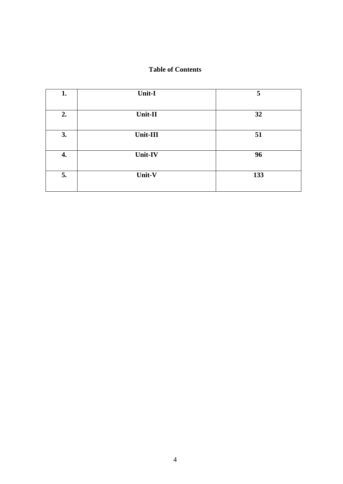# **Table of Contents**

| 1. | Unit-I   | 5   |
|----|----------|-----|
| 2. | Unit-II  | 32  |
| 3. | Unit-III | 51  |
| 4. | Unit-IV  | 96  |
| 5. | Unit-V   | 133 |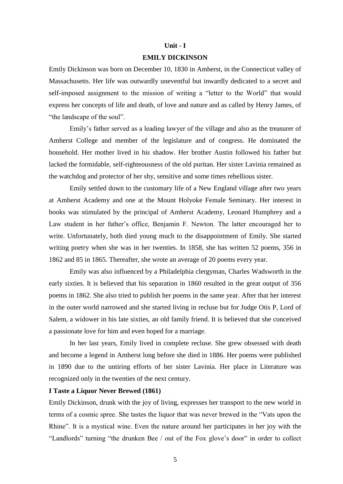#### **Unit - I**

#### **EMILY DICKINSON**

Emily Dickinson was born on December 10, 1830 in Amherst, in the Connecticut valley of Massachusetts. Her life was outwardly uneventful but inwardly dedicated to a secret and self-imposed assignment to the mission of writing a "letter to the World" that would express her concepts of life and death, of love and nature and as called by Henry James, of "the landscape of the soul".

Emily's father served as a leading lawyer of the village and also as the treasurer of Amherst College and member of the legislature and of congress. He dominated the household. Her mother lived in his shadow. Her brother Austin followed his father but lacked the formidable, self-righteousness of the old puritan. Her sister Lavinia remained as the watchdog and protector of her shy, sensitive and some times rebellious sister.

Emily settled down to the customary life of a New England village after two years at Amherst Academy and one at the Mount Holyoke Female Seminary. Her interest in books was stimulated by the principal of Amherst Academy, Leonard Humphrey and a Law student in her father's office, Benjamin F. Newton. The latter encouraged her to write. Unfortunately, both died young much to the disappointment of Emily. She started writing poetry when she was in her twenties. In 1858, she has written 52 poems, 356 in 1862 and 85 in 1865. Thereafter, she wrote an average of 20 poems every year.

Emily was also influenced by a Philadelphia clergyman, Charles Wadsworth in the early sixties. It is believed that his separation in 1860 resulted in the great output of 356 poems in 1862. She also tried to publish her poems in the same year. After that her interest in the outer world narrowed and she started living in recluse but for Judge Otis P, Lord of Salem, a widower in his late sixties, an old family friend. It is believed that she conceived a passionate love for him and even hoped for a marriage.

In her last years, Emily lived in complete recluse. She grew obsessed with death and become a legend in Amherst long before she died in 1886. Her poems were published in 1890 due to the untiring efforts of her sister Lavinia. Her place in Literature was recognized only in the twenties of the next century.

#### **I Taste a Liquor Never Brewed (1861)**

Emily Dickinson, drunk with the joy of living, expresses her transport to the new world in terms of a cosmic spree. She tastes the liquor that was never brewed in the "Vats upon the Rhine". It is a mystical wine. Even the nature around her participates in her joy with the "Landlords" turning "the drunken Bee / out of the Fox glove's door" in order to collect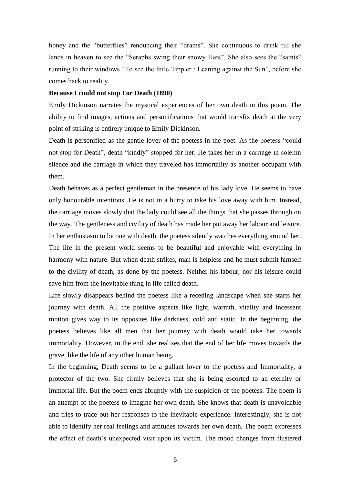honey and the "butterflies" renouncing their "drams". She continuous to drink till she lands in heaven to see the "Seraphs swing their snowy Hats". She also sees the "saints" running to their windows "To see the little Tippler / Leaning against the Sun", before she comes back to reality.

#### **Because I could not stop For Death (1890)**

Emily Dickinson narrates the mystical experiences of her own death in this poem. The ability to find images, actions and personifications that would transfix death at the very point of striking is entirely unique to Emily Dickinson.

Death is personified as the gentle lover of the poetess in the poet. As the poetess "could not stop for Death", death "kindly" stopped for her. He takes her in a carriage in solemn silence and the carriage in which they traveled has immortality as another occupant with them.

Death behaves as a perfect gentleman in the presence of his lady love. He seems to have only honourable intentions. He is not in a hurry to take his love away with him. Instead, the carriage moves slowly that the lady could see all the things that she passes through on the way. The gentleness and civility of death has made her put away her labour and leisure. In her enthusiasm to be one with death, the poetess silently watches everything around her. The life in the present world seems to be beautiful and enjoyable with everything in harmony with nature. But when death strikes, man is helpless and he must submit himself to the civility of death, as done by the poetess. Neither his labour, nor his leisure could save him from the inevitable thing in life called death.

Life slowly disappears behind the poetess like a receding landscape when she starts her journey with death. All the positive aspects like light, warmth, vitality and incessant motion gives way to its opposites like darkness, cold and static. In the beginning, the poetess believes like all men that her journey with death would take her towards immortality. However, in the end, she realizes that the end of her life moves towards the grave, like the life of any other human being.

In the beginning, Death seems to be a gallant lover to the poetess and Immortality, a protector of the two. She firmly believes that she is being escorted to an eternity or immortal life. But the poem ends abruptly with the suspicion of the poetess. The poem is an attempt of the poetess to imagine her own death. She knows that death is unavoidable and tries to trace out her responses to the inevitable experience. Interestingly, she is not able to identify her real feelings and attitudes towards her own death. The poem expresses the effect of death's unexpected visit upon its victim. The mood changes from flustered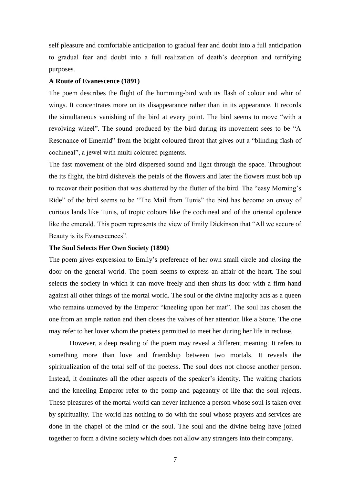self pleasure and comfortable anticipation to gradual fear and doubt into a full anticipation to gradual fear and doubt into a full realization of death's deception and terrifying purposes.

#### **A Route of Evanescence (1891)**

The poem describes the flight of the humming-bird with its flash of colour and whir of wings. It concentrates more on its disappearance rather than in its appearance. It records the simultaneous vanishing of the bird at every point. The bird seems to move "with a revolving wheel". The sound produced by the bird during its movement sees to be "A Resonance of Emerald" from the bright coloured throat that gives out a "blinding flash of cochineal", a jewel with multi coloured pigments.

The fast movement of the bird dispersed sound and light through the space. Throughout the its flight, the bird dishevels the petals of the flowers and later the flowers must bob up to recover their position that was shattered by the flutter of the bird. The "easy Morning's Ride" of the bird seems to be "The Mail from Tunis" the bird has become an envoy of curious lands like Tunis, of tropic colours like the cochineal and of the oriental opulence like the emerald. This poem represents the view of Emily Dickinson that "All we secure of Beauty is its Evanescences".

#### **The Soul Selects Her Own Society (1890)**

The poem gives expression to Emily's preference of her own small circle and closing the door on the general world. The poem seems to express an affair of the heart. The soul selects the society in which it can move freely and then shuts its door with a firm hand against all other things of the mortal world. The soul or the divine majority acts as a queen who remains unmoved by the Emperor "kneeling upon her mat". The soul has chosen the one from an ample nation and then closes the valves of her attention like a Stone. The one may refer to her lover whom the poetess permitted to meet her during her life in recluse.

However, a deep reading of the poem may reveal a different meaning. It refers to something more than love and friendship between two mortals. It reveals the spiritualization of the total self of the poetess. The soul does not choose another person. Instead, it dominates all the other aspects of the speaker's identity. The waiting chariots and the kneeling Emperor refer to the pomp and pageantry of life that the soul rejects. These pleasures of the mortal world can never influence a person whose soul is taken over by spirituality. The world has nothing to do with the soul whose prayers and services are done in the chapel of the mind or the soul. The soul and the divine being have joined together to form a divine society which does not allow any strangers into their company.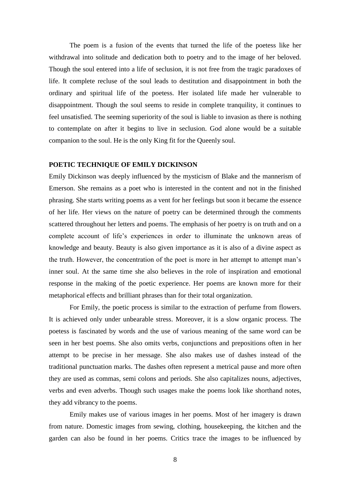The poem is a fusion of the events that turned the life of the poetess like her withdrawal into solitude and dedication both to poetry and to the image of her beloved. Though the soul entered into a life of seclusion, it is not free from the tragic paradoxes of life. It complete recluse of the soul leads to destitution and disappointment in both the ordinary and spiritual life of the poetess. Her isolated life made her vulnerable to disappointment. Though the soul seems to reside in complete tranquility, it continues to feel unsatisfied. The seeming superiority of the soul is liable to invasion as there is nothing to contemplate on after it begins to live in seclusion. God alone would be a suitable companion to the soul. He is the only King fit for the Queenly soul.

#### **POETIC TECHNIQUE OF EMILY DICKINSON**

Emily Dickinson was deeply influenced by the mysticism of Blake and the mannerism of Emerson. She remains as a poet who is interested in the content and not in the finished phrasing. She starts writing poems as a vent for her feelings but soon it became the essence of her life. Her views on the nature of poetry can be determined through the comments scattered throughout her letters and poems. The emphasis of her poetry is on truth and on a complete account of life's experiences in order to illuminate the unknown areas of knowledge and beauty. Beauty is also given importance as it is also of a divine aspect as the truth. However, the concentration of the poet is more in her attempt to attempt man's inner soul. At the same time she also believes in the role of inspiration and emotional response in the making of the poetic experience. Her poems are known more for their metaphorical effects and brilliant phrases than for their total organization.

For Emily, the poetic process is similar to the extraction of perfume from flowers. It is achieved only under unbearable stress. Moreover, it is a slow organic process. The poetess is fascinated by words and the use of various meaning of the same word can be seen in her best poems. She also omits verbs, conjunctions and prepositions often in her attempt to be precise in her message. She also makes use of dashes instead of the traditional punctuation marks. The dashes often represent a metrical pause and more often they are used as commas, semi colons and periods. She also capitalizes nouns, adjectives, verbs and even adverbs. Though such usages make the poems look like shorthand notes, they add vibrancy to the poems.

Emily makes use of various images in her poems. Most of her imagery is drawn from nature. Domestic images from sewing, clothing, housekeeping, the kitchen and the garden can also be found in her poems. Critics trace the images to be influenced by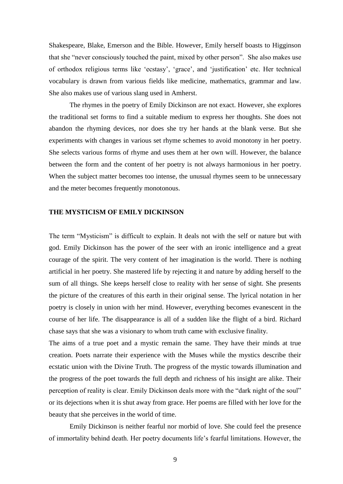Shakespeare, Blake, Emerson and the Bible. However, Emily herself boasts to Higginson that she "never consciously touched the paint, mixed by other person". She also makes use of orthodox religious terms like 'ecstasy', 'grace', and 'justification' etc. Her technical vocabulary is drawn from various fields like medicine, mathematics, grammar and law. She also makes use of various slang used in Amherst.

The rhymes in the poetry of Emily Dickinson are not exact. However, she explores the traditional set forms to find a suitable medium to express her thoughts. She does not abandon the rhyming devices, nor does she try her hands at the blank verse. But she experiments with changes in various set rhyme schemes to avoid monotony in her poetry. She selects various forms of rhyme and uses them at her own will. However, the balance between the form and the content of her poetry is not always harmonious in her poetry. When the subject matter becomes too intense, the unusual rhymes seem to be unnecessary and the meter becomes frequently monotonous.

#### **THE MYSTICISM OF EMILY DICKINSON**

The term "Mysticism" is difficult to explain. It deals not with the self or nature but with god. Emily Dickinson has the power of the seer with an ironic intelligence and a great courage of the spirit. The very content of her imagination is the world. There is nothing artificial in her poetry. She mastered life by rejecting it and nature by adding herself to the sum of all things. She keeps herself close to reality with her sense of sight. She presents the picture of the creatures of this earth in their original sense. The lyrical notation in her poetry is closely in union with her mind. However, everything becomes evanescent in the course of her life. The disappearance is all of a sudden like the flight of a bird. Richard chase says that she was a visionary to whom truth came with exclusive finality.

The aims of a true poet and a mystic remain the same. They have their minds at true creation. Poets narrate their experience with the Muses while the mystics describe their ecstatic union with the Divine Truth. The progress of the mystic towards illumination and the progress of the poet towards the full depth and richness of his insight are alike. Their perception of reality is clear. Emily Dickinson deals more with the "dark night of the soul" or its dejections when it is shut away from grace. Her poems are filled with her love for the beauty that she perceives in the world of time.

Emily Dickinson is neither fearful nor morbid of love. She could feel the presence of immortality behind death. Her poetry documents life's fearful limitations. However, the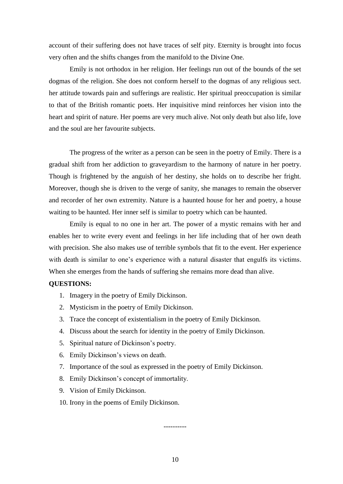account of their suffering does not have traces of self pity. Eternity is brought into focus very often and the shifts changes from the manifold to the Divine One.

Emily is not orthodox in her religion. Her feelings run out of the bounds of the set dogmas of the religion. She does not conform herself to the dogmas of any religious sect. her attitude towards pain and sufferings are realistic. Her spiritual preoccupation is similar to that of the British romantic poets. Her inquisitive mind reinforces her vision into the heart and spirit of nature. Her poems are very much alive. Not only death but also life, love and the soul are her favourite subjects.

The progress of the writer as a person can be seen in the poetry of Emily. There is a gradual shift from her addiction to graveyardism to the harmony of nature in her poetry. Though is frightened by the anguish of her destiny, she holds on to describe her fright. Moreover, though she is driven to the verge of sanity, she manages to remain the observer and recorder of her own extremity. Nature is a haunted house for her and poetry, a house waiting to be haunted. Her inner self is similar to poetry which can be haunted.

Emily is equal to no one in her art. The power of a mystic remains with her and enables her to write every event and feelings in her life including that of her own death with precision. She also makes use of terrible symbols that fit to the event. Her experience with death is similar to one's experience with a natural disaster that engulfs its victims. When she emerges from the hands of suffering she remains more dead than alive.

#### **QUESTIONS:**

- 1. Imagery in the poetry of Emily Dickinson.
- 2. Mysticism in the poetry of Emily Dickinson.
- 3. Trace the concept of existentialism in the poetry of Emily Dickinson.
- 4. Discuss about the search for identity in the poetry of Emily Dickinson.
- 5. Spiritual nature of Dickinson's poetry.
- 6. Emily Dickinson's views on death.
- 7. Importance of the soul as expressed in the poetry of Emily Dickinson.
- 8. Emily Dickinson's concept of immortality.
- 9. Vision of Emily Dickinson.
- 10. Irony in the poems of Emily Dickinson.

----------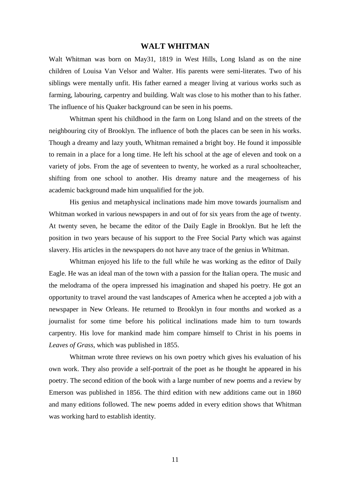#### **WALT WHITMAN**

Walt Whitman was born on May31, 1819 in West Hills, Long Island as on the nine children of Louisa Van Velsor and Walter. His parents were semi-literates. Two of his siblings were mentally unfit. His father earned a meager living at various works such as farming, labouring, carpentry and building. Walt was close to his mother than to his father. The influence of his Quaker background can be seen in his poems.

Whitman spent his childhood in the farm on Long Island and on the streets of the neighbouring city of Brooklyn. The influence of both the places can be seen in his works. Though a dreamy and lazy youth, Whitman remained a bright boy. He found it impossible to remain in a place for a long time. He left his school at the age of eleven and took on a variety of jobs. From the age of seventeen to twenty, he worked as a rural schoolteacher, shifting from one school to another. His dreamy nature and the meagerness of his academic background made him unqualified for the job.

His genius and metaphysical inclinations made him move towards journalism and Whitman worked in various newspapers in and out of for six years from the age of twenty. At twenty seven, he became the editor of the Daily Eagle in Brooklyn. But he left the position in two years because of his support to the Free Social Party which was against slavery. His articles in the newspapers do not have any trace of the genius in Whitman.

Whitman enjoyed his life to the full while he was working as the editor of Daily Eagle. He was an ideal man of the town with a passion for the Italian opera. The music and the melodrama of the opera impressed his imagination and shaped his poetry. He got an opportunity to travel around the vast landscapes of America when he accepted a job with a newspaper in New Orleans. He returned to Brooklyn in four months and worked as a journalist for some time before his political inclinations made him to turn towards carpentry. His love for mankind made him compare himself to Christ in his poems in *Leaves of Grass*, which was published in 1855.

Whitman wrote three reviews on his own poetry which gives his evaluation of his own work. They also provide a self-portrait of the poet as he thought he appeared in his poetry. The second edition of the book with a large number of new poems and a review by Emerson was published in 1856. The third edition with new additions came out in 1860 and many editions followed. The new poems added in every edition shows that Whitman was working hard to establish identity.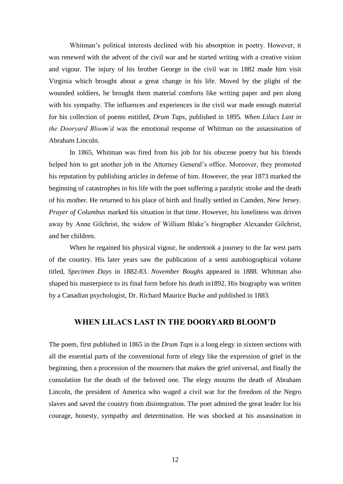Whitman's political interests declined with his absorption in poetry. However, it was renewed with the advent of the civil war and he started writing with a creative vision and vigour. The injury of his brother George in the civil war in 1882 made him visit Virginia which brought about a great change in his life. Moved by the plight of the wounded soldiers, he brought them material comforts like writing paper and pen along with his sympathy. The influences and experiences in the civil war made enough material for his collection of poems entitled, *Drum Taps*, published in 1895. *When Lilacs Last in the Dooryard Bloom'd* was the emotional response of Whitman on the assassination of Abraham Lincoln.

In 1865, Whitman was fired from his job for his obscene poetry but his friends helped him to get another job in the Attorney General's office. Moreover, they promoted his reputation by publishing articles in defense of him. However, the year 1873 marked the beginning of catastrophes in his life with the poet suffering a paralytic stroke and the death of his mother. He returned to his place of birth and finally settled in Camden, New Jersey. *Prayer of Columbus* marked his situation in that time. However, his loneliness was driven away by Anne Gilchrist, the widow of William Blake's biographer Alexander Gilchrist, and her children.

When he regained his physical vigour, he undertook a journey to the far west parts of the country. His later years saw the publication of a semi autobiographical volume titled, *Specimen Days* in 1882-83. *November Boughs* appeared in 1888. Whitman also shaped his masterpiece to its final form before his death in1892. His biography was written by a Canadian psychologist, Dr. Richard Maurice Bucke and published in 1883.

## **WHEN LILACS LAST IN THE DOORYARD BLOOM'D**

The poem, first published in 1865 in the *Drum Taps* is a long elegy in sixteen sections with all the essential parts of the conventional form of elegy like the expression of grief in the beginning, then a procession of the mourners that makes the grief universal, and finally the consolation for the death of the beloved one. The elegy mourns the death of Abraham Lincoln, the president of America who waged a civil war for the freedom of the Negro slaves and saved the country from disintegration. The poet admired the great leader for his courage, honesty, sympathy and determination. He was shocked at his assassination in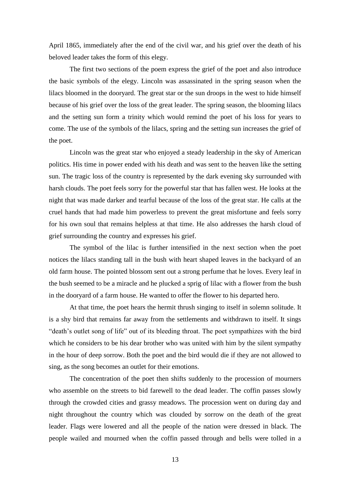April 1865, immediately after the end of the civil war, and his grief over the death of his beloved leader takes the form of this elegy.

The first two sections of the poem express the grief of the poet and also introduce the basic symbols of the elegy. Lincoln was assassinated in the spring season when the lilacs bloomed in the dooryard. The great star or the sun droops in the west to hide himself because of his grief over the loss of the great leader. The spring season, the blooming lilacs and the setting sun form a trinity which would remind the poet of his loss for years to come. The use of the symbols of the lilacs, spring and the setting sun increases the grief of the poet.

Lincoln was the great star who enjoyed a steady leadership in the sky of American politics. His time in power ended with his death and was sent to the heaven like the setting sun. The tragic loss of the country is represented by the dark evening sky surrounded with harsh clouds. The poet feels sorry for the powerful star that has fallen west. He looks at the night that was made darker and tearful because of the loss of the great star. He calls at the cruel hands that had made him powerless to prevent the great misfortune and feels sorry for his own soul that remains helpless at that time. He also addresses the harsh cloud of grief surrounding the country and expresses his grief.

The symbol of the lilac is further intensified in the next section when the poet notices the lilacs standing tall in the bush with heart shaped leaves in the backyard of an old farm house. The pointed blossom sent out a strong perfume that he loves. Every leaf in the bush seemed to be a miracle and he plucked a sprig of lilac with a flower from the bush in the dooryard of a farm house. He wanted to offer the flower to his departed hero.

At that time, the poet hears the hermit thrush singing to itself in solemn solitude. It is a shy bird that remains far away from the settlements and withdrawn to itself. It sings "death's outlet song of life" out of its bleeding throat. The poet sympathizes with the bird which he considers to be his dear brother who was united with him by the silent sympathy in the hour of deep sorrow. Both the poet and the bird would die if they are not allowed to sing, as the song becomes an outlet for their emotions.

The concentration of the poet then shifts suddenly to the procession of mourners who assemble on the streets to bid farewell to the dead leader. The coffin passes slowly through the crowded cities and grassy meadows. The procession went on during day and night throughout the country which was clouded by sorrow on the death of the great leader. Flags were lowered and all the people of the nation were dressed in black. The people wailed and mourned when the coffin passed through and bells were tolled in a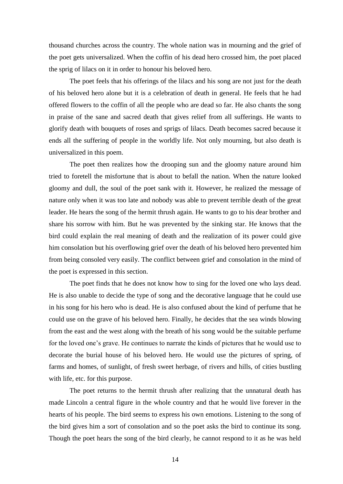thousand churches across the country. The whole nation was in mourning and the grief of the poet gets universalized. When the coffin of his dead hero crossed him, the poet placed the sprig of lilacs on it in order to honour his beloved hero.

The poet feels that his offerings of the lilacs and his song are not just for the death of his beloved hero alone but it is a celebration of death in general. He feels that he had offered flowers to the coffin of all the people who are dead so far. He also chants the song in praise of the sane and sacred death that gives relief from all sufferings. He wants to glorify death with bouquets of roses and sprigs of lilacs. Death becomes sacred because it ends all the suffering of people in the worldly life. Not only mourning, but also death is universalized in this poem.

The poet then realizes how the drooping sun and the gloomy nature around him tried to foretell the misfortune that is about to befall the nation. When the nature looked gloomy and dull, the soul of the poet sank with it. However, he realized the message of nature only when it was too late and nobody was able to prevent terrible death of the great leader. He hears the song of the hermit thrush again. He wants to go to his dear brother and share his sorrow with him. But he was prevented by the sinking star. He knows that the bird could explain the real meaning of death and the realization of its power could give him consolation but his overflowing grief over the death of his beloved hero prevented him from being consoled very easily. The conflict between grief and consolation in the mind of the poet is expressed in this section.

The poet finds that he does not know how to sing for the loved one who lays dead. He is also unable to decide the type of song and the decorative language that he could use in his song for his hero who is dead. He is also confused about the kind of perfume that he could use on the grave of his beloved hero. Finally, he decides that the sea winds blowing from the east and the west along with the breath of his song would be the suitable perfume for the loved one's grave. He continues to narrate the kinds of pictures that he would use to decorate the burial house of his beloved hero. He would use the pictures of spring, of farms and homes, of sunlight, of fresh sweet herbage, of rivers and hills, of cities bustling with life, etc. for this purpose.

The poet returns to the hermit thrush after realizing that the unnatural death has made Lincoln a central figure in the whole country and that he would live forever in the hearts of his people. The bird seems to express his own emotions. Listening to the song of the bird gives him a sort of consolation and so the poet asks the bird to continue its song. Though the poet hears the song of the bird clearly, he cannot respond to it as he was held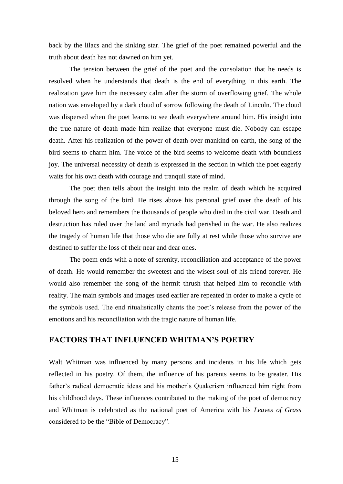back by the lilacs and the sinking star. The grief of the poet remained powerful and the truth about death has not dawned on him yet.

The tension between the grief of the poet and the consolation that he needs is resolved when he understands that death is the end of everything in this earth. The realization gave him the necessary calm after the storm of overflowing grief. The whole nation was enveloped by a dark cloud of sorrow following the death of Lincoln. The cloud was dispersed when the poet learns to see death everywhere around him. His insight into the true nature of death made him realize that everyone must die. Nobody can escape death. After his realization of the power of death over mankind on earth, the song of the bird seems to charm him. The voice of the bird seems to welcome death with boundless joy. The universal necessity of death is expressed in the section in which the poet eagerly waits for his own death with courage and tranquil state of mind.

The poet then tells about the insight into the realm of death which he acquired through the song of the bird. He rises above his personal grief over the death of his beloved hero and remembers the thousands of people who died in the civil war. Death and destruction has ruled over the land and myriads had perished in the war. He also realizes the tragedy of human life that those who die are fully at rest while those who survive are destined to suffer the loss of their near and dear ones.

The poem ends with a note of serenity, reconciliation and acceptance of the power of death. He would remember the sweetest and the wisest soul of his friend forever. He would also remember the song of the hermit thrush that helped him to reconcile with reality. The main symbols and images used earlier are repeated in order to make a cycle of the symbols used. The end ritualistically chants the poet's release from the power of the emotions and his reconciliation with the tragic nature of human life.

## **FACTORS THAT INFLUENCED WHITMAN'S POETRY**

Walt Whitman was influenced by many persons and incidents in his life which gets reflected in his poetry. Of them, the influence of his parents seems to be greater. His father's radical democratic ideas and his mother's Quakerism influenced him right from his childhood days. These influences contributed to the making of the poet of democracy and Whitman is celebrated as the national poet of America with his *Leaves of Grass* considered to be the "Bible of Democracy".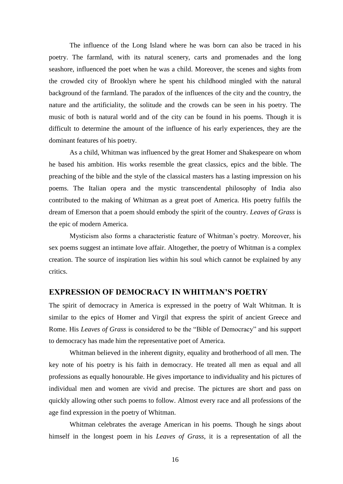The influence of the Long Island where he was born can also be traced in his poetry. The farmland, with its natural scenery, carts and promenades and the long seashore, influenced the poet when he was a child. Moreover, the scenes and sights from the crowded city of Brooklyn where he spent his childhood mingled with the natural background of the farmland. The paradox of the influences of the city and the country, the nature and the artificiality, the solitude and the crowds can be seen in his poetry. The music of both is natural world and of the city can be found in his poems. Though it is difficult to determine the amount of the influence of his early experiences, they are the dominant features of his poetry.

As a child, Whitman was influenced by the great Homer and Shakespeare on whom he based his ambition. His works resemble the great classics, epics and the bible. The preaching of the bible and the style of the classical masters has a lasting impression on his poems. The Italian opera and the mystic transcendental philosophy of India also contributed to the making of Whitman as a great poet of America. His poetry fulfils the dream of Emerson that a poem should embody the spirit of the country. *Leaves of Grass* is the epic of modern America.

Mysticism also forms a characteristic feature of Whitman's poetry. Moreover, his sex poems suggest an intimate love affair. Altogether, the poetry of Whitman is a complex creation. The source of inspiration lies within his soul which cannot be explained by any critics.

### **EXPRESSION OF DEMOCRACY IN WHITMAN'S POETRY**

The spirit of democracy in America is expressed in the poetry of Walt Whitman. It is similar to the epics of Homer and Virgil that express the spirit of ancient Greece and Rome. His *Leaves of Grass* is considered to be the "Bible of Democracy" and his support to democracy has made him the representative poet of America.

Whitman believed in the inherent dignity, equality and brotherhood of all men. The key note of his poetry is his faith in democracy. He treated all men as equal and all professions as equally honourable. He gives importance to individuality and his pictures of individual men and women are vivid and precise. The pictures are short and pass on quickly allowing other such poems to follow. Almost every race and all professions of the age find expression in the poetry of Whitman.

Whitman celebrates the average American in his poems. Though he sings about himself in the longest poem in his *Leaves of Grass*, it is a representation of all the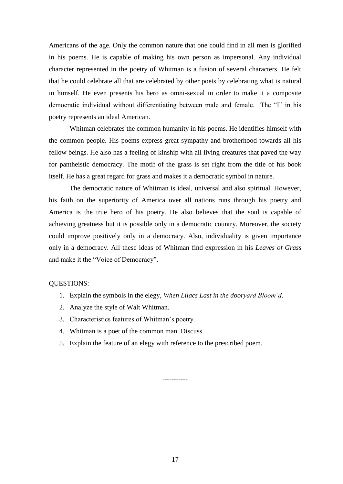Americans of the age. Only the common nature that one could find in all men is glorified in his poems. He is capable of making his own person as impersonal. Any individual character represented in the poetry of Whitman is a fusion of several characters. He felt that he could celebrate all that are celebrated by other poets by celebrating what is natural in himself. He even presents his hero as omni-sexual in order to make it a composite democratic individual without differentiating between male and female. The "I" in his poetry represents an ideal American.

Whitman celebrates the common humanity in his poems. He identifies himself with the common people. His poems express great sympathy and brotherhood towards all his fellow beings. He also has a feeling of kinship with all living creatures that paved the way for pantheistic democracy. The motif of the grass is set right from the title of his book itself. He has a great regard for grass and makes it a democratic symbol in nature.

The democratic nature of Whitman is ideal, universal and also spiritual. However, his faith on the superiority of America over all nations runs through his poetry and America is the true hero of his poetry. He also believes that the soul is capable of achieving greatness but it is possible only in a democratic country. Moreover, the society could improve positively only in a democracy. Also, individuality is given importance only in a democracy. All these ideas of Whitman find expression in his *Leaves of Grass* and make it the "Voice of Democracy".

#### QUESTIONS:

- 1. Explain the symbols in the elegy, *When Lilacs Last in the dooryard Bloom'd*.
- 2. Analyze the style of Walt Whitman.
- 3. Characteristics features of Whitman's poetry.
- 4. Whitman is a poet of the common man. Discuss.
- 5. Explain the feature of an elegy with reference to the prescribed poem.

-----------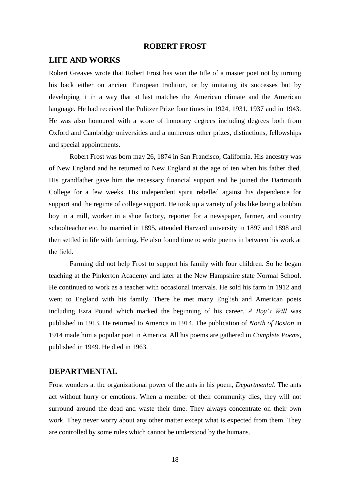#### **ROBERT FROST**

#### **LIFE AND WORKS**

Robert Greaves wrote that Robert Frost has won the title of a master poet not by turning his back either on ancient European tradition, or by imitating its successes but by developing it in a way that at last matches the American climate and the American language. He had received the Pulitzer Prize four times in 1924, 1931, 1937 and in 1943. He was also honoured with a score of honorary degrees including degrees both from Oxford and Cambridge universities and a numerous other prizes, distinctions, fellowships and special appointments.

Robert Frost was born may 26, 1874 in San Francisco, California. His ancestry was of New England and he returned to New England at the age of ten when his father died. His grandfather gave him the necessary financial support and he joined the Dartmouth College for a few weeks. His independent spirit rebelled against his dependence for support and the regime of college support. He took up a variety of jobs like being a bobbin boy in a mill, worker in a shoe factory, reporter for a newspaper, farmer, and country schoolteacher etc. he married in 1895, attended Harvard university in 1897 and 1898 and then settled in life with farming. He also found time to write poems in between his work at the field.

Farming did not help Frost to support his family with four children. So he began teaching at the Pinkerton Academy and later at the New Hampshire state Normal School. He continued to work as a teacher with occasional intervals. He sold his farm in 1912 and went to England with his family. There he met many English and American poets including Ezra Pound which marked the beginning of his career. *A Boy's Will* was published in 1913. He returned to America in 1914. The publication of *North of Boston* in 1914 made him a popular poet in America. All his poems are gathered in *Complete Poems*, published in 1949. He died in 1963.

## **DEPARTMENTAL**

Frost wonders at the organizational power of the ants in his poem, *Departmental*. The ants act without hurry or emotions. When a member of their community dies, they will not surround around the dead and waste their time. They always concentrate on their own work. They never worry about any other matter except what is expected from them. They are controlled by some rules which cannot be understood by the humans.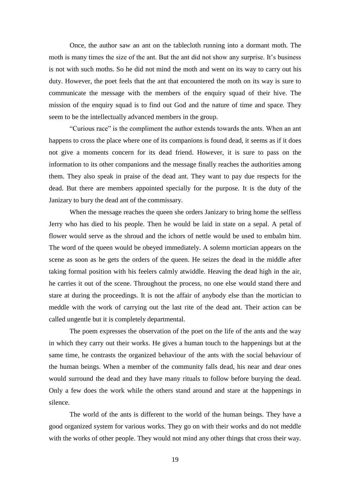Once, the author saw an ant on the tablecloth running into a dormant moth. The moth is many times the size of the ant. But the ant did not show any surprise. It's business is not with such moths. So he did not mind the moth and went on its way to carry out his duty. However, the poet feels that the ant that encountered the moth on its way is sure to communicate the message with the members of the enquiry squad of their hive. The mission of the enquiry squad is to find out God and the nature of time and space. They seem to be the intellectually advanced members in the group.

"Curious race" is the compliment the author extends towards the ants. When an ant happens to cross the place where one of its companions is found dead, it seems as if it does not give a moments concern for its dead friend. However, it is sure to pass on the information to its other companions and the message finally reaches the authorities among them. They also speak in praise of the dead ant. They want to pay due respects for the dead. But there are members appointed specially for the purpose. It is the duty of the Janizary to bury the dead ant of the commissary.

When the message reaches the queen she orders Janizary to bring home the selfless Jerry who has died to his people. Then he would be laid in state on a sepal. A petal of flower would serve as the shroud and the ichors of nettle would be used to embalm him. The word of the queen would be obeyed immediately. A solemn mortician appears on the scene as soon as he gets the orders of the queen. He seizes the dead in the middle after taking formal position with his feelers calmly atwiddle. Heaving the dead high in the air, he carries it out of the scene. Throughout the process, no one else would stand there and stare at during the proceedings. It is not the affair of anybody else than the mortician to meddle with the work of carrying out the last rite of the dead ant. Their action can be called ungentle but it is completely departmental.

The poem expresses the observation of the poet on the life of the ants and the way in which they carry out their works. He gives a human touch to the happenings but at the same time, he contrasts the organized behaviour of the ants with the social behaviour of the human beings. When a member of the community falls dead, his near and dear ones would surround the dead and they have many rituals to follow before burying the dead. Only a few does the work while the others stand around and stare at the happenings in silence.

The world of the ants is different to the world of the human beings. They have a good organized system for various works. They go on with their works and do not meddle with the works of other people. They would not mind any other things that cross their way.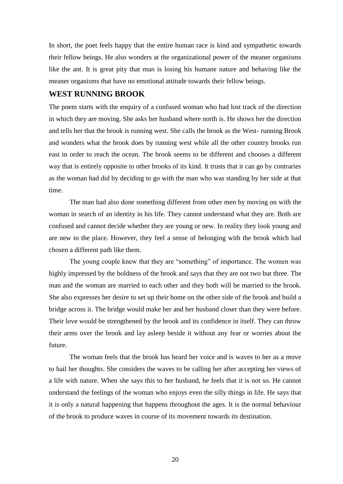In short, the poet feels happy that the entire human race is kind and sympathetic towards their fellow beings. He also wonders at the organizational power of the meaner organisms like the ant. It is great pity that man is losing his humane nature and behaving like the meaner organisms that have no emotional attitude towards their fellow beings.

# **WEST RUNNING BROOK**

The poem starts with the enquiry of a confused woman who had lost track of the direction in which they are moving. She asks her husband where north is. He shows her the direction and tells her that the brook is running west. She calls the brook as the West- running Brook and wonders what the brook does by running west while all the other country brooks run east in order to reach the ocean. The brook seems to be different and chooses a different way that is entirely opposite to other brooks of its kind. It trusts that it can go by contraries as the woman had did by deciding to go with the man who was standing by her side at that time.

The man had also done something different from other men by moving on with the woman in search of an identity in his life. They cannot understand what they are. Both are confused and cannot decide whether they are young or new. In reality they look young and are new to the place. However, they feel a sense of belonging with the brook which had chosen a different path like them.

The young couple knew that they are "something" of importance. The women was highly impressed by the boldness of the brook and says that they are not two but three. The man and the woman are married to each other and they both will be married to the brook. She also expresses her desire to set up their home on the other side of the brook and build a bridge across it. The bridge would make her and her husband closer than they were before. Their love would be strengthened by the brook and its confidence in itself. They can throw their arms over the brook and lay asleep beside it without any fear or worries about the future.

The woman feels that the brook has heard her voice and is waves to her as a move to hail her thoughts. She considers the waves to be calling her after accepting her views of a life with nature. When she says this to her husband, he feels that it is not so. He cannot understand the feelings of the woman who enjoys even the silly things in life. He says that it is only a natural happening that happens throughout the ages. It is the normal behaviour of the brook to produce waves in course of its movement towards its destination.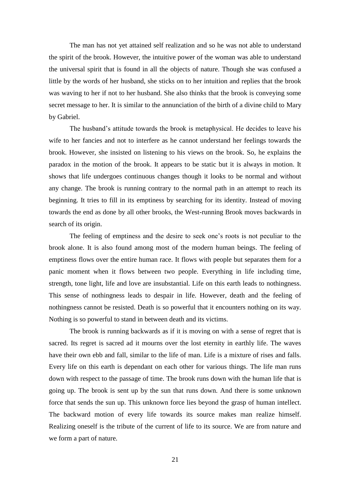The man has not yet attained self realization and so he was not able to understand the spirit of the brook. However, the intuitive power of the woman was able to understand the universal spirit that is found in all the objects of nature. Though she was confused a little by the words of her husband, she sticks on to her intuition and replies that the brook was waving to her if not to her husband. She also thinks that the brook is conveying some secret message to her. It is similar to the annunciation of the birth of a divine child to Mary by Gabriel.

The husband's attitude towards the brook is metaphysical. He decides to leave his wife to her fancies and not to interfere as he cannot understand her feelings towards the brook. However, she insisted on listening to his views on the brook. So, he explains the paradox in the motion of the brook. It appears to be static but it is always in motion. It shows that life undergoes continuous changes though it looks to be normal and without any change. The brook is running contrary to the normal path in an attempt to reach its beginning. It tries to fill in its emptiness by searching for its identity. Instead of moving towards the end as done by all other brooks, the West-running Brook moves backwards in search of its origin.

The feeling of emptiness and the desire to seek one's roots is not peculiar to the brook alone. It is also found among most of the modern human beings. The feeling of emptiness flows over the entire human race. It flows with people but separates them for a panic moment when it flows between two people. Everything in life including time, strength, tone light, life and love are insubstantial. Life on this earth leads to nothingness. This sense of nothingness leads to despair in life. However, death and the feeling of nothingness cannot be resisted. Death is so powerful that it encounters nothing on its way. Nothing is so powerful to stand in between death and its victims.

The brook is running backwards as if it is moving on with a sense of regret that is sacred. Its regret is sacred ad it mourns over the lost eternity in earthly life. The waves have their own ebb and fall, similar to the life of man. Life is a mixture of rises and falls. Every life on this earth is dependant on each other for various things. The life man runs down with respect to the passage of time. The brook runs down with the human life that is going up. The brook is sent up by the sun that runs down. And there is some unknown force that sends the sun up. This unknown force lies beyond the grasp of human intellect. The backward motion of every life towards its source makes man realize himself. Realizing oneself is the tribute of the current of life to its source. We are from nature and we form a part of nature.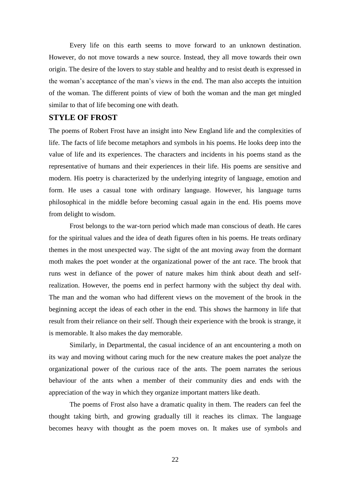Every life on this earth seems to move forward to an unknown destination. However, do not move towards a new source. Instead, they all move towards their own origin. The desire of the lovers to stay stable and healthy and to resist death is expressed in the woman's acceptance of the man's views in the end. The man also accepts the intuition of the woman. The different points of view of both the woman and the man get mingled similar to that of life becoming one with death.

## **STYLE OF FROST**

The poems of Robert Frost have an insight into New England life and the complexities of life. The facts of life become metaphors and symbols in his poems. He looks deep into the value of life and its experiences. The characters and incidents in his poems stand as the representative of humans and their experiences in their life. His poems are sensitive and modern. His poetry is characterized by the underlying integrity of language, emotion and form. He uses a casual tone with ordinary language. However, his language turns philosophical in the middle before becoming casual again in the end. His poems move from delight to wisdom.

Frost belongs to the war-torn period which made man conscious of death. He cares for the spiritual values and the idea of death figures often in his poems. He treats ordinary themes in the most unexpected way. The sight of the ant moving away from the dormant moth makes the poet wonder at the organizational power of the ant race. The brook that runs west in defiance of the power of nature makes him think about death and selfrealization. However, the poems end in perfect harmony with the subject thy deal with. The man and the woman who had different views on the movement of the brook in the beginning accept the ideas of each other in the end. This shows the harmony in life that result from their reliance on their self. Though their experience with the brook is strange, it is memorable. It also makes the day memorable.

Similarly, in Departmental, the casual incidence of an ant encountering a moth on its way and moving without caring much for the new creature makes the poet analyze the organizational power of the curious race of the ants. The poem narrates the serious behaviour of the ants when a member of their community dies and ends with the appreciation of the way in which they organize important matters like death.

The poems of Frost also have a dramatic quality in them. The readers can feel the thought taking birth, and growing gradually till it reaches its climax. The language becomes heavy with thought as the poem moves on. It makes use of symbols and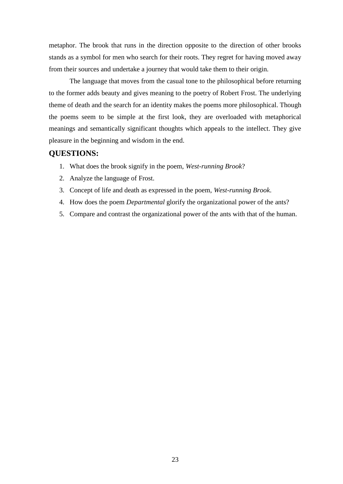metaphor. The brook that runs in the direction opposite to the direction of other brooks stands as a symbol for men who search for their roots. They regret for having moved away from their sources and undertake a journey that would take them to their origin.

The language that moves from the casual tone to the philosophical before returning to the former adds beauty and gives meaning to the poetry of Robert Frost. The underlying theme of death and the search for an identity makes the poems more philosophical. Though the poems seem to be simple at the first look, they are overloaded with metaphorical meanings and semantically significant thoughts which appeals to the intellect. They give pleasure in the beginning and wisdom in the end.

## **QUESTIONS:**

- 1. What does the brook signify in the poem, *West-running Brook*?
- 2. Analyze the language of Frost.
- 3. Concept of life and death as expressed in the poem, *West-running Brook*.
- 4. How does the poem *Departmental* glorify the organizational power of the ants?
- 5. Compare and contrast the organizational power of the ants with that of the human.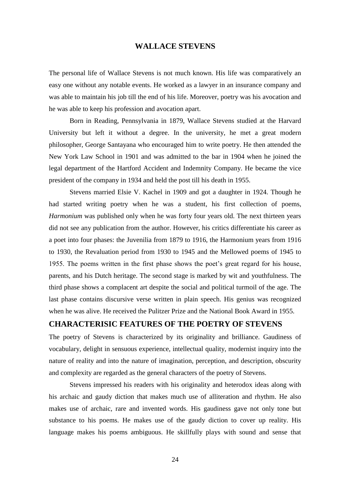### **WALLACE STEVENS**

The personal life of Wallace Stevens is not much known. His life was comparatively an easy one without any notable events. He worked as a lawyer in an insurance company and was able to maintain his job till the end of his life. Moreover, poetry was his avocation and he was able to keep his profession and avocation apart.

Born in Reading, Pennsylvania in 1879, Wallace Stevens studied at the Harvard University but left it without a degree. In the university, he met a great modern philosopher, George Santayana who encouraged him to write poetry. He then attended the New York Law School in 1901 and was admitted to the bar in 1904 when he joined the legal department of the Hartford Accident and Indemnity Company. He became the vice president of the company in 1934 and held the post till his death in 1955.

Stevens married Elsie V. Kachel in 1909 and got a daughter in 1924. Though he had started writing poetry when he was a student, his first collection of poems, *Harmonium* was published only when he was forty four years old. The next thirteen years did not see any publication from the author. However, his critics differentiate his career as a poet into four phases: the Juvenilia from 1879 to 1916, the Harmonium years from 1916 to 1930, the Revaluation period from 1930 to 1945 and the Mellowed poems of 1945 to 1955. The poems written in the first phase shows the poet's great regard for his house, parents, and his Dutch heritage. The second stage is marked by wit and youthfulness. The third phase shows a complacent art despite the social and political turmoil of the age. The last phase contains discursive verse written in plain speech. His genius was recognized when he was alive. He received the Pulitzer Prize and the National Book Award in 1955.

# **CHARACTERISIC FEATURES OF THE POETRY OF STEVENS**

The poetry of Stevens is characterized by its originality and brilliance. Gaudiness of vocabulary, delight in sensuous experience, intellectual quality, modernist inquiry into the nature of reality and into the nature of imagination, perception, and description, obscurity and complexity are regarded as the general characters of the poetry of Stevens.

Stevens impressed his readers with his originality and heterodox ideas along with his archaic and gaudy diction that makes much use of alliteration and rhythm. He also makes use of archaic, rare and invented words. His gaudiness gave not only tone but substance to his poems. He makes use of the gaudy diction to cover up reality. His language makes his poems ambiguous. He skillfully plays with sound and sense that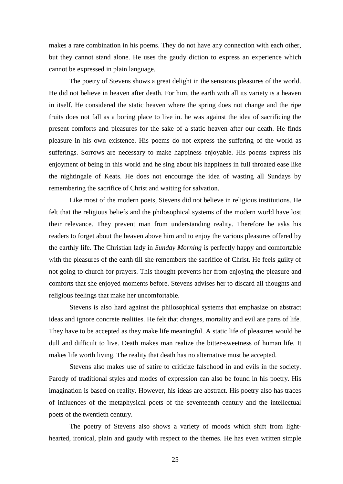makes a rare combination in his poems. They do not have any connection with each other, but they cannot stand alone. He uses the gaudy diction to express an experience which cannot be expressed in plain language.

The poetry of Stevens shows a great delight in the sensuous pleasures of the world. He did not believe in heaven after death. For him, the earth with all its variety is a heaven in itself. He considered the static heaven where the spring does not change and the ripe fruits does not fall as a boring place to live in. he was against the idea of sacrificing the present comforts and pleasures for the sake of a static heaven after our death. He finds pleasure in his own existence. His poems do not express the suffering of the world as sufferings. Sorrows are necessary to make happiness enjoyable. His poems express his enjoyment of being in this world and he sing about his happiness in full throated ease like the nightingale of Keats. He does not encourage the idea of wasting all Sundays by remembering the sacrifice of Christ and waiting for salvation.

Like most of the modern poets, Stevens did not believe in religious institutions. He felt that the religious beliefs and the philosophical systems of the modern world have lost their relevance. They prevent man from understanding reality. Therefore he asks his readers to forget about the heaven above him and to enjoy the various pleasures offered by the earthly life. The Christian lady in *Sunday Morning* is perfectly happy and comfortable with the pleasures of the earth till she remembers the sacrifice of Christ. He feels guilty of not going to church for prayers. This thought prevents her from enjoying the pleasure and comforts that she enjoyed moments before. Stevens advises her to discard all thoughts and religious feelings that make her uncomfortable.

Stevens is also hard against the philosophical systems that emphasize on abstract ideas and ignore concrete realities. He felt that changes, mortality and evil are parts of life. They have to be accepted as they make life meaningful. A static life of pleasures would be dull and difficult to live. Death makes man realize the bitter-sweetness of human life. It makes life worth living. The reality that death has no alternative must be accepted.

Stevens also makes use of satire to criticize falsehood in and evils in the society. Parody of traditional styles and modes of expression can also be found in his poetry. His imagination is based on reality. However, his ideas are abstract. His poetry also has traces of influences of the metaphysical poets of the seventeenth century and the intellectual poets of the twentieth century.

The poetry of Stevens also shows a variety of moods which shift from lighthearted, ironical, plain and gaudy with respect to the themes. He has even written simple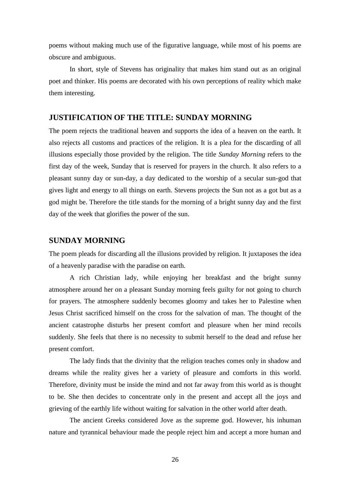poems without making much use of the figurative language, while most of his poems are obscure and ambiguous.

In short, style of Stevens has originality that makes him stand out as an original poet and thinker. His poems are decorated with his own perceptions of reality which make them interesting.

## **JUSTIFICATION OF THE TITLE: SUNDAY MORNING**

The poem rejects the traditional heaven and supports the idea of a heaven on the earth. It also rejects all customs and practices of the religion. It is a plea for the discarding of all illusions especially those provided by the religion. The title *Sunday Morning* refers to the first day of the week, Sunday that is reserved for prayers in the church. It also refers to a pleasant sunny day or sun-day, a day dedicated to the worship of a secular sun-god that gives light and energy to all things on earth. Stevens projects the Sun not as a got but as a god might be. Therefore the title stands for the morning of a bright sunny day and the first day of the week that glorifies the power of the sun.

#### **SUNDAY MORNING**

The poem pleads for discarding all the illusions provided by religion. It juxtaposes the idea of a heavenly paradise with the paradise on earth.

A rich Christian lady, while enjoying her breakfast and the bright sunny atmosphere around her on a pleasant Sunday morning feels guilty for not going to church for prayers. The atmosphere suddenly becomes gloomy and takes her to Palestine when Jesus Christ sacrificed himself on the cross for the salvation of man. The thought of the ancient catastrophe disturbs her present comfort and pleasure when her mind recoils suddenly. She feels that there is no necessity to submit herself to the dead and refuse her present comfort.

The lady finds that the divinity that the religion teaches comes only in shadow and dreams while the reality gives her a variety of pleasure and comforts in this world. Therefore, divinity must be inside the mind and not far away from this world as is thought to be. She then decides to concentrate only in the present and accept all the joys and grieving of the earthly life without waiting for salvation in the other world after death.

The ancient Greeks considered Jove as the supreme god. However, his inhuman nature and tyrannical behaviour made the people reject him and accept a more human and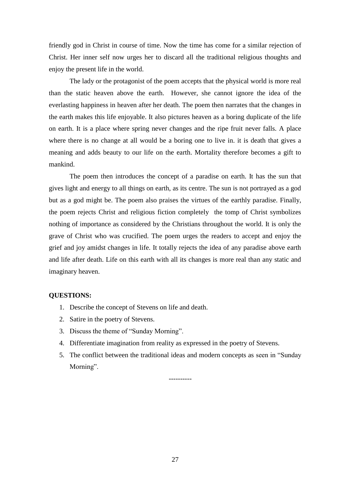friendly god in Christ in course of time. Now the time has come for a similar rejection of Christ. Her inner self now urges her to discard all the traditional religious thoughts and enjoy the present life in the world.

The lady or the protagonist of the poem accepts that the physical world is more real than the static heaven above the earth. However, she cannot ignore the idea of the everlasting happiness in heaven after her death. The poem then narrates that the changes in the earth makes this life enjoyable. It also pictures heaven as a boring duplicate of the life on earth. It is a place where spring never changes and the ripe fruit never falls. A place where there is no change at all would be a boring one to live in. it is death that gives a meaning and adds beauty to our life on the earth. Mortality therefore becomes a gift to mankind.

The poem then introduces the concept of a paradise on earth. It has the sun that gives light and energy to all things on earth, as its centre. The sun is not portrayed as a god but as a god might be. The poem also praises the virtues of the earthly paradise. Finally, the poem rejects Christ and religious fiction completely the tomp of Christ symbolizes nothing of importance as considered by the Christians throughout the world. It is only the grave of Christ who was crucified. The poem urges the readers to accept and enjoy the grief and joy amidst changes in life. It totally rejects the idea of any paradise above earth and life after death. Life on this earth with all its changes is more real than any static and imaginary heaven.

#### **QUESTIONS:**

- 1. Describe the concept of Stevens on life and death.
- 2. Satire in the poetry of Stevens.
- 3. Discuss the theme of "Sunday Morning".
- 4. Differentiate imagination from reality as expressed in the poetry of Stevens.
- 5. The conflict between the traditional ideas and modern concepts as seen in "Sunday Morning".

----------

27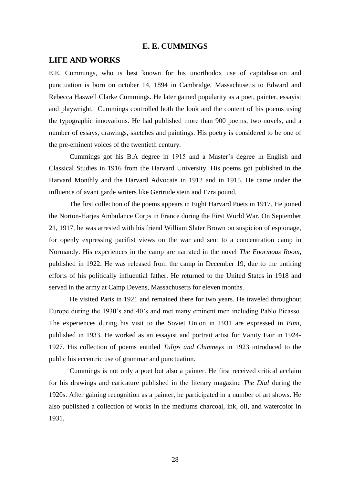#### **E. E. CUMMINGS**

#### **LIFE AND WORKS**

E.E. Cummings, who is best known for his unorthodox use of capitalisation and punctuation is born on october 14, 1894 in Cambridge, Massachusetts to Edward and Rebecca Haswell Clarke Cummings. He later gained popularity as a poet, painter, essayist and playwright. Cummings controlled both the look and the content of his poems using the typographic innovations. He had published more than 900 poems, two novels, and a number of essays, drawings, sketches and paintings. His poetry is considered to be one of the pre-eminent voices of the twentieth century.

Cummings got his B.A degree in 1915 and a Master's degree in English and Classical Studies in 1916 from the Harvard University. His poems got published in the Harvard Monthly and the Harvard Advocate in 1912 and in 1915. He came under the influence of avant garde writers like Gertrude stein and Ezra pound.

The first collection of the poems appears in Eight Harvard Poets in 1917. He joined the Norton-Harjes Ambulance Corps in France during the First World War. On September 21, 1917, he was arrested with his friend William Slater Brown on suspicion of espionage, for openly expressing pacifist views on the war and sent to a concentration camp in Normandy. His experiences in the camp are narrated in the novel *The Enormous Room*, published in 1922. He was released from the camp in December 19, due to the untiring efforts of his politically influential father. He returned to the United States in 1918 and served in the army at Camp Devens, Massachusetts for eleven months.

He visited Paris in 1921 and remained there for two years. He traveled throughout Europe during the 1930's and 40's and met many eminent men including Pablo Picasso. The experiences during his visit to the Soviet Union in 1931 are expressed in *Eimi*, published in 1933. He worked as an essayist and portrait artist for Vanity Fair in 1924- 1927. His collection of poems entitled *Tulips and Chimneys* in 1923 introduced to the public his eccentric use of grammar and punctuation.

Cummings is not only a poet but also a painter. He first received critical acclaim for his drawings and caricature published in the literary magazine *The Dial* during the 1920s. After gaining recognition as a painter, he participated in a number of art shows. He also published a collection of works in the mediums charcoal, ink, oil, and watercolor in 1931.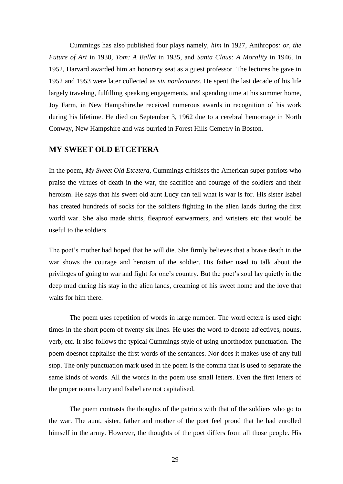Cummings has also published four plays namely, *him* in 1927, Anthropos*: or, the Future of Art* in 1930, *Tom: A Ballet* in 1935, and *Santa Claus: A Morality* in 1946. In 1952, Harvard awarded him an honorary seat as a guest professor. The lectures he gave in 1952 and 1953 were later collected as *six nonlectures*. He spent the last decade of his life largely traveling, fulfilling speaking engagements, and spending time at his summer home, Joy Farm, in New Hampshire.he received numerous awards in recognition of his work during his lifetime. He died on September 3, 1962 due to a cerebral hemorrage in North Conway, New Hampshire and was burried in Forest Hills Cemetry in Boston.

# **MY SWEET OLD ETCETERA**

In the poem, *My Sweet Old Etcetera*, Cummings critisises the American super patriots who praise the virtues of death in the war, the sacrifice and courage of the soldiers and their heroism. He says that his sweet old aunt Lucy can tell what is war is for. His sister Isabel has created hundreds of socks for the soldiers fighting in the alien lands during the first world war. She also made shirts, fleaproof earwarmers, and wristers etc thst would be useful to the soldiers.

The poet's mother had hoped that he will die. She firmly believes that a brave death in the war shows the courage and heroism of the soldier. His father used to talk about the privileges of going to war and fight for one's country. But the poet's soul lay quietly in the deep mud during his stay in the alien lands, dreaming of his sweet home and the love that waits for him there.

The poem uses repetition of words in large number. The word ectera is used eight times in the short poem of twenty six lines. He uses the word to denote adjectives, nouns, verb, etc. It also follows the typical Cummings style of using unorthodox punctuation. The poem doesnot capitalise the first words of the sentances. Nor does it makes use of any full stop. The only punctuation mark used in the poem is the comma that is used to separate the same kinds of words. All the words in the poem use small letters. Even the first letters of the proper nouns Lucy and Isabel are not capitalised.

The poem contrasts the thoughts of the patriots with that of the soldiers who go to the war. The aunt, sister, father and mother of the poet feel proud that he had enrolled himself in the army. However, the thoughts of the poet differs from all those people. His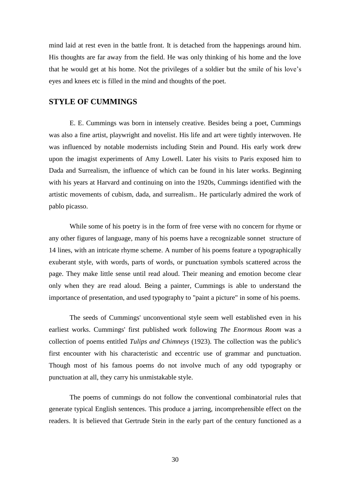mind laid at rest even in the battle front. It is detached from the happenings around him. His thoughts are far away from the field. He was only thinking of his home and the love that he would get at his home. Not the privileges of a soldier but the smile of his love's eyes and knees etc is filled in the mind and thoughts of the poet.

## **STYLE OF CUMMINGS**

E. E. Cummings was born in intensely creative. Besides being a poet, Cummings was also a fine artist, playwright and novelist. His life and art were tightly interwoven. He was influenced by notable modernists including Stein and Pound. His early work drew upon the imagist experiments of Amy Lowell. Later his visits to Paris exposed him to Dada and Surrealism, the influence of which can be found in his later works. Beginning with his years at Harvard and continuing on into the 1920s, Cummings identified with the artistic movements of cubism, dada, and surrealism.. He particularly admired the work of pablo picasso.

While some of his poetry is in the form of free verse with no concern for rhyme or any other figures of language, many of his poems have a recognizable sonnet structure of 14 lines, with an intricate rhyme scheme. A number of his poems feature a typographically exuberant style, with words, parts of words, or punctuation symbols scattered across the page. They make little sense until read aloud. Their meaning and emotion become clear only when they are read aloud. Being a painter, Cummings is able to understand the importance of presentation, and used typography to "paint a picture" in some of his poems.

The seeds of Cummings' unconventional style seem well established even in his earliest works. Cummings' first published work following *The Enormous Room* was a collection of poems entitled *Tulips and Chimneys* (1923). The collection was the public's first encounter with his characteristic and eccentric use of grammar and punctuation. Though most of his famous poems do not involve much of any odd typography or punctuation at all, they carry his unmistakable style.

The poems of cummings do not follow the conventional combinatorial rules that generate typical English sentences. This produce a jarring, incomprehensible effect on the readers. It is believed that Gertrude Stein in the early part of the century functioned as a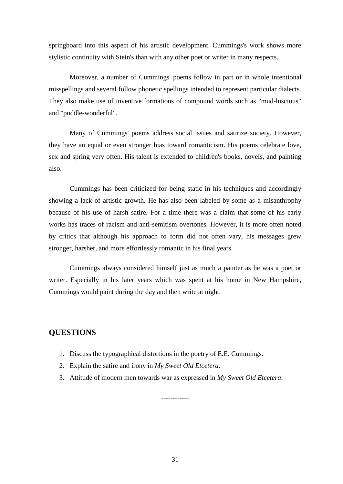springboard into this aspect of his artistic development. Cummings's work shows more stylistic continuity with Stein's than with any other poet or writer in many respects.

Moreover, a number of Cummings' poems follow in part or in whole intentional misspellings and several follow phonetic spellings intended to represent particular dialects. They also make use of inventive formations of compound words such as "mud-luscious" and "puddle-wonderful".

Many of Cummings' poems address social issues and satirize society. However, they have an equal or even stronger bias toward romanticism. His poems celebrate love, sex and spring very often. His talent is extended to children's books, novels, and painting also.

Cummings has been criticized for being static in his techniques and accordingly showing a lack of artistic growth. He has also been labeled by some as a misanthrophy because of his use of harsh satire. For a time there was a claim that some of his early works has traces of racism and anti-semitism overtones. However, it is more often noted by critics that although his approach to form did not often vary, his messages grew stronger, harsher, and more effortlessly romantic in his final years.

Cummings always considered himself just as much a painter as he was a poet or writer. Especially in his later years which was spent at his home in New Hampshire, Cummings would paint during the day and then write at night.

# **QUESTIONS**

- 1. Discuss the typographical distortions in the poetry of E.E. Cummings.
- 2. Explain the satire and irony in *My Sweet Old Etcetera*.
- 3. Attitude of modern men towards war as expressed in *My Sweet Old Etcetera*.

------------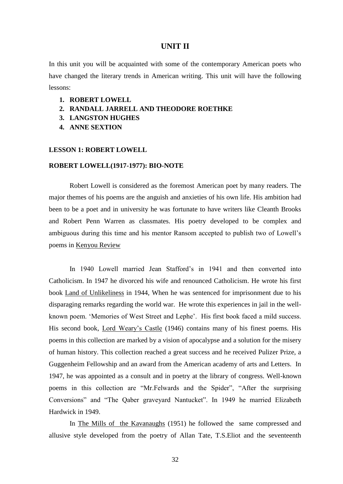#### **UNIT II**

In this unit you will be acquainted with some of the contemporary American poets who have changed the literary trends in American writing. This unit will have the following lessons:

- **1. ROBERT LOWELL**
- **2. RANDALL JARRELL AND THEODORE ROETHKE**
- **3. LANGSTON HUGHES**
- **4. ANNE SEXTION**

#### **LESSON 1: ROBERT LOWELL**

#### **ROBERT LOWELL(1917-1977): BIO-NOTE**

Robert Lowell is considered as the foremost American poet by many readers. The major themes of his poems are the anguish and anxieties of his own life. His ambition had been to be a poet and in university he was fortunate to have writers like Cleanth Brooks and Robert Penn Warren as classmates. His poetry developed to be complex and ambiguous during this time and his mentor Ransom accepted to publish two of Lowell's poems in Kenyou Review

In 1940 Lowell married Jean Stafford's in 1941 and then converted into Catholicism. In 1947 he divorced his wife and renounced Catholicism. He wrote his first book Land of Unlikeliness in 1944, When he was sentenced for imprisonment due to his disparaging remarks regarding the world war. He wrote this experiences in jail in the wellknown poem. 'Memories of West Street and Lephe'. His first book faced a mild success. His second book, Lord Weary's Castle (1946) contains many of his finest poems. His poems in this collection are marked by a vision of apocalypse and a solution for the misery of human history. This collection reached a great success and he received Pulizer Prize, a Guggenheim Fellowship and an award from the American academy of arts and Letters. In 1947, he was appointed as a consult and in poetry at the library of congress. Well-known poems in this collection are "Mr.Felwards and the Spider", "After the surprising Conversions" and "The Qaber graveyard Nantucket". In 1949 he married Elizabeth Hardwick in 1949.

In The Mills of the Kavanaughs (1951) he followed the same compressed and allusive style developed from the poetry of Allan Tate, T.S.Eliot and the seventeenth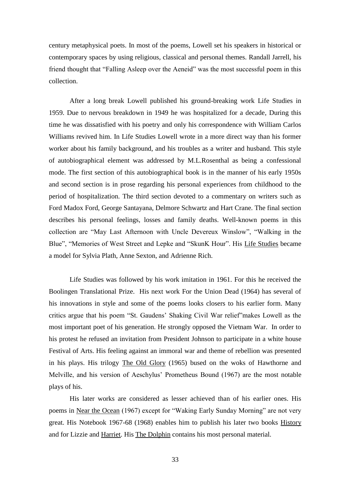century metaphysical poets. In most of the poems, Lowell set his speakers in historical or contemporary spaces by using religious, classical and personal themes. Randall Jarrell, his friend thought that "Falling Asleep over the Aeneid" was the most successful poem in this collection.

After a long break Lowell published his ground-breaking work Life Studies in 1959. Due to nervous breakdown in 1949 he was hospitalized for a decade, During this time he was dissatisfied with his poetry and only his correspondence with William Carlos Williams revived him. In Life Studies Lowell wrote in a more direct way than his former worker about his family background, and his troubles as a writer and husband. This style of autobiographical element was addressed by M.L.Rosenthal as being a confessional mode. The first section of this autobiographical book is in the manner of his early 1950s and second section is in prose regarding his personal experiences from childhood to the period of hospitalization. The third section devoted to a commentary on writers such as Ford Madox Ford, George Santayana, Delmore Schwartz and Hart Crane. The final section describes his personal feelings, losses and family deaths. Well-known poems in this collection are "May Last Afternoon with Uncle Devereux Winslow", "Walking in the Blue", "Memories of West Street and Lepke and "SkunK Hour". His Life Studies became a model for Sylvia Plath, Anne Sexton, and Adrienne Rich.

Life Studies was followed by his work imitation in 1961. For this he received the Boolingen Translational Prize. His next work For the Union Dead (1964) has several of his innovations in style and some of the poems looks closers to his earlier form. Many critics argue that his poem "St. Gaudens' Shaking Civil War relief"makes Lowell as the most important poet of his generation. He strongly opposed the Vietnam War. In order to his protest he refused an invitation from President Johnson to participate in a white house Festival of Arts. His feeling against an immoral war and theme of rebellion was presented in his plays. His trilogy The Old Glory (1965) bused on the woks of Hawthorne and Melville, and his version of Aeschylus' Prometheus Bound (1967) are the most notable plays of his.

His later works are considered as lesser achieved than of his earlier ones. His poems in Near the Ocean (1967) except for "Waking Early Sunday Morning" are not very great. His Notebook 1967-68 (1968) enables him to publish his later two books History and for Lizzie and Harriet. His The Dolphin contains his most personal material.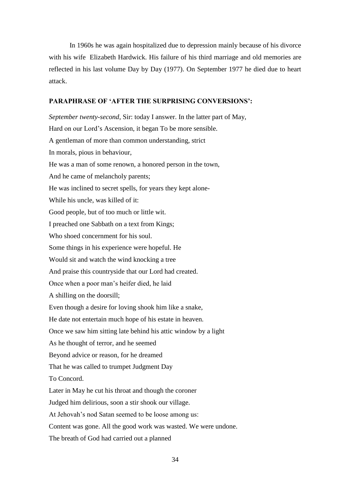In 1960s he was again hospitalized due to depression mainly because of his divorce with his wife Elizabeth Hardwick. His failure of his third marriage and old memories are reflected in his last volume Day by Day (1977). On September 1977 he died due to heart attack.

#### **PARAPHRASE OF 'AFTER THE SURPRISING CONVERSIONS':**

*September twenty-second*, Sir: today I answer. In the latter part of May, Hard on our Lord's Ascension, it began To be more sensible. A gentleman of more than common understanding, strict In morals, pious in behaviour, He was a man of some renown, a honored person in the town, And he came of melancholy parents; He was inclined to secret spells, for years they kept alone-While his uncle, was killed of it: Good people, but of too much or little wit. I preached one Sabbath on a text from Kings; Who shoed concernment for his soul. Some things in his experience were hopeful. He Would sit and watch the wind knocking a tree And praise this countryside that our Lord had created. Once when a poor man's heifer died, he laid A shilling on the doorsill; Even though a desire for loving shook him like a snake, He date not entertain much hope of his estate in heaven. Once we saw him sitting late behind his attic window by a light As he thought of terror, and he seemed Beyond advice or reason, for he dreamed That he was called to trumpet Judgment Day To Concord. Later in May he cut his throat and though the coroner Judged him delirious, soon a stir shook our village. At Jehovah's nod Satan seemed to be loose among us: Content was gone. All the good work was wasted. We were undone.

The breath of God had carried out a planned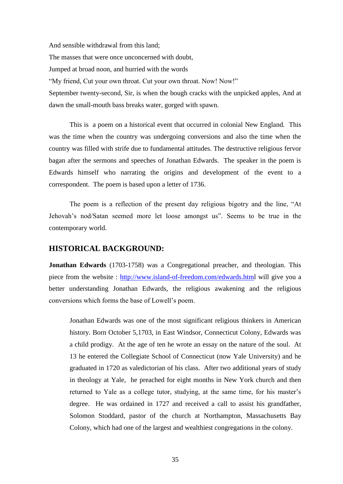And sensible withdrawal from this land; The masses that were once unconcerned with doubt, Jumped at broad noon, and hurried with the words "My friend, Cut your own throat. Cut your own throat. Now! Now!" September twenty-second, Sir, is when the bough cracks with the unpicked apples, And at dawn the small-mouth bass breaks water, gorged with spawn.

This is a poem on a historical event that occurred in colonial New England. This was the time when the country was undergoing conversions and also the time when the country was filled with strife due to fundamental attitudes. The destructive religious fervor bagan after the sermons and speeches of Jonathan Edwards. The speaker in the poem is Edwards himself who narrating the origins and development of the event to a correspondent. The poem is based upon a letter of 1736.

The poem is a reflection of the present day religious bigotry and the line, "At Jehovah's nod/Satan seemed more let loose amongst us". Seems to be true in the contemporary world.

# **HISTORICAL BACKGROUND:**

**Jonathan Edwards** (1703-1758) was a Congregational preacher, and theologian. This piece from the website : [http://www.island-of-freedom.com/edwards.html](http://www.island-of-freedom.com/EDWARDS.HTM) will give you a better understanding Jonathan Edwards, the religious awakening and the religious conversions which forms the base of Lowell's poem.

Jonathan Edwards was one of the most significant religious thinkers in American history. Born October 5,1703, in East Windsor, Connecticut Colony, Edwards was a child prodigy. At the age of ten he wrote an essay on the nature of the soul. At 13 he entered the Collegiate School of Connecticut (now Yale University) and he graduated in 1720 as valedictorian of his class. After two additional years of study in theology at Yale, he preached for eight months in New York church and then returned to Yale as a college tutor, studying, at the same time, for his master's degree. He was ordained in 1727 and received a call to assist his grandfather, Solomon Stoddard, pastor of the church at Northampton, Massachusetts Bay Colony, which had one of the largest and wealthiest congregations in the colony.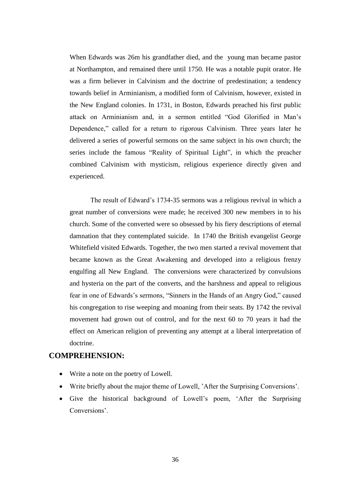When Edwards was 26m his grandfather died, and the young man became pastor at Northampton, and remained there until 1750. He was a notable pupit orator. He was a firm believer in Calvinism and the doctrine of predestination; a tendency towards belief in Arminianism, a modified form of Calvinism, however, existed in the New England colonies. In 1731, in Boston, Edwards preached his first public attack on Arminianism and, in a sermon entitled "God Glorified in Man's Dependence," called for a return to rigorous Calvinism. Three years later he delivered a series of powerful sermons on the same subject in his own church; the series include the famous "Reality of Spiritual Light", in which the preacher combined Calvinism with mysticism, religious experience directly given and experienced.

The result of Edward's 1734-35 sermons was a religious revival in which a great number of conversions were made; he received 300 new members in to his church. Some of the converted were so obsessed by his fiery descriptions of eternal damnation that they contemplated suicide. In 1740 the British evangelist George Whitefield visited Edwards. Together, the two men started a revival movement that became known as the Great Awakening and developed into a religious frenzy engulfing all New England. The conversions were characterized by convulsions and hysteria on the part of the converts, and the harshness and appeal to religious fear in one of Edwards's sermons, "Sinners in the Hands of an Angry God," caused his congregation to rise weeping and moaning from their seats. By 1742 the revival movement had grown out of control, and for the next 60 to 70 years it had the effect on American religion of preventing any attempt at a liberal interpretation of doctrine.

## **COMPREHENSION:**

- Write a note on the poetry of Lowell.
- Write briefly about the major theme of Lowell, 'After the Surprising Conversions'.
- Give the historical background of Lowell's poem, 'After the Surprising Conversions'.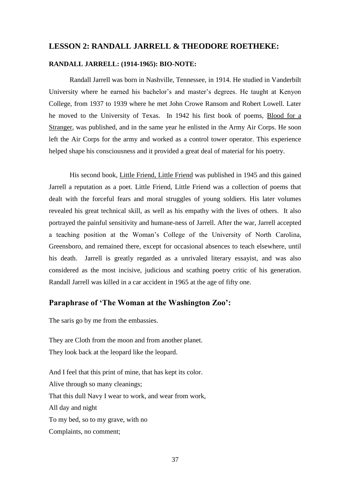### **LESSON 2: RANDALL JARRELL & THEODORE ROETHEKE:**

#### **RANDALL JARRELL: (1914-1965): BIO-NOTE:**

Randall Jarrell was born in Nashville, Tennessee, in 1914. He studied in Vanderbilt University where he earned his bachelor's and master's degrees. He taught at Kenyon College, from 1937 to 1939 where he met John Crowe Ransom and Robert Lowell. Later he moved to the University of Texas. In 1942 his first book of poems, Blood for a Stranger, was published, and in the same year he enlisted in the Army Air Corps. He soon left the Air Corps for the army and worked as a control tower operator. This experience helped shape his consciousness and it provided a great deal of material for his poetry.

His second book, Little Friend, Little Friend was published in 1945 and this gained Jarrell a reputation as a poet. Little Friend, Little Friend was a collection of poems that dealt with the forceful fears and moral struggles of young soldiers. His later volumes revealed his great technical skill, as well as his empathy with the lives of others. It also portrayed the painful sensitivity and humane-ness of Jarrell. After the war, Jarrell accepted a teaching position at the Woman's College of the University of North Carolina, Greensboro, and remained there, except for occasional absences to teach elsewhere, until his death. Jarrell is greatly regarded as a unrivaled literary essayist, and was also considered as the most incisive, judicious and scathing poetry critic of his generation. Randall Jarrell was killed in a car accident in 1965 at the age of fifty one.

## **Paraphrase of 'The Woman at the Washington Zoo':**

The saris go by me from the embassies.

They are Cloth from the moon and from another planet. They look back at the leopard like the leopard.

And I feel that this print of mine, that has kept its color. Alive through so many cleanings; That this dull Navy I wear to work, and wear from work, All day and night To my bed, so to my grave, with no Complaints, no comment;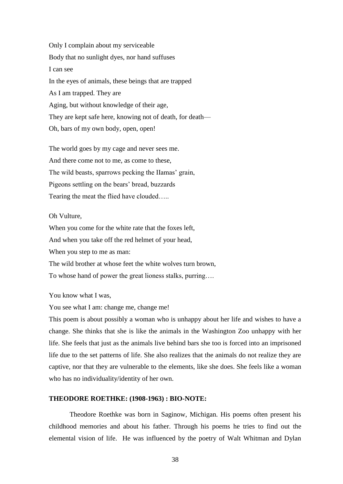Only I complain about my serviceable Body that no sunlight dyes, nor hand suffuses I can see In the eyes of animals, these beings that are trapped As I am trapped. They are Aging, but without knowledge of their age, They are kept safe here, knowing not of death, for death— Oh, bars of my own body, open, open!

The world goes by my cage and never sees me. And there come not to me, as come to these, The wild beasts, sparrows pecking the IIamas' grain, Pigeons settling on the bears' bread, buzzards Tearing the meat the flied have clouded…..

Oh Vulture,

When you come for the white rate that the foxes left, And when you take off the red helmet of your head, When you step to me as man: The wild brother at whose feet the white wolves turn brown, To whose hand of power the great lioness stalks, purring….

You know what I was,

You see what I am: change me, change me!

This poem is about possibly a woman who is unhappy about her life and wishes to have a change. She thinks that she is like the animals in the Washington Zoo unhappy with her life. She feels that just as the animals live behind bars she too is forced into an imprisoned life due to the set patterns of life. She also realizes that the animals do not realize they are captive, nor that they are vulnerable to the elements, like she does. She feels like a woman who has no individuality/identity of her own.

#### **THEODORE ROETHKE: (1908-1963) : BIO-NOTE:**

Theodore Roethke was born in Saginow, Michigan. His poems often present his childhood memories and about his father. Through his poems he tries to find out the elemental vision of life. He was influenced by the poetry of Walt Whitman and Dylan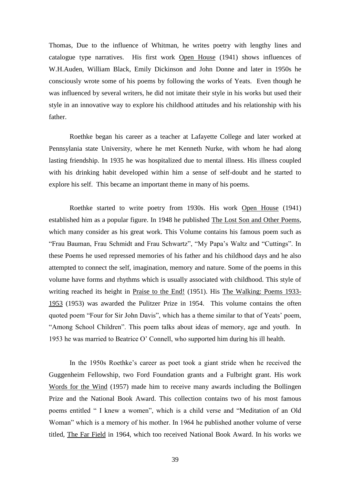Thomas, Due to the influence of Whitman, he writes poetry with lengthy lines and catalogue type narratives. His first work Open House (1941) shows influences of W.H.Auden, William Black, Emily Dickinson and John Donne and later in 1950s he consciously wrote some of his poems by following the works of Yeats. Even though he was influenced by several writers, he did not imitate their style in his works but used their style in an innovative way to explore his childhood attitudes and his relationship with his father.

Roethke began his career as a teacher at Lafayette College and later worked at Pennsylania state University, where he met Kenneth Nurke, with whom he had along lasting friendship. In 1935 he was hospitalized due to mental illness. His illness coupled with his drinking habit developed within him a sense of self-doubt and he started to explore his self. This became an important theme in many of his poems.

Roethke started to write poetry from 1930s. His work Open House (1941) established him as a popular figure. In 1948 he published The Lost Son and Other Poems, which many consider as his great work. This Volume contains his famous poem such as "Frau Bauman, Frau Schmidt and Frau Schwartz", "My Papa's Waltz and "Cuttings". In these Poems he used repressed memories of his father and his childhood days and he also attempted to connect the self, imagination, memory and nature. Some of the poems in this volume have forms and rhythms which is usually associated with childhood. This style of writing reached its height in Praise to the End! (1951). His The Walking: Poems 1933- 1953 (1953) was awarded the Pulitzer Prize in 1954. This volume contains the often quoted poem "Four for Sir John Davis", which has a theme similar to that of Yeats' poem, "Among School Children". This poem talks about ideas of memory, age and youth. In 1953 he was married to Beatrice O' Connell, who supported him during his ill health.

In the 1950s Roethke's career as poet took a giant stride when he received the Guggenheim Fellowship, two Ford Foundation grants and a Fulbright grant. His work Words for the Wind (1957) made him to receive many awards including the Bollingen Prize and the National Book Award. This collection contains two of his most famous poems entitled " I knew a women", which is a child verse and "Meditation of an Old Woman" which is a memory of his mother. In 1964 he published another volume of verse titled, The Far Field in 1964, which too received National Book Award. In his works we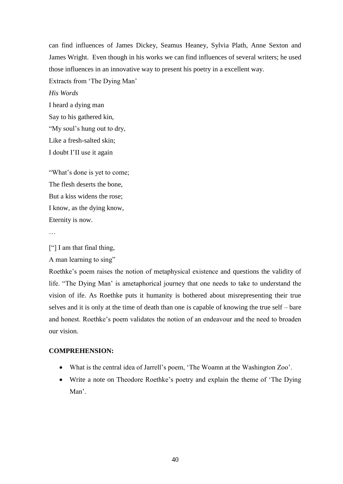can find influences of James Dickey, Seamus Heaney, Sylvia Plath, Anne Sexton and James Wright. Even though in his works we can find influences of several writers; he used those influences in an innovative way to present his poetry in a excellent way.

Extracts from 'The Dying Man'

*His Words*

I heard a dying man Say to his gathered kin, "My soul's hung out to dry, Like a fresh-salted skin; I doubt I'II use it again

"What's done is yet to come; The flesh deserts the bone, But a kiss widens the rose; I know, as the dying know, Eternity is now.

…

["] I am that final thing,

A man learning to sing"

Roethke's poem raises the notion of metaphysical existence and questions the validity of life. "The Dying Man' is ametaphorical journey that one needs to take to understand the vision of ife. As Roethke puts it humanity is bothered about misrepresenting their true selves and it is only at the time of death than one is capable of knowing the true self – bare and honest. Roethke's poem validates the notion of an endeavour and the need to broaden our vision.

### **COMPREHENSION:**

- What is the central idea of Jarrell's poem, 'The Woamn at the Washington Zoo'.
- Write a note on Theodore Roethke's poetry and explain the theme of 'The Dying Man'.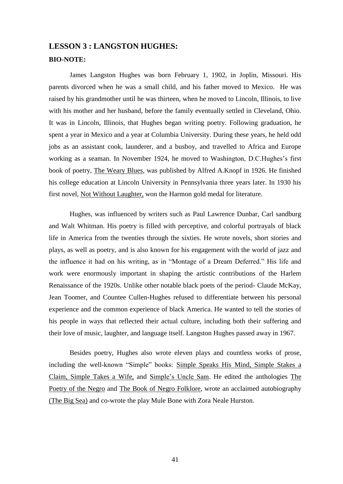# **LESSON 3 : LANGSTON HUGHES: BIO-NOTE:**

James Langston Hughes was born February 1, 1902, in Joplin, Missouri. His parents divorced when he was a small child, and his father moved to Mexico. He was raised by his grandmother until he was thirteen, when he moved to Lincoln, Illinois, to live with his mother and her husband, before the family eventually settled in Cleveland, Ohio. It was in Lincoln, Illinois, that Hughes began writing poetry. Following graduation, he spent a year in Mexico and a year at Columbia University. During these years, he held odd jobs as an assistant cook, launderer, and a busboy, and travelled to Africa and Europe working as a seaman. In November 1924, he moved to Washington, D.C.Hughes's first book of poetry, The Weary Blues, was published by Alfred A.Knopf in 1926. He finished his college education at Lincoln University in Pennsylvania three years later. In 1930 his first novel, Not Without Laughter, won the Harmon gold medal for literature.

Hughes, was influenced by writers such as Paul Lawrence Dunbar, Carl sandburg and Walt Whitman. His poetry is filled with perceptive, and colorful portrayals of black life in America from the twenties through the sixties. He wrote novels, short stories and plays, as well as poetry, and is also known for his engagement with the world of jazz and the influence it had on his writing, as in "Montage of a Dream Deferred." His life and work were enormously important in shaping the artistic contributions of the Harlem Renaissance of the 1920s. Unlike other notable black poets of the period- Claude McKay, Jean Toomer, and Countee Cullen-Hughes refused to differentiate between his personal experience and the common experience of black America. He wanted to tell the stories of his people in ways that reflected their actual culture, including both their suffering and their love of music, laughter, and language itself. Langston Hughes passed away in 1967.

Besides poetry, Hughes also wrote eleven plays and countless works of prose, including the well-known "Simple" books: Simple Speaks His Mind, Simple Stakes a Claim, Simple Takes a Wife, and Simple's Uncle Sam. He edited the anthologies The Poetry of the Negro and The Book of Negro Folklore, wrote an acclaimed autobiography (The Big Sea) and co-wrote the play Mule Bone with Zora Neale Hurston.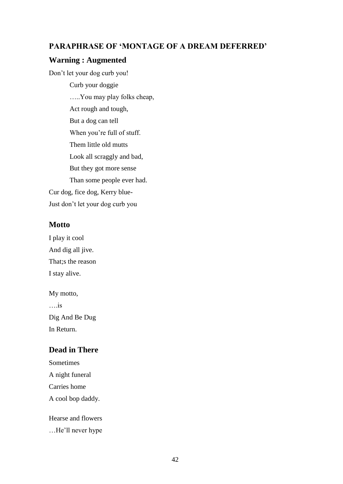## **PARAPHRASE OF 'MONTAGE OF A DREAM DEFERRED'**

## **Warning : Augmented**

Don't let your dog curb you!

Curb your doggie …..You may play folks cheap, Act rough and tough, But a dog can tell When you're full of stuff. Them little old mutts Look all scraggly and bad, But they got more sense Than some people ever had. Cur dog, fice dog, Kerry blue-Just don't let your dog curb you

## **Motto**

I play it cool And dig all jive. That;s the reason I stay alive.

My motto, ….is Dig And Be Dug In Return.

## **Dead in There**

Sometimes A night funeral Carries home A cool bop daddy.

Hearse and flowers

…He'll never hype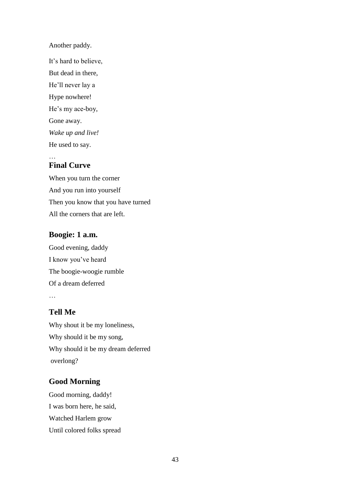Another paddy.

It's hard to believe, But dead in there, He'll never lay a Hype nowhere! He's my ace-boy, Gone away. *Wake up and live!* He used to say.

## **Final Curve**

When you turn the corner And you run into yourself Then you know that you have turned All the corners that are left.

## **Boogie: 1 a.m.**

Good evening, daddy I know you've heard The boogie-woogie rumble Of a dream deferred …

## **Tell Me**

Why shout it be my loneliness, Why should it be my song, Why should it be my dream deferred overlong?

## **Good Morning**

Good morning, daddy! I was born here, he said, Watched Harlem grow Until colored folks spread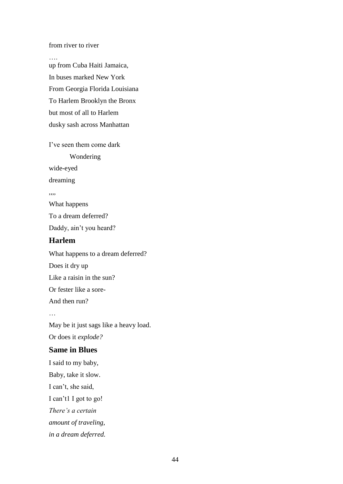from river to river

…. up from Cuba Haiti Jamaica, In buses marked New York From Georgia Florida Louisiana To Harlem Brooklyn the Bronx but most of all to Harlem dusky sash across Manhattan

I've seen them come dark Wondering wide-eyed dreaming ,,,, What happens To a dream deferred? Daddy, ain't you heard? **Harlem**

What happens to a dream deferred? Does it dry up Like a raisin in the sun? Or fester like a sore-And then run? … May be it just sags like a heavy load. Or does it *explode?* **Same in Blues** I said to my baby,

Baby, take it slow. I can't, she said, I can't1 I got to go! *There's a certain amount of traveling, in a dream deferred.*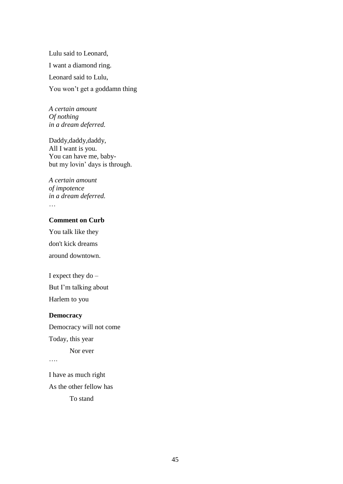Lulu said to Leonard, I want a diamond ring. Leonard said to Lulu, You won't get a goddamn thing

*A certain amount Of nothing in a dream deferred.*

Daddy,daddy, All I want is you. You can have me, babybut my lovin' days is through.

*A certain amount of impotence in a dream deferred.* …

### **Comment on Curb**

You talk like they don't kick dreams around downtown.

I expect they do – But I'm talking about

Harlem to you

#### **Democracy**

Democracy will not come Today, this year Nor ever

….

I have as much right As the other fellow has

To stand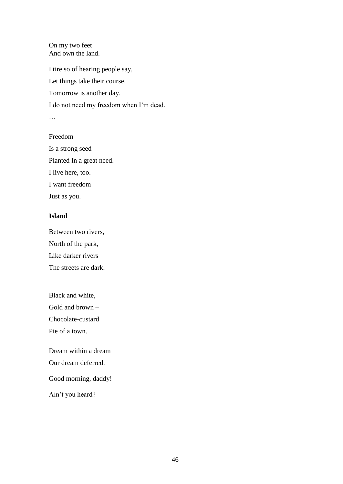On my two feet And own the land.

I tire so of hearing people say, Let things take their course. Tomorrow is another day. I do not need my freedom when I'm dead. … Freedom

Is a strong seed Planted In a great need. I live here, too. I want freedom Just as you.

### **Island**

Between two rivers, North of the park, Like darker rivers The streets are dark.

Black and white, Gold and brown – Chocolate-custard Pie of a town.

Dream within a dream Our dream deferred.

Good morning, daddy!

Ain't you heard?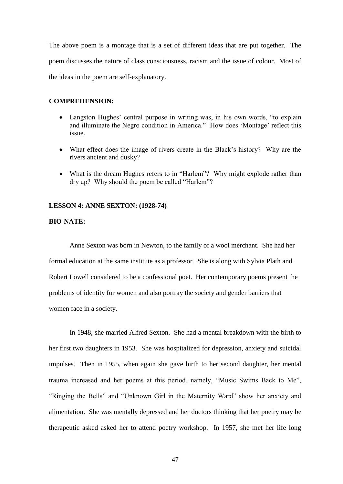The above poem is a montage that is a set of different ideas that are put together. The poem discusses the nature of class consciousness, racism and the issue of colour. Most of the ideas in the poem are self-explanatory.

#### **COMPREHENSION:**

- Langston Hughes' central purpose in writing was, in his own words, "to explain and illuminate the Negro condition in America." How does 'Montage' reflect this issue.
- What effect does the image of rivers create in the Black's history? Why are the rivers ancient and dusky?
- What is the dream Hughes refers to in "Harlem"? Why might explode rather than dry up? Why should the poem be called "Harlem"?

#### **LESSON 4: ANNE SEXTON: (1928-74)**

#### **BIO-NATE:**

Anne Sexton was born in Newton, to the family of a wool merchant. She had her formal education at the same institute as a professor. She is along with Sylvia Plath and Robert Lowell considered to be a confessional poet. Her contemporary poems present the problems of identity for women and also portray the society and gender barriers that women face in a society.

In 1948, she married Alfred Sexton. She had a mental breakdown with the birth to her first two daughters in 1953. She was hospitalized for depression, anxiety and suicidal impulses. Then in 1955, when again she gave birth to her second daughter, her mental trauma increased and her poems at this period, namely, "Music Swims Back to Me", "Ringing the Bells" and "Unknown Girl in the Maternity Ward" show her anxiety and alimentation. She was mentally depressed and her doctors thinking that her poetry may be therapeutic asked asked her to attend poetry workshop. In 1957, she met her life long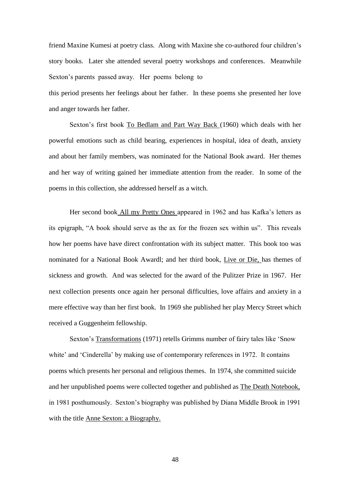friend Maxine Kumesi at poetry class. Along with Maxine she co-authored four children's story books. Later she attended several poetry workshops and conferences. Meanwhile Sexton's parents passed away. Her poems belong to

this period presents her feelings about her father. In these poems she presented her love and anger towards her father.

Sexton's first book To Bedlam and Part Way Back (1960) which deals with her powerful emotions such as child bearing, experiences in hospital, idea of death, anxiety and about her family members, was nominated for the National Book award. Her themes and her way of writing gained her immediate attention from the reader. In some of the poems in this collection, she addressed herself as a witch.

Her second book All my Pretty Ones appeared in 1962 and has Kafka's letters as its epigraph, "A book should serve as the ax for the frozen sex within us". This reveals how her poems have have direct confrontation with its subject matter. This book too was nominated for a National Book Awardl; and her third book, Live or Die, has themes of sickness and growth. And was selected for the award of the Pulitzer Prize in 1967. Her next collection presents once again her personal difficulties, love affairs and anxiety in a mere effective way than her first book. In 1969 she published her play Mercy Street which received a Guggenheim fellowship.

Sexton's Transformations (1971) retells Grimms number of fairy tales like 'Snow white' and 'Cinderella' by making use of contemporary references in 1972. It contains poems which presents her personal and religious themes. In 1974, she committed suicide and her unpublished poems were collected together and published as The Death Notebook, in 1981 posthumously. Sexton's biography was published by Diana Middle Brook in 1991 with the title Anne Sexton: a Biography.

48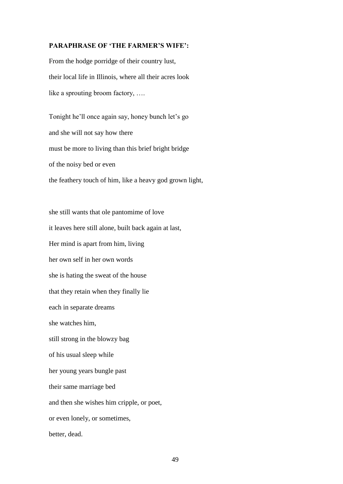#### **PARAPHRASE OF 'THE FARMER'S WIFE':**

From the hodge porridge of their country lust, their local life in Illinois, where all their acres look like a sprouting broom factory, ….

Tonight he'll once again say, honey bunch let's go and she will not say how there must be more to living than this brief bright bridge of the noisy bed or even the feathery touch of him, like a heavy god grown light,

she still wants that ole pantomime of love it leaves here still alone, built back again at last, Her mind is apart from him, living her own self in her own words she is hating the sweat of the house that they retain when they finally lie each in separate dreams she watches him, still strong in the blowzy bag of his usual sleep while her young years bungle past their same marriage bed and then she wishes him cripple, or poet, or even lonely, or sometimes, better, dead.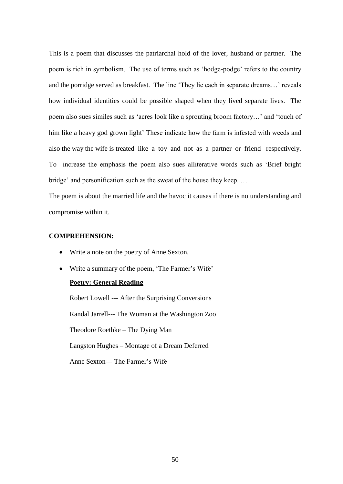This is a poem that discusses the patriarchal hold of the lover, husband or partner. The poem is rich in symbolism. The use of terms such as 'hodge-podge' refers to the country and the porridge served as breakfast. The line 'They lie each in separate dreams…' reveals how individual identities could be possible shaped when they lived separate lives. The poem also sues similes such as 'acres look like a sprouting broom factory…' and 'touch of him like a heavy god grown light' These indicate how the farm is infested with weeds and also the way the wife is treated like a toy and not as a partner or friend respectively. To increase the emphasis the poem also sues alliterative words such as 'Brief bright bridge' and personification such as the sweat of the house they keep. …

The poem is about the married life and the havoc it causes if there is no understanding and compromise within it.

#### **COMPREHENSION:**

- Write a note on the poetry of Anne Sexton.
- Write a summary of the poem, 'The Farmer's Wife'

### **Poetry: General Reading**

Robert Lowell --- After the Surprising Conversions Randal Jarrell--- The Woman at the Washington Zoo Theodore Roethke – The Dying Man Langston Hughes – Montage of a Dream Deferred Anne Sexton--- The Farmer's Wife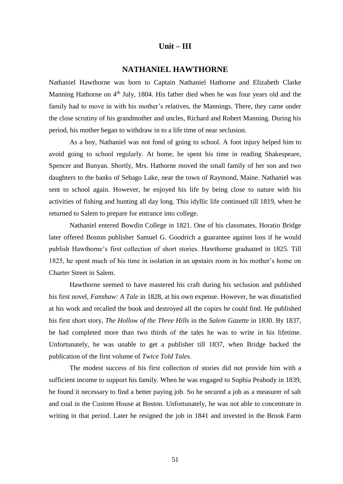#### **Unit – III**

### **NATHANIEL HAWTHORNE**

Nathaniel Hawthorne was born to Captain Nathaniel Hathorne and Elizabeth Clarke Manning Hathorne on  $4<sup>th</sup>$  July, 1804. His father died when he was four years old and the family had to move in with his mother's relatives, the Mannings. There, they came under the close scrutiny of his grandmother and uncles, Richard and Robert Manning. During his period, his mother began to withdraw in to a life time of near seclusion.

As a boy, Nathaniel was not fond of going to school. A foot injury helped him to avoid going to school regularly. At home, he spent his time in reading Shakespeare, Spencer and Bunyan. Shortly, Mrs. Hathorne moved the small family of her son and two daughters to the banks of Sebago Lake, near the town of Raymond, Maine. Nathaniel was sent to school again. However, he enjoyed his life by being close to nature with his activities of fishing and hunting all day long. This idyllic life continued till 1819, when he returned to Salem to prepare for entrance into college.

Nathaniel entered Bowdin College in 1821. One of his classmates, Horatio Bridge later offered Boston publisher Samuel G. Goodrich a guarantee against loss if he would publish Hawthorne's first collection of short stories. Hawthorne graduated in 1825. Till 1825, he spent much of his time in isolation in an upstairs room in his mother's home on Charter Street in Salem.

Hawthorne seemed to have mastered his craft during his seclusion and published his first novel, *Fanshaw: A Tale* in 1828, at his own expense. However, he was dissatisfied at his work and recalled the book and destroyed all the copies he could find. He published his first short story, *The Hollow of the Three Hills* in the *Salem Gazette* in 1830. By 1837, he had completed more than two thirds of the tales he was to write in his lifetime. Unfortunately, he was unable to get a publisher till 1837, when Bridge backed the publication of the first volume of *Twice Told Tales*.

The modest success of his first collection of stories did not provide him with a sufficient income to support his family. When he was engaged to Sophia Peabody in 1839, he found it necessary to find a better paying job. So he secured a job as a measurer of salt and coal in the Custom House at Boston. Unfortunately, he was not able to concentrate in writing in that period. Later he resigned the job in 1841 and invested in the Brook Farm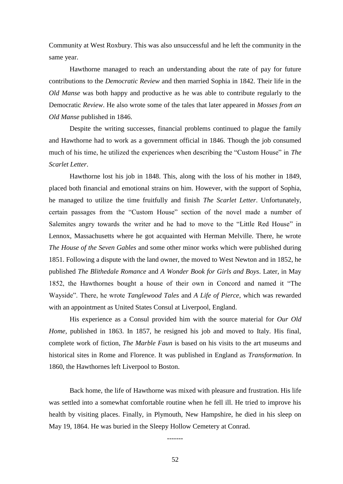Community at West Roxbury. This was also unsuccessful and he left the community in the same year.

Hawthorne managed to reach an understanding about the rate of pay for future contributions to the *Democratic Review* and then married Sophia in 1842. Their life in the *Old Manse* was both happy and productive as he was able to contribute regularly to the Democratic *Review*. He also wrote some of the tales that later appeared in *Mosses from an Old Manse* published in 1846.

Despite the writing successes, financial problems continued to plague the family and Hawthorne had to work as a government official in 1846. Though the job consumed much of his time, he utilized the experiences when describing the "Custom House" in *The Scarlet Letter*.

Hawthorne lost his job in 1848. This, along with the loss of his mother in 1849, placed both financial and emotional strains on him. However, with the support of Sophia, he managed to utilize the time fruitfully and finish *The Scarlet Letter*. Unfortunately, certain passages from the "Custom House" section of the novel made a number of Salemites angry towards the writer and he had to move to the "Little Red House" in Lennox, Massachusetts where he got acquainted with Herman Melville. There, he wrote *The House of the Seven Gables* and some other minor works which were published during 1851. Following a dispute with the land owner, the moved to West Newton and in 1852, he published *The Blithedale Romance* and *A Wonder Book for Girls and Boys*. Later, in May 1852, the Hawthornes bought a house of their own in Concord and named it "The Wayside". There, he wrote *Tanglewood Tales* and *A Life of Pierce*, which was rewarded with an appointment as United States Consul at Liverpool, England.

His experience as a Consul provided him with the source material for *Our Old Home*, published in 1863. In 1857, he resigned his job and moved to Italy. His final, complete work of fiction, *The Marble Faun* is based on his visits to the art museums and historical sites in Rome and Florence. It was published in England as *Transformation*. In 1860, the Hawthornes left Liverpool to Boston.

Back home, the life of Hawthorne was mixed with pleasure and frustration. His life was settled into a somewhat comfortable routine when he fell ill. He tried to improve his health by visiting places. Finally, in Plymouth, New Hampshire, he died in his sleep on May 19, 1864. He was buried in the Sleepy Hollow Cemetery at Conrad.

-------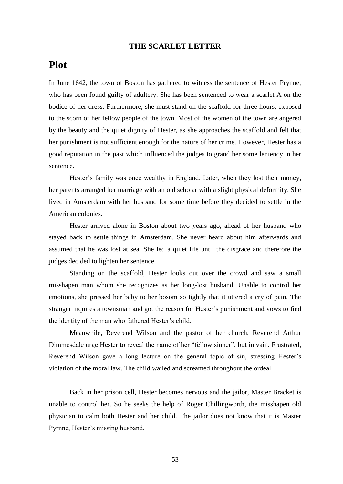### **THE SCARLET LETTER**

# **Plot**

In June 1642, the town of Boston has gathered to witness the sentence of Hester Prynne, who has been found guilty of adultery. She has been sentenced to wear a scarlet A on the bodice of her dress. Furthermore, she must stand on the scaffold for three hours, exposed to the scorn of her fellow people of the town. Most of the women of the town are angered by the beauty and the quiet dignity of Hester, as she approaches the scaffold and felt that her punishment is not sufficient enough for the nature of her crime. However, Hester has a good reputation in the past which influenced the judges to grand her some leniency in her sentence.

Hester's family was once wealthy in England. Later, when they lost their money, her parents arranged her marriage with an old scholar with a slight physical deformity. She lived in Amsterdam with her husband for some time before they decided to settle in the American colonies.

Hester arrived alone in Boston about two years ago, ahead of her husband who stayed back to settle things in Amsterdam. She never heard about him afterwards and assumed that he was lost at sea. She led a quiet life until the disgrace and therefore the judges decided to lighten her sentence.

Standing on the scaffold, Hester looks out over the crowd and saw a small misshapen man whom she recognizes as her long-lost husband. Unable to control her emotions, she pressed her baby to her bosom so tightly that it uttered a cry of pain. The stranger inquires a townsman and got the reason for Hester's punishment and vows to find the identity of the man who fathered Hester's child.

Meanwhile, Reverend Wilson and the pastor of her church, Reverend Arthur Dimmesdale urge Hester to reveal the name of her "fellow sinner", but in vain. Frustrated, Reverend Wilson gave a long lecture on the general topic of sin, stressing Hester's violation of the moral law. The child wailed and screamed throughout the ordeal.

Back in her prison cell, Hester becomes nervous and the jailor, Master Bracket is unable to control her. So he seeks the help of Roger Chillingworth, the misshapen old physician to calm both Hester and her child. The jailor does not know that it is Master Pyrnne, Hester's missing husband.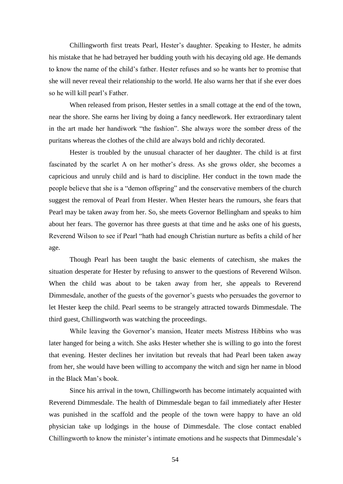Chillingworth first treats Pearl, Hester's daughter. Speaking to Hester, he admits his mistake that he had betrayed her budding youth with his decaying old age. He demands to know the name of the child's father. Hester refuses and so he wants her to promise that she will never reveal their relationship to the world. He also warns her that if she ever does so he will kill pearl's Father.

When released from prison, Hester settles in a small cottage at the end of the town, near the shore. She earns her living by doing a fancy needlework. Her extraordinary talent in the art made her handiwork "the fashion". She always wore the somber dress of the puritans whereas the clothes of the child are always bold and richly decorated.

Hester is troubled by the unusual character of her daughter. The child is at first fascinated by the scarlet A on her mother's dress. As she grows older, she becomes a capricious and unruly child and is hard to discipline. Her conduct in the town made the people believe that she is a "demon offspring" and the conservative members of the church suggest the removal of Pearl from Hester. When Hester hears the rumours, she fears that Pearl may be taken away from her. So, she meets Governor Bellingham and speaks to him about her fears. The governor has three guests at that time and he asks one of his guests, Reverend Wilson to see if Pearl "hath had enough Christian nurture as befits a child of her age.

Though Pearl has been taught the basic elements of catechism, she makes the situation desperate for Hester by refusing to answer to the questions of Reverend Wilson. When the child was about to be taken away from her, she appeals to Reverend Dimmesdale, another of the guests of the governor's guests who persuades the governor to let Hester keep the child. Pearl seems to be strangely attracted towards Dimmesdale. The third guest, Chillingworth was watching the proceedings.

While leaving the Governor's mansion, Heater meets Mistress Hibbins who was later hanged for being a witch. She asks Hester whether she is willing to go into the forest that evening. Hester declines her invitation but reveals that had Pearl been taken away from her, she would have been willing to accompany the witch and sign her name in blood in the Black Man's book.

Since his arrival in the town, Chillingworth has become intimately acquainted with Reverend Dimmesdale. The health of Dimmesdale began to fail immediately after Hester was punished in the scaffold and the people of the town were happy to have an old physician take up lodgings in the house of Dimmesdale. The close contact enabled Chillingworth to know the minister's intimate emotions and he suspects that Dimmesdale's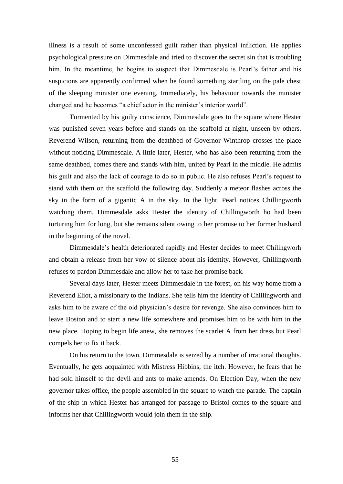illness is a result of some unconfessed guilt rather than physical infliction. He applies psychological pressure on Dimmesdale and tried to discover the secret sin that is troubling him. In the meantime, he begins to suspect that Dimmesdale is Pearl's father and his suspicions are apparently confirmed when he found something startling on the pale chest of the sleeping minister one evening. Immediately, his behaviour towards the minister changed and he becomes "a chief actor in the minister's interior world".

Tormented by his guilty conscience, Dimmesdale goes to the square where Hester was punished seven years before and stands on the scaffold at night, unseen by others. Reverend Wilson, returning from the deathbed of Governor Winthrop crosses the place without noticing Dimmesdale. A little later, Hester, who has also been returning from the same deathbed, comes there and stands with him, united by Pearl in the middle. He admits his guilt and also the lack of courage to do so in public. He also refuses Pearl's request to stand with them on the scaffold the following day. Suddenly a meteor flashes across the sky in the form of a gigantic A in the sky. In the light, Pearl notices Chillingworth watching them. Dimmesdale asks Hester the identity of Chillingworth ho had been torturing him for long, but she remains silent owing to her promise to her former husband in the beginning of the novel.

Dimmesdale's health deteriorated rapidly and Hester decides to meet Chilingworh and obtain a release from her vow of silence about his identity. However, Chillingworth refuses to pardon Dimmesdale and allow her to take her promise back.

Several days later, Hester meets Dimmesdale in the forest, on his way home from a Reverend Eliot, a missionary to the Indians. She tells him the identity of Chillingworth and asks him to be aware of the old physician's desire for revenge. She also convinces him to leave Boston and to start a new life somewhere and promises him to be with him in the new place. Hoping to begin life anew, she removes the scarlet A from her dress but Pearl compels her to fix it back.

On his return to the town, Dimmesdale is seized by a number of irrational thoughts. Eventually, he gets acquainted with Mistress Hibbins, the itch. However, he fears that he had sold himself to the devil and ants to make amends. On Election Day, when the new governor takes office, the people assembled in the square to watch the parade. The captain of the ship in which Hester has arranged for passage to Bristol comes to the square and informs her that Chillingworth would join them in the ship.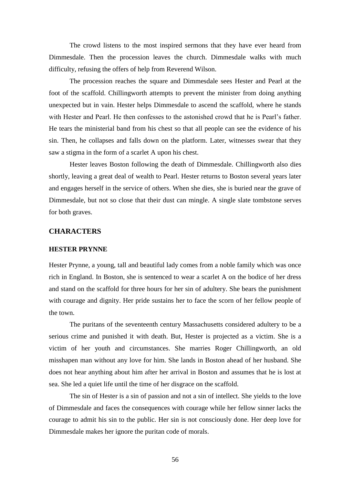The crowd listens to the most inspired sermons that they have ever heard from Dimmesdale. Then the procession leaves the church. Dimmesdale walks with much difficulty, refusing the offers of help from Reverend Wilson.

The procession reaches the square and Dimmesdale sees Hester and Pearl at the foot of the scaffold. Chillingworth attempts to prevent the minister from doing anything unexpected but in vain. Hester helps Dimmesdale to ascend the scaffold, where he stands with Hester and Pearl. He then confesses to the astonished crowd that he is Pearl's father. He tears the ministerial band from his chest so that all people can see the evidence of his sin. Then, he collapses and falls down on the platform. Later, witnesses swear that they saw a stigma in the form of a scarlet A upon his chest.

Hester leaves Boston following the death of Dimmesdale. Chillingworth also dies shortly, leaving a great deal of wealth to Pearl. Hester returns to Boston several years later and engages herself in the service of others. When she dies, she is buried near the grave of Dimmesdale, but not so close that their dust can mingle. A single slate tombstone serves for both graves.

### **CHARACTERS**

#### **HESTER PRYNNE**

Hester Prynne, a young, tall and beautiful lady comes from a noble family which was once rich in England. In Boston, she is sentenced to wear a scarlet A on the bodice of her dress and stand on the scaffold for three hours for her sin of adultery. She bears the punishment with courage and dignity. Her pride sustains her to face the scorn of her fellow people of the town.

The puritans of the seventeenth century Massachusetts considered adultery to be a serious crime and punished it with death. But, Hester is projected as a victim. She is a victim of her youth and circumstances. She marries Roger Chillingworth, an old misshapen man without any love for him. She lands in Boston ahead of her husband. She does not hear anything about him after her arrival in Boston and assumes that he is lost at sea. She led a quiet life until the time of her disgrace on the scaffold.

The sin of Hester is a sin of passion and not a sin of intellect. She yields to the love of Dimmesdale and faces the consequences with courage while her fellow sinner lacks the courage to admit his sin to the public. Her sin is not consciously done. Her deep love for Dimmesdale makes her ignore the puritan code of morals.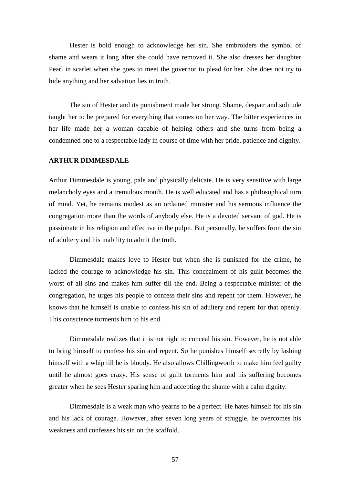Hester is bold enough to acknowledge her sin. She embroiders the symbol of shame and wears it long after she could have removed it. She also dresses her daughter Pearl in scarlet when she goes to meet the governor to plead for her. She does not try to hide anything and her salvation lies in truth.

The sin of Hester and its punishment made her strong. Shame, despair and solitude taught her to be prepared for everything that comes on her way. The bitter experiences in her life made her a woman capable of helping others and she turns from being a condemned one to a respectable lady in course of time with her pride, patience and dignity.

### **ARTHUR DIMMESDALE**

Arthur Dimmesdale is young, pale and physically delicate. He is very sensitive with large melancholy eyes and a tremulous mouth. He is well educated and has a philosophical turn of mind. Yet, he remains modest as an ordained minister and his sermons influence the congregation more than the words of anybody else. He is a devoted servant of god. He is passionate in his religion and effective in the pulpit. But personally, he suffers from the sin of adultery and his inability to admit the truth.

Dimmesdale makes love to Hester but when she is punished for the crime, he lacked the courage to acknowledge his sin. This concealment of his guilt becomes the worst of all sins and makes him suffer till the end. Being a respectable minister of the congregation, he urges his people to confess their sins and repent for them. However, he knows that he himself is unable to confess his sin of adultery and repent for that openly. This conscience torments him to his end.

Dimmesdale realizes that it is not right to conceal his sin. However, he is not able to bring himself to confess his sin and repent. So he punishes himself secretly by lashing himself with a whip till he is bloody. He also allows Chillingworth to make him feel guilty until he almost goes crazy. His sense of guilt torments him and his suffering becomes greater when he sees Hester sparing him and accepting the shame with a calm dignity.

Dimmesdale is a weak man who yearns to be a perfect. He hates himself for his sin and his lack of courage. However, after seven long years of struggle, he overcomes his weakness and confesses his sin on the scaffold.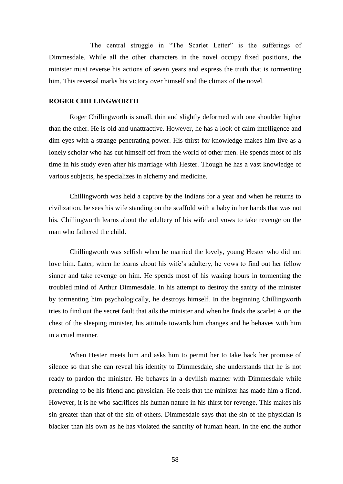The central struggle in "The Scarlet Letter" is the sufferings of Dimmesdale. While all the other characters in the novel occupy fixed positions, the minister must reverse his actions of seven years and express the truth that is tormenting him. This reversal marks his victory over himself and the climax of the novel.

#### **ROGER CHILLINGWORTH**

Roger Chillingworth is small, thin and slightly deformed with one shoulder higher than the other. He is old and unattractive. However, he has a look of calm intelligence and dim eyes with a strange penetrating power. His thirst for knowledge makes him live as a lonely scholar who has cut himself off from the world of other men. He spends most of his time in his study even after his marriage with Hester. Though he has a vast knowledge of various subjects, he specializes in alchemy and medicine.

Chillingworth was held a captive by the Indians for a year and when he returns to civilization, he sees his wife standing on the scaffold with a baby in her hands that was not his. Chillingworth learns about the adultery of his wife and vows to take revenge on the man who fathered the child.

Chillingworth was selfish when he married the lovely, young Hester who did not love him. Later, when he learns about his wife's adultery, he vows to find out her fellow sinner and take revenge on him. He spends most of his waking hours in tormenting the troubled mind of Arthur Dimmesdale. In his attempt to destroy the sanity of the minister by tormenting him psychologically, he destroys himself. In the beginning Chillingworth tries to find out the secret fault that ails the minister and when he finds the scarlet A on the chest of the sleeping minister, his attitude towards him changes and he behaves with him in a cruel manner.

When Hester meets him and asks him to permit her to take back her promise of silence so that she can reveal his identity to Dimmesdale, she understands that he is not ready to pardon the minister. He behaves in a devilish manner with Dimmesdale while pretending to be his friend and physician. He feels that the minister has made him a fiend. However, it is he who sacrifices his human nature in his thirst for revenge. This makes his sin greater than that of the sin of others. Dimmesdale says that the sin of the physician is blacker than his own as he has violated the sanctity of human heart. In the end the author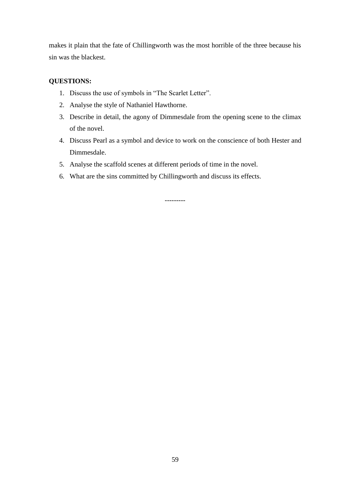makes it plain that the fate of Chillingworth was the most horrible of the three because his sin was the blackest.

## **QUESTIONS:**

- 1. Discuss the use of symbols in "The Scarlet Letter".
- 2. Analyse the style of Nathaniel Hawthorne.
- 3. Describe in detail, the agony of Dimmesdale from the opening scene to the climax of the novel.
- 4. Discuss Pearl as a symbol and device to work on the conscience of both Hester and Dimmesdale.
- 5. Analyse the scaffold scenes at different periods of time in the novel.
- 6. What are the sins committed by Chillingworth and discuss its effects.

---------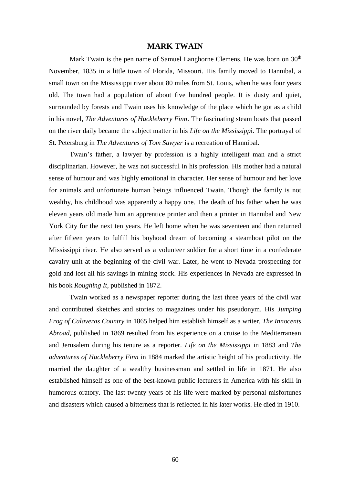#### **MARK TWAIN**

Mark Twain is the pen name of Samuel Langhorne Clemens. He was born on  $30<sup>th</sup>$ November, 1835 in a little town of Florida, Missouri. His family moved to Hannibal, a small town on the Mississippi river about 80 miles from St. Louis, when he was four years old. The town had a population of about five hundred people. It is dusty and quiet, surrounded by forests and Twain uses his knowledge of the place which he got as a child in his novel, *The Adventures of Huckleberry Finn*. The fascinating steam boats that passed on the river daily became the subject matter in his *Life on the Mississipp*i. The portrayal of St. Petersburg in *The Adventures of Tom Sawyer* is a recreation of Hannibal.

Twain's father, a lawyer by profession is a highly intelligent man and a strict disciplinarian. However, he was not successful in his profession. His mother had a natural sense of humour and was highly emotional in character. Her sense of humour and her love for animals and unfortunate human beings influenced Twain. Though the family is not wealthy, his childhood was apparently a happy one. The death of his father when he was eleven years old made him an apprentice printer and then a printer in Hannibal and New York City for the next ten years. He left home when he was seventeen and then returned after fifteen years to fulfill his boyhood dream of becoming a steamboat pilot on the Mississippi river. He also served as a volunteer soldier for a short time in a confederate cavalry unit at the beginning of the civil war. Later, he went to Nevada prospecting for gold and lost all his savings in mining stock. His experiences in Nevada are expressed in his book *Roughing It*, published in 1872.

Twain worked as a newspaper reporter during the last three years of the civil war and contributed sketches and stories to magazines under his pseudonym. His *Jumping Frog of Calaveras Country* in 1865 helped him establish himself as a writer. *The Innocents Abroad*, published in 1869 resulted from his experience on a cruise to the Mediterranean and Jerusalem during his tenure as a reporter. *Life on the Mississippi* in 1883 and *The adventures of Huckleberry Finn* in 1884 marked the artistic height of his productivity. He married the daughter of a wealthy businessman and settled in life in 1871. He also established himself as one of the best-known public lecturers in America with his skill in humorous oratory. The last twenty years of his life were marked by personal misfortunes and disasters which caused a bitterness that is reflected in his later works. He died in 1910.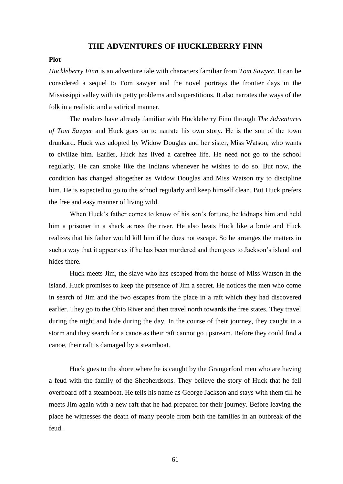#### **THE ADVENTURES OF HUCKLEBERRY FINN**

#### **Plot**

*Huckleberry Finn* is an adventure tale with characters familiar from *Tom Sawyer*. It can be considered a sequel to Tom sawyer and the novel portrays the frontier days in the Mississippi valley with its petty problems and superstitions. It also narrates the ways of the folk in a realistic and a satirical manner.

The readers have already familiar with Huckleberry Finn through *The Adventures of Tom Sawyer* and Huck goes on to narrate his own story. He is the son of the town drunkard. Huck was adopted by Widow Douglas and her sister, Miss Watson, who wants to civilize him. Earlier, Huck has lived a carefree life. He need not go to the school regularly. He can smoke like the Indians whenever he wishes to do so. But now, the condition has changed altogether as Widow Douglas and Miss Watson try to discipline him. He is expected to go to the school regularly and keep himself clean. But Huck prefers the free and easy manner of living wild.

When Huck's father comes to know of his son's fortune, he kidnaps him and held him a prisoner in a shack across the river. He also beats Huck like a brute and Huck realizes that his father would kill him if he does not escape. So he arranges the matters in such a way that it appears as if he has been murdered and then goes to Jackson's island and hides there.

Huck meets Jim, the slave who has escaped from the house of Miss Watson in the island. Huck promises to keep the presence of Jim a secret. He notices the men who come in search of Jim and the two escapes from the place in a raft which they had discovered earlier. They go to the Ohio River and then travel north towards the free states. They travel during the night and hide during the day. In the course of their journey, they caught in a storm and they search for a canoe as their raft cannot go upstream. Before they could find a canoe, their raft is damaged by a steamboat.

Huck goes to the shore where he is caught by the Grangerford men who are having a feud with the family of the Shepherdsons. They believe the story of Huck that he fell overboard off a steamboat. He tells his name as George Jackson and stays with them till he meets Jim again with a new raft that he had prepared for their journey. Before leaving the place he witnesses the death of many people from both the families in an outbreak of the feud.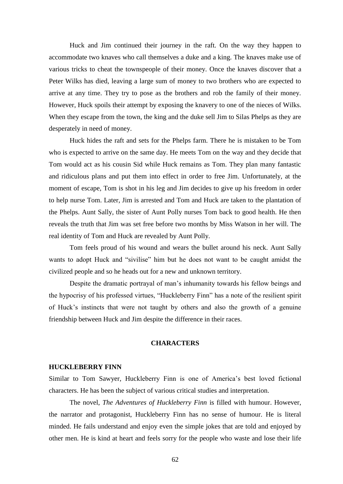Huck and Jim continued their journey in the raft. On the way they happen to accommodate two knaves who call themselves a duke and a king. The knaves make use of various tricks to cheat the townspeople of their money. Once the knaves discover that a Peter Wilks has died, leaving a large sum of money to two brothers who are expected to arrive at any time. They try to pose as the brothers and rob the family of their money. However, Huck spoils their attempt by exposing the knavery to one of the nieces of Wilks. When they escape from the town, the king and the duke sell Jim to Silas Phelps as they are desperately in need of money.

Huck hides the raft and sets for the Phelps farm. There he is mistaken to be Tom who is expected to arrive on the same day. He meets Tom on the way and they decide that Tom would act as his cousin Sid while Huck remains as Tom. They plan many fantastic and ridiculous plans and put them into effect in order to free Jim. Unfortunately, at the moment of escape, Tom is shot in his leg and Jim decides to give up his freedom in order to help nurse Tom. Later, Jim is arrested and Tom and Huck are taken to the plantation of the Phelps. Aunt Sally, the sister of Aunt Polly nurses Tom back to good health. He then reveals the truth that Jim was set free before two months by Miss Watson in her will. The real identity of Tom and Huck are revealed by Aunt Polly.

Tom feels proud of his wound and wears the bullet around his neck. Aunt Sally wants to adopt Huck and "sivilise" him but he does not want to be caught amidst the civilized people and so he heads out for a new and unknown territory.

Despite the dramatic portrayal of man's inhumanity towards his fellow beings and the hypocrisy of his professed virtues, "Huckleberry Finn" has a note of the resilient spirit of Huck's instincts that were not taught by others and also the growth of a genuine friendship between Huck and Jim despite the difference in their races.

### **CHARACTERS**

#### **HUCKLEBERRY FINN**

Similar to Tom Sawyer, Huckleberry Finn is one of America's best loved fictional characters. He has been the subject of various critical studies and interpretation.

The novel, *The Adventures of Huckleberry Finn* is filled with humour. However, the narrator and protagonist, Huckleberry Finn has no sense of humour. He is literal minded. He fails understand and enjoy even the simple jokes that are told and enjoyed by other men. He is kind at heart and feels sorry for the people who waste and lose their life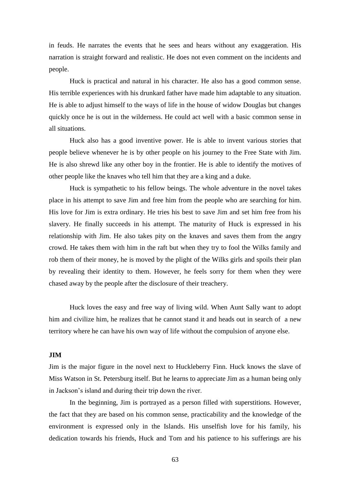in feuds. He narrates the events that he sees and hears without any exaggeration. His narration is straight forward and realistic. He does not even comment on the incidents and people.

Huck is practical and natural in his character. He also has a good common sense. His terrible experiences with his drunkard father have made him adaptable to any situation. He is able to adjust himself to the ways of life in the house of widow Douglas but changes quickly once he is out in the wilderness. He could act well with a basic common sense in all situations.

Huck also has a good inventive power. He is able to invent various stories that people believe whenever he is by other people on his journey to the Free State with Jim. He is also shrewd like any other boy in the frontier. He is able to identify the motives of other people like the knaves who tell him that they are a king and a duke.

Huck is sympathetic to his fellow beings. The whole adventure in the novel takes place in his attempt to save Jim and free him from the people who are searching for him. His love for Jim is extra ordinary. He tries his best to save Jim and set him free from his slavery. He finally succeeds in his attempt. The maturity of Huck is expressed in his relationship with Jim. He also takes pity on the knaves and saves them from the angry crowd. He takes them with him in the raft but when they try to fool the Wilks family and rob them of their money, he is moved by the plight of the Wilks girls and spoils their plan by revealing their identity to them. However, he feels sorry for them when they were chased away by the people after the disclosure of their treachery.

Huck loves the easy and free way of living wild. When Aunt Sally want to adopt him and civilize him, he realizes that he cannot stand it and heads out in search of a new territory where he can have his own way of life without the compulsion of anyone else.

#### **JIM**

Jim is the major figure in the novel next to Huckleberry Finn. Huck knows the slave of Miss Watson in St. Petersburg itself. But he learns to appreciate Jim as a human being only in Jackson's island and during their trip down the river.

In the beginning, Jim is portrayed as a person filled with superstitions. However, the fact that they are based on his common sense, practicability and the knowledge of the environment is expressed only in the Islands. His unselfish love for his family, his dedication towards his friends, Huck and Tom and his patience to his sufferings are his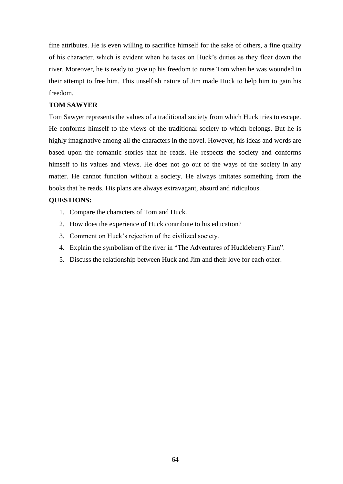fine attributes. He is even willing to sacrifice himself for the sake of others, a fine quality of his character, which is evident when he takes on Huck's duties as they float down the river. Moreover, he is ready to give up his freedom to nurse Tom when he was wounded in their attempt to free him. This unselfish nature of Jim made Huck to help him to gain his freedom.

#### **TOM SAWYER**

Tom Sawyer represents the values of a traditional society from which Huck tries to escape. He conforms himself to the views of the traditional society to which belongs. But he is highly imaginative among all the characters in the novel. However, his ideas and words are based upon the romantic stories that he reads. He respects the society and conforms himself to its values and views. He does not go out of the ways of the society in any matter. He cannot function without a society. He always imitates something from the books that he reads. His plans are always extravagant, absurd and ridiculous.

#### **QUESTIONS:**

- 1. Compare the characters of Tom and Huck.
- 2. How does the experience of Huck contribute to his education?
- 3. Comment on Huck's rejection of the civilized society.
- 4. Explain the symbolism of the river in "The Adventures of Huckleberry Finn".
- 5. Discuss the relationship between Huck and Jim and their love for each other.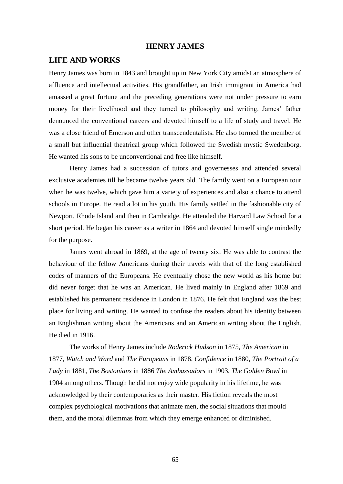### **HENRY JAMES**

### **LIFE AND WORKS**

Henry James was born in 1843 and brought up in New York City amidst an atmosphere of affluence and intellectual activities. His grandfather, an Irish immigrant in America had amassed a great fortune and the preceding generations were not under pressure to earn money for their livelihood and they turned to philosophy and writing. James' father denounced the conventional careers and devoted himself to a life of study and travel. He was a close friend of Emerson and other transcendentalists. He also formed the member of a small but influential theatrical group which followed the Swedish mystic Swedenborg. He wanted his sons to be unconventional and free like himself.

Henry James had a succession of tutors and governesses and attended several exclusive academies till he became twelve years old. The family went on a European tour when he was twelve, which gave him a variety of experiences and also a chance to attend schools in Europe. He read a lot in his youth. His family settled in the fashionable city of Newport, Rhode Island and then in Cambridge. He attended the Harvard Law School for a short period. He began his career as a writer in 1864 and devoted himself single mindedly for the purpose.

James went abroad in 1869, at the age of twenty six. He was able to contrast the behaviour of the fellow Americans during their travels with that of the long established codes of manners of the Europeans. He eventually chose the new world as his home but did never forget that he was an American. He lived mainly in England after 1869 and established his permanent residence in London in 1876. He felt that England was the best place for living and writing. He wanted to confuse the readers about his identity between an Englishman writing about the Americans and an American writing about the English. He died in 1916.

The works of Henry James include *Roderick Hudson* in 1875, *The American* in 1877, *Watch and Ward* and *The Europeans* in 1878, *Confidence* in 1880*, The Portrait of a Lady* in 1881, *The Bostonians* in 1886 *The Ambassadors* in 1903, *The Golden Bowl* in 1904 among others. Though he did not enjoy wide popularity in his lifetime, he was acknowledged by their contemporaries as their master. His fiction reveals the most complex psychological motivations that animate men, the social situations that mould them, and the moral dilemmas from which they emerge enhanced or diminished.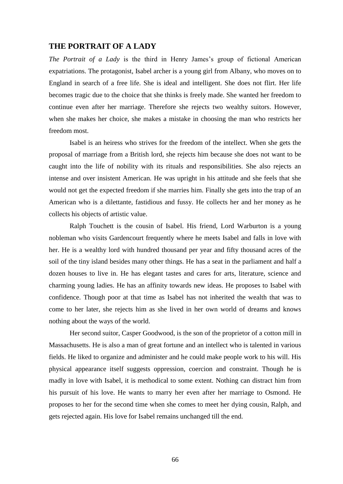#### **THE PORTRAIT OF A LADY**

*The Portrait of a Lady* is the third in Henry James's group of fictional American expatriations. The protagonist, Isabel archer is a young girl from Albany, who moves on to England in search of a free life. She is ideal and intelligent. She does not flirt. Her life becomes tragic due to the choice that she thinks is freely made. She wanted her freedom to continue even after her marriage. Therefore she rejects two wealthy suitors. However, when she makes her choice, she makes a mistake in choosing the man who restricts her freedom most.

Isabel is an heiress who strives for the freedom of the intellect. When she gets the proposal of marriage from a British lord, she rejects him because she does not want to be caught into the life of nobility with its rituals and responsibilities. She also rejects an intense and over insistent American. He was upright in his attitude and she feels that she would not get the expected freedom if she marries him. Finally she gets into the trap of an American who is a dilettante, fastidious and fussy. He collects her and her money as he collects his objects of artistic value.

Ralph Touchett is the cousin of Isabel. His friend, Lord Warburton is a young nobleman who visits Gardencourt frequently where he meets Isabel and falls in love with her. He is a wealthy lord with hundred thousand per year and fifty thousand acres of the soil of the tiny island besides many other things. He has a seat in the parliament and half a dozen houses to live in. He has elegant tastes and cares for arts, literature, science and charming young ladies. He has an affinity towards new ideas. He proposes to Isabel with confidence. Though poor at that time as Isabel has not inherited the wealth that was to come to her later, she rejects him as she lived in her own world of dreams and knows nothing about the ways of the world.

Her second suitor, Casper Goodwood, is the son of the proprietor of a cotton mill in Massachusetts. He is also a man of great fortune and an intellect who is talented in various fields. He liked to organize and administer and he could make people work to his will. His physical appearance itself suggests oppression, coercion and constraint. Though he is madly in love with Isabel, it is methodical to some extent. Nothing can distract him from his pursuit of his love. He wants to marry her even after her marriage to Osmond. He proposes to her for the second time when she comes to meet her dying cousin, Ralph, and gets rejected again. His love for Isabel remains unchanged till the end.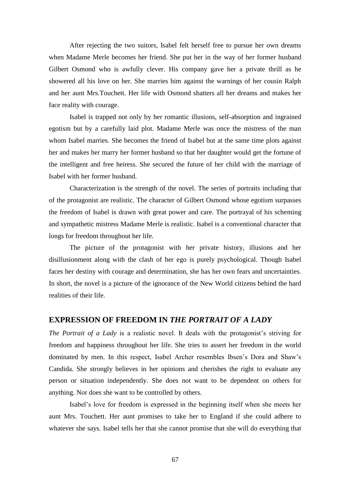After rejecting the two suitors, Isabel felt herself free to pursue her own dreams when Madame Merle becomes her friend. She put her in the way of her former husband Gilbert Osmond who is awfully clever. His company gave her a private thrill as he showered all his love on her. She marries him against the warnings of her cousin Ralph and her aunt Mrs.Touchett. Her life with Osmond shatters all her dreams and makes her face reality with courage.

Isabel is trapped not only by her romantic illusions, self-absorption and ingrained egotism but by a carefully laid plot. Madame Merle was once the mistress of the man whom Isabel marries. She becomes the friend of Isabel but at the same time plots against her and makes her marry her former husband so that her daughter would get the fortune of the intelligent and free heiress. She secured the future of her child with the marriage of Isabel with her former husband.

Characterization is the strength of the novel. The series of portraits including that of the protagonist are realistic. The character of Gilbert Osmond whose egotism surpasses the freedom of Isabel is drawn with great power and care. The portrayal of his scheming and sympathetic mistress Madame Merle is realistic. Isabel is a conventional character that longs for freedom throughout her life.

The picture of the protagonist with her private history, illusions and her disillusionment along with the clash of her ego is purely psychological. Though Isabel faces her destiny with courage and determination, she has her own fears and uncertainties. In short, the novel is a picture of the ignorance of the New World citizens behind the hard realities of their life.

## **EXPRESSION OF FREEDOM IN** *THE PORTRAIT OF A LADY*

*The Portrait of a Lady* is a realistic novel. It deals with the protagonist's striving for freedom and happiness throughout her life. She tries to assert her freedom in the world dominated by men. In this respect, Isabel Archer resembles Ibsen's Dora and Shaw's Candida. She strongly believes in her opinions and cherishes the right to evaluate any person or situation independently. She does not want to be dependent on others for anything. Nor does she want to be controlled by others.

Isabel's love for freedom is expressed in the beginning itself when she meets her aunt Mrs. Touchett. Her aunt promises to take her to England if she could adhere to whatever she says. Isabel tells her that she cannot promise that she will do everything that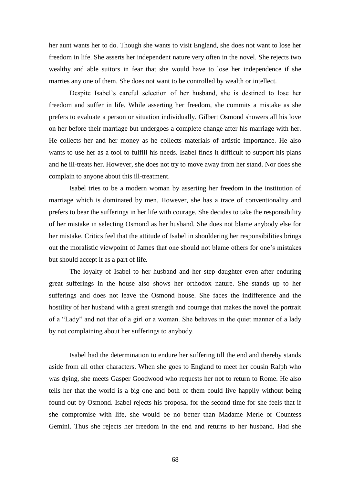her aunt wants her to do. Though she wants to visit England, she does not want to lose her freedom in life. She asserts her independent nature very often in the novel. She rejects two wealthy and able suitors in fear that she would have to lose her independence if she marries any one of them. She does not want to be controlled by wealth or intellect.

Despite Isabel's careful selection of her husband, she is destined to lose her freedom and suffer in life. While asserting her freedom, she commits a mistake as she prefers to evaluate a person or situation individually. Gilbert Osmond showers all his love on her before their marriage but undergoes a complete change after his marriage with her. He collects her and her money as he collects materials of artistic importance. He also wants to use her as a tool to fulfill his needs. Isabel finds it difficult to support his plans and he ill-treats her. However, she does not try to move away from her stand. Nor does she complain to anyone about this ill-treatment.

Isabel tries to be a modern woman by asserting her freedom in the institution of marriage which is dominated by men. However, she has a trace of conventionality and prefers to bear the sufferings in her life with courage. She decides to take the responsibility of her mistake in selecting Osmond as her husband. She does not blame anybody else for her mistake. Critics feel that the attitude of Isabel in shouldering her responsibilities brings out the moralistic viewpoint of James that one should not blame others for one's mistakes but should accept it as a part of life.

The loyalty of Isabel to her husband and her step daughter even after enduring great sufferings in the house also shows her orthodox nature. She stands up to her sufferings and does not leave the Osmond house. She faces the indifference and the hostility of her husband with a great strength and courage that makes the novel the portrait of a "Lady" and not that of a girl or a woman. She behaves in the quiet manner of a lady by not complaining about her sufferings to anybody.

Isabel had the determination to endure her suffering till the end and thereby stands aside from all other characters. When she goes to England to meet her cousin Ralph who was dying, she meets Gasper Goodwood who requests her not to return to Rome. He also tells her that the world is a big one and both of them could live happily without being found out by Osmond. Isabel rejects his proposal for the second time for she feels that if she compromise with life, she would be no better than Madame Merle or Countess Gemini. Thus she rejects her freedom in the end and returns to her husband. Had she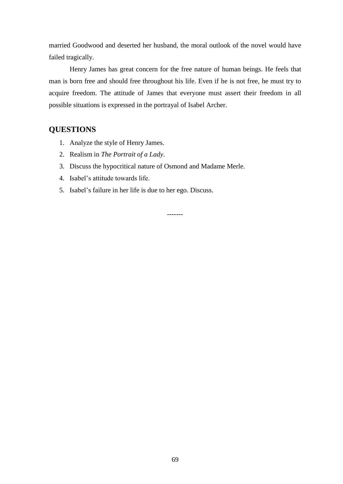married Goodwood and deserted her husband, the moral outlook of the novel would have failed tragically.

Henry James has great concern for the free nature of human beings. He feels that man is born free and should free throughout his life. Even if he is not free, he must try to acquire freedom. The attitude of James that everyone must assert their freedom in all possible situations is expressed in the portrayal of Isabel Archer.

## **QUESTIONS**

- 1. Analyze the style of Henry James.
- 2. Realism in *The Portrait of a Lady*.
- 3. Discuss the hypocritical nature of Osmond and Madame Merle.
- 4. Isabel's attitude towards life.
- 5. Isabel's failure in her life is due to her ego. Discuss.

-------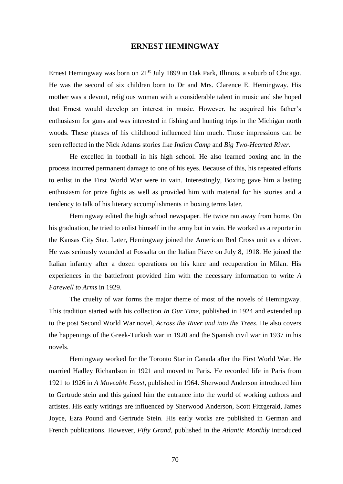### **ERNEST HEMINGWAY**

Ernest Hemingway was born on  $21^{st}$  July 1899 in Oak Park, Illinois, a suburb of Chicago. He was the second of six children born to Dr and Mrs. Clarence E. Hemingway. His mother was a devout, religious woman with a considerable talent in music and she hoped that Ernest would develop an interest in music. However, he acquired his father's enthusiasm for guns and was interested in fishing and hunting trips in the Michigan north woods. These phases of his childhood influenced him much. Those impressions can be seen reflected in the Nick Adams stories like *Indian Camp* and *Big Two-Hearted River*.

He excelled in football in his high school. He also learned boxing and in the process incurred permanent damage to one of his eyes. Because of this, his repeated efforts to enlist in the First World War were in vain. Interestingly, Boxing gave him a lasting enthusiasm for prize fights as well as provided him with material for his stories and a tendency to talk of his literary accomplishments in boxing terms later.

Hemingway edited the high school newspaper. He twice ran away from home. On his graduation, he tried to enlist himself in the army but in vain. He worked as a reporter in the Kansas City Star. Later, Hemingway joined the American Red Cross unit as a driver. He was seriously wounded at Fossalta on the Italian Piave on July 8, 1918. He joined the Italian infantry after a dozen operations on his knee and recuperation in Milan. His experiences in the battlefront provided him with the necessary information to write *A Farewell to Arms* in 1929.

The cruelty of war forms the major theme of most of the novels of Hemingway. This tradition started with his collection *In Our Time*, published in 1924 and extended up to the post Second World War novel, *Across the River and into the Trees*. He also covers the happenings of the Greek-Turkish war in 1920 and the Spanish civil war in 1937 in his novels.

Hemingway worked for the Toronto Star in Canada after the First World War. He married Hadley Richardson in 1921 and moved to Paris. He recorded life in Paris from 1921 to 1926 in *A Moveable Feast*, published in 1964. Sherwood Anderson introduced him to Gertrude stein and this gained him the entrance into the world of working authors and artistes. His early writings are influenced by Sherwood Anderson, Scott Fitzgerald, James Joyce, Ezra Pound and Gertrude Stein. His early works are published in German and French publications. However, *Fifty Grand*, published in the *Atlantic Monthly* introduced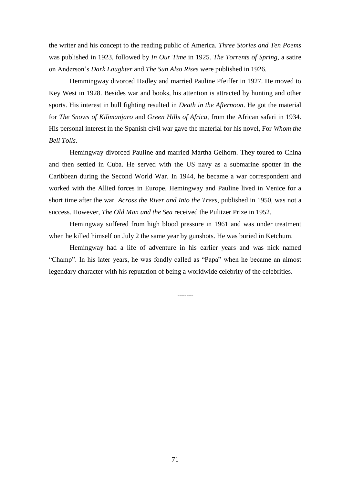the writer and his concept to the reading public of America. *Three Stories and Ten Poems*  was published in 1923, followed by *In Our Time* in 1925. *The Torrents of Spring*, a satire on Anderson's *Dark Laughter* and *The Sun Also Rises* were published in 1926.

Hemmingway divorced Hadley and married Pauline Pfeiffer in 1927. He moved to Key West in 1928. Besides war and books, his attention is attracted by hunting and other sports. His interest in bull fighting resulted in *Death in the Afternoon*. He got the material for *The Snows of Kilimanjaro* and *Green Hills of Africa*, from the African safari in 1934. His personal interest in the Spanish civil war gave the material for his novel, For *Whom the Bell Tolls*.

Hemingway divorced Pauline and married Martha Gelhorn. They toured to China and then settled in Cuba. He served with the US navy as a submarine spotter in the Caribbean during the Second World War. In 1944, he became a war correspondent and worked with the Allied forces in Europe. Hemingway and Pauline lived in Venice for a short time after the war. *Across the River and Into the Trees*, published in 1950, was not a success. However, *The Old Man and the Sea* received the Pulitzer Prize in 1952.

Hemingway suffered from high blood pressure in 1961 and was under treatment when he killed himself on July 2 the same year by gunshots. He was buried in Ketchum.

Hemingway had a life of adventure in his earlier years and was nick named "Champ". In his later years, he was fondly called as "Papa" when he became an almost legendary character with his reputation of being a worldwide celebrity of the celebrities.

-------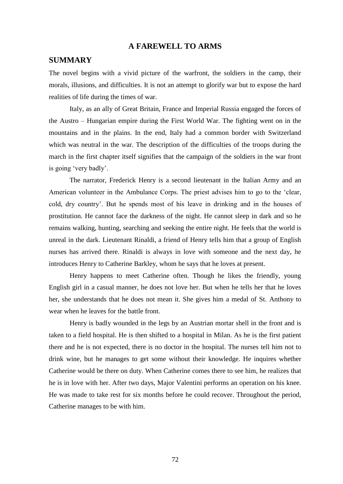# **A FAREWELL TO ARMS**

# **SUMMARY**

The novel begins with a vivid picture of the warfront, the soldiers in the camp, their morals, illusions, and difficulties. It is not an attempt to glorify war but to expose the hard realities of life during the times of war.

Italy, as an ally of Great Britain, France and Imperial Russia engaged the forces of the Austro – Hungarian empire during the First World War. The fighting went on in the mountains and in the plains. In the end, Italy had a common border with Switzerland which was neutral in the war. The description of the difficulties of the troops during the march in the first chapter itself signifies that the campaign of the soldiers in the war front is going 'very badly'.

The narrator, Frederick Henry is a second lieutenant in the Italian Army and an American volunteer in the Ambulance Corps. The priest advises him to go to the 'clear, cold, dry country'. But he spends most of his leave in drinking and in the houses of prostitution. He cannot face the darkness of the night. He cannot sleep in dark and so he remains walking, hunting, searching and seeking the entire night. He feels that the world is unreal in the dark. Lieutenant Rinaldi, a friend of Henry tells him that a group of English nurses has arrived there. Rinaldi is always in love with someone and the next day, he introduces Henry to Catherine Barkley, whom he says that he loves at present.

Henry happens to meet Catherine often. Though he likes the friendly, young English girl in a casual manner, he does not love her. But when he tells her that he loves her, she understands that he does not mean it. She gives him a medal of St. Anthony to wear when he leaves for the battle front.

Henry is badly wounded in the legs by an Austrian mortar shell in the front and is taken to a field hospital. He is then shifted to a hospital in Milan. As he is the first patient there and he is not expected, there is no doctor in the hospital. The nurses tell him not to drink wine, but he manages to get some without their knowledge. He inquires whether Catherine would be there on duty. When Catherine comes there to see him, he realizes that he is in love with her. After two days, Major Valentini performs an operation on his knee. He was made to take rest for six months before he could recover. Throughout the period, Catherine manages to be with him.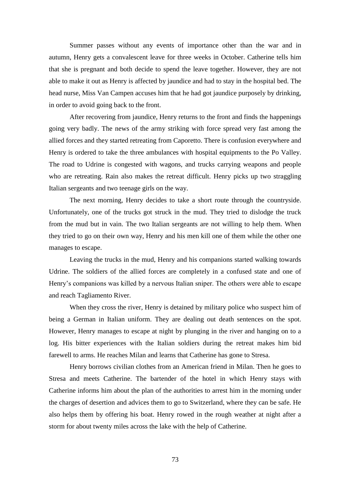Summer passes without any events of importance other than the war and in autumn, Henry gets a convalescent leave for three weeks in October. Catherine tells him that she is pregnant and both decide to spend the leave together. However, they are not able to make it out as Henry is affected by jaundice and had to stay in the hospital bed. The head nurse, Miss Van Campen accuses him that he had got jaundice purposely by drinking, in order to avoid going back to the front.

After recovering from jaundice, Henry returns to the front and finds the happenings going very badly. The news of the army striking with force spread very fast among the allied forces and they started retreating from Caporetto. There is confusion everywhere and Henry is ordered to take the three ambulances with hospital equipments to the Po Valley. The road to Udrine is congested with wagons, and trucks carrying weapons and people who are retreating. Rain also makes the retreat difficult. Henry picks up two straggling Italian sergeants and two teenage girls on the way.

The next morning, Henry decides to take a short route through the countryside. Unfortunately, one of the trucks got struck in the mud. They tried to dislodge the truck from the mud but in vain. The two Italian sergeants are not willing to help them. When they tried to go on their own way, Henry and his men kill one of them while the other one manages to escape.

Leaving the trucks in the mud, Henry and his companions started walking towards Udrine. The soldiers of the allied forces are completely in a confused state and one of Henry's companions was killed by a nervous Italian sniper. The others were able to escape and reach Tagliamento River.

When they cross the river, Henry is detained by military police who suspect him of being a German in Italian uniform. They are dealing out death sentences on the spot. However, Henry manages to escape at night by plunging in the river and hanging on to a log. His bitter experiences with the Italian soldiers during the retreat makes him bid farewell to arms. He reaches Milan and learns that Catherine has gone to Stresa.

Henry borrows civilian clothes from an American friend in Milan. Then he goes to Stresa and meets Catherine. The bartender of the hotel in which Henry stays with Catherine informs him about the plan of the authorities to arrest him in the morning under the charges of desertion and advices them to go to Switzerland, where they can be safe. He also helps them by offering his boat. Henry rowed in the rough weather at night after a storm for about twenty miles across the lake with the help of Catherine.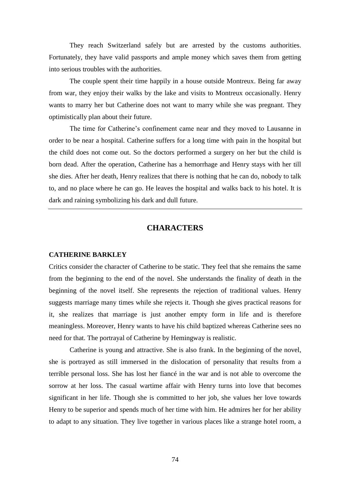They reach Switzerland safely but are arrested by the customs authorities. Fortunately, they have valid passports and ample money which saves them from getting into serious troubles with the authorities.

The couple spent their time happily in a house outside Montreux. Being far away from war, they enjoy their walks by the lake and visits to Montreux occasionally. Henry wants to marry her but Catherine does not want to marry while she was pregnant. They optimistically plan about their future.

The time for Catherine's confinement came near and they moved to Lausanne in order to be near a hospital. Catherine suffers for a long time with pain in the hospital but the child does not come out. So the doctors performed a surgery on her but the child is born dead. After the operation, Catherine has a hemorrhage and Henry stays with her till she dies. After her death, Henry realizes that there is nothing that he can do, nobody to talk to, and no place where he can go. He leaves the hospital and walks back to his hotel. It is dark and raining symbolizing his dark and dull future.

## **CHARACTERS**

#### **CATHERINE BARKLEY**

Critics consider the character of Catherine to be static. They feel that she remains the same from the beginning to the end of the novel. She understands the finality of death in the beginning of the novel itself. She represents the rejection of traditional values. Henry suggests marriage many times while she rejects it. Though she gives practical reasons for it, she realizes that marriage is just another empty form in life and is therefore meaningless. Moreover, Henry wants to have his child baptized whereas Catherine sees no need for that. The portrayal of Catherine by Hemingway is realistic.

Catherine is young and attractive. She is also frank. In the beginning of the novel, she is portrayed as still immersed in the dislocation of personality that results from a terrible personal loss. She has lost her fiancé in the war and is not able to overcome the sorrow at her loss. The casual wartime affair with Henry turns into love that becomes significant in her life. Though she is committed to her job, she values her love towards Henry to be superior and spends much of her time with him. He admires her for her ability to adapt to any situation. They live together in various places like a strange hotel room, a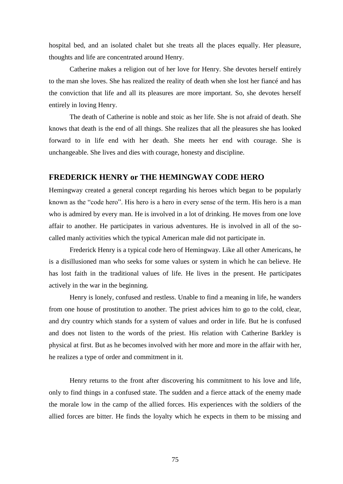hospital bed, and an isolated chalet but she treats all the places equally. Her pleasure, thoughts and life are concentrated around Henry.

Catherine makes a religion out of her love for Henry. She devotes herself entirely to the man she loves. She has realized the reality of death when she lost her fiancé and has the conviction that life and all its pleasures are more important. So, she devotes herself entirely in loving Henry.

The death of Catherine is noble and stoic as her life. She is not afraid of death. She knows that death is the end of all things. She realizes that all the pleasures she has looked forward to in life end with her death. She meets her end with courage. She is unchangeable. She lives and dies with courage, honesty and discipline.

# **FREDERICK HENRY or THE HEMINGWAY CODE HERO**

Hemingway created a general concept regarding his heroes which began to be popularly known as the "code hero". His hero is a hero in every sense of the term. His hero is a man who is admired by every man. He is involved in a lot of drinking. He moves from one love affair to another. He participates in various adventures. He is involved in all of the socalled manly activities which the typical American male did not participate in.

Frederick Henry is a typical code hero of Hemingway. Like all other Americans, he is a disillusioned man who seeks for some values or system in which he can believe. He has lost faith in the traditional values of life. He lives in the present. He participates actively in the war in the beginning.

Henry is lonely, confused and restless. Unable to find a meaning in life, he wanders from one house of prostitution to another. The priest advices him to go to the cold, clear, and dry country which stands for a system of values and order in life. But he is confused and does not listen to the words of the priest. His relation with Catherine Barkley is physical at first. But as he becomes involved with her more and more in the affair with her, he realizes a type of order and commitment in it.

Henry returns to the front after discovering his commitment to his love and life, only to find things in a confused state. The sudden and a fierce attack of the enemy made the morale low in the camp of the allied forces. His experiences with the soldiers of the allied forces are bitter. He finds the loyalty which he expects in them to be missing and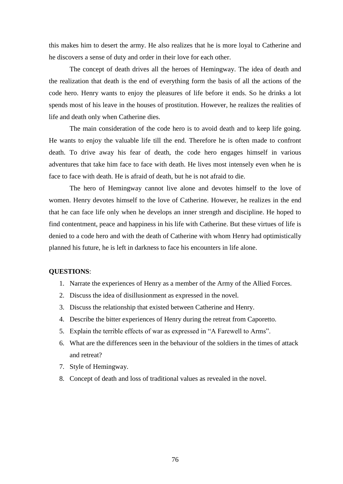this makes him to desert the army. He also realizes that he is more loyal to Catherine and he discovers a sense of duty and order in their love for each other.

The concept of death drives all the heroes of Hemingway. The idea of death and the realization that death is the end of everything form the basis of all the actions of the code hero. Henry wants to enjoy the pleasures of life before it ends. So he drinks a lot spends most of his leave in the houses of prostitution. However, he realizes the realities of life and death only when Catherine dies.

The main consideration of the code hero is to avoid death and to keep life going. He wants to enjoy the valuable life till the end. Therefore he is often made to confront death. To drive away his fear of death, the code hero engages himself in various adventures that take him face to face with death. He lives most intensely even when he is face to face with death. He is afraid of death, but he is not afraid to die.

The hero of Hemingway cannot live alone and devotes himself to the love of women. Henry devotes himself to the love of Catherine. However, he realizes in the end that he can face life only when he develops an inner strength and discipline. He hoped to find contentment, peace and happiness in his life with Catherine. But these virtues of life is denied to a code hero and with the death of Catherine with whom Henry had optimistically planned his future, he is left in darkness to face his encounters in life alone.

#### **QUESTIONS**:

- 1. Narrate the experiences of Henry as a member of the Army of the Allied Forces.
- 2. Discuss the idea of disillusionment as expressed in the novel.
- 3. Discuss the relationship that existed between Catherine and Henry.
- 4. Describe the bitter experiences of Henry during the retreat from Caporetto.
- 5. Explain the terrible effects of war as expressed in "A Farewell to Arms".
- 6. What are the differences seen in the behaviour of the soldiers in the times of attack and retreat?
- 7. Style of Hemingway.
- 8. Concept of death and loss of traditional values as revealed in the novel.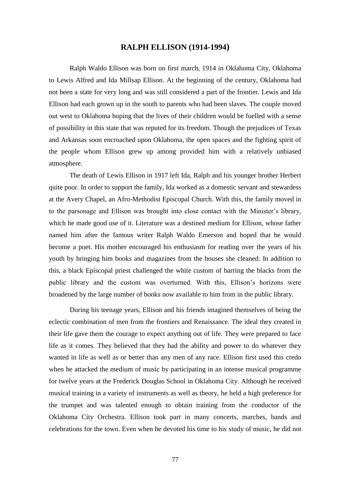## **RALPH ELLISON (1914-1994)**

Ralph Waldo Ellison was born on first march, 1914 in Oklahoma City, Oklahoma to Lewis Alfred and Ida Millsap Ellison. At the beginning of the century, Oklahoma had not been a state for very long and was still considered a part of the frontier. Lewis and Ida Ellison had each grown up in the south to parents who had been slaves. The couple moved out west to Oklahoma hoping that the lives of their children would be fuelled with a sense of possibility in this state that was reputed for its freedom. Though the prejudices of Texas and Arkansas soon encroached upon Oklahoma, the open spaces and the fighting spirit of the people whom Ellison grew up among provided him with a relatively unbiased atmosphere.

The death of Lewis Ellison in 1917 left Ida, Ralph and his younger brother Herbert quite poor. In order to support the family, Ida worked as a domestic servant and stewardess at the Avery Chapel, an Afro-Methodist Episcopal Church. With this, the family moved in to the parsonage and Ellison was brought into close contact with the Minister's library, which he made good use of it. Literature was a destined medium for Ellison, whose father named him after the famous writer Ralph Waldo Emerson and hoped that he would become a poet. His mother encouraged his enthusiasm for reading over the years of his youth by bringing him books and magazines from the houses she cleaned. In addition to this, a black Episcopal priest challenged the white custom of barring the blacks from the public library and the custom was overturned. With this, Ellison's horizons were broadened by the large number of books now available to him from in the public library.

During his teenage years, Ellison and his friends imagined themselves of being the eclectic combination of men from the frontiers and Renaissance. The ideal they created in their life gave them the courage to expect anything out of life. They were prepared to face life as it comes. They believed that they had the ability and power to do whatever they wanted in life as well as or better than any men of any race. Ellison first used this credo when he attacked the medium of music by participating in an intense musical programme for twelve years at the Frederick Douglas School in Oklahoma City. Although he received musical training in a variety of instruments as well as theory, he held a high preference for the trumpet and was talented enough to obtain training from the conductor of the Oklahoma City Orchestra. Ellison took part in many concerts, marches, bands and celebrations for the town. Even when he devoted his time to his study of music, he did not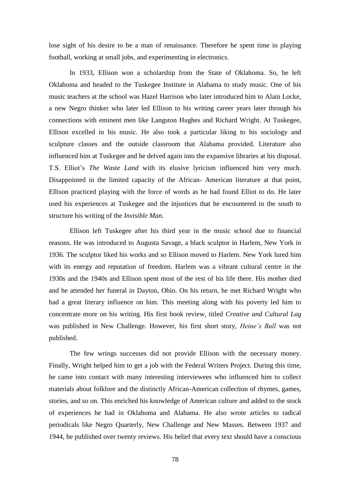lose sight of his desire to be a man of renaissance. Therefore he spent time in playing football, working at small jobs, and experimenting in electronics.

In 1933, Ellison won a scholarship from the State of Oklahoma. So, he left Oklahoma and headed to the Tuskegee Institute in Alabama to study music. One of his music teachers at the school was Hazel Harrison who later introduced him to Alain Locke, a new Negro thinker who later led Ellison to his writing career years later through his connections with eminent men like Langston Hughes and Richard Wright. At Tuskegee, Ellison excelled in his music. He also took a particular liking to his sociology and sculpture classes and the outside classroom that Alabama provided. Literature also influenced him at Tuskegee and he delved again into the expansive libraries at his disposal. T.S. Elliot's *The Waste Land* with its elusive lyricism influenced him very much. Disappointed in the limited capacity of the African- American literature at that point, Ellison practiced playing with the force of words as he had found Elliot to do. He later used his experiences at Tuskegee and the injustices that he encountered in the south to structure his writing of the *Invisible Man*.

Ellison left Tuskegee after his third year in the music school due to financial reasons. He was introduced to Augusta Savage, a black sculptor in Harlem, New York in 1936. The sculptor liked his works and so Ellison moved to Harlem. New York lured him with its energy and reputation of freedom. Harlem was a vibrant cultural centre in the 1930s and the 1940s and Ellison spent most of the rest of his life there. His mother died and he attended her funeral in Dayton, Ohio. On his return, he met Richard Wright who had a great literary influence on him. This meeting along with his poverty led him to concentrate more on his writing. His first book review, titled *Creative and Cultural Lag* was published in New Challenge. However, his first short story, *Heine's Bull* was not published.

The few wrings successes did not provide Ellison with the necessary money. Finally, Wright helped him to get a job with the Federal Writers Project. During this time, he came into contact with many interesting interviewees who influenced him to collect materials about folklore and the distinctly African-American collection of rhymes, games, stories, and so on. This enriched his knowledge of American culture and added to the stock of experiences he had in Oklahoma and Alabama. He also wrote articles to radical periodicals like Negro Quarterly, New Challenge and New Masses. Between 1937 and 1944, he published over twenty reviews. His belief that every text should have a conscious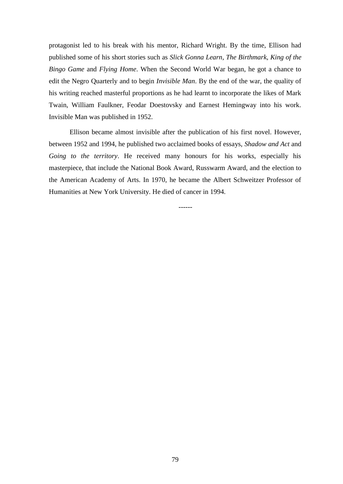protagonist led to his break with his mentor, Richard Wright. By the time, Ellison had published some of his short stories such as *Slick Gonna Learn*, *The Birthmark*, *King of the Bingo Game* and *Flying Home*. When the Second World War began, he got a chance to edit the Negro Quarterly and to begin *Invisible Man*. By the end of the war, the quality of his writing reached masterful proportions as he had learnt to incorporate the likes of Mark Twain, William Faulkner, Feodar Doestovsky and Earnest Hemingway into his work. Invisible Man was published in 1952.

Ellison became almost invisible after the publication of his first novel. However, between 1952 and 1994, he published two acclaimed books of essays, *Shadow and Act* and *Going to the territory*. He received many honours for his works, especially his masterpiece, that include the National Book Award, Russwarm Award, and the election to the American Academy of Arts. In 1970, he became the Albert Schweitzer Professor of Humanities at New York University. He died of cancer in 1994.

------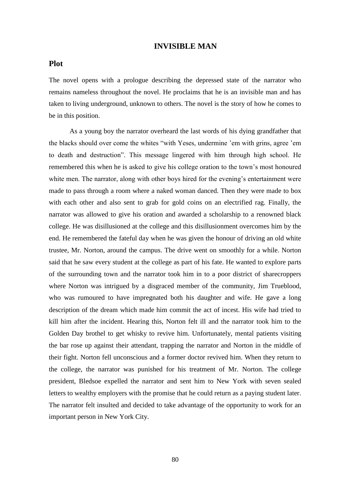# **INVISIBLE MAN**

# **Plot**

The novel opens with a prologue describing the depressed state of the narrator who remains nameless throughout the novel. He proclaims that he is an invisible man and has taken to living underground, unknown to others. The novel is the story of how he comes to be in this position.

As a young boy the narrator overheard the last words of his dying grandfather that the blacks should over come the whites "with Yeses, undermine 'em with grins, agree 'em to death and destruction". This message lingered with him through high school. He remembered this when he is asked to give his college oration to the town's most honoured white men. The narrator, along with other boys hired for the evening's entertainment were made to pass through a room where a naked woman danced. Then they were made to box with each other and also sent to grab for gold coins on an electrified rag. Finally, the narrator was allowed to give his oration and awarded a scholarship to a renowned black college. He was disillusioned at the college and this disillusionment overcomes him by the end. He remembered the fateful day when he was given the honour of driving an old white trustee, Mr. Norton, around the campus. The drive went on smoothly for a while. Norton said that he saw every student at the college as part of his fate. He wanted to explore parts of the surrounding town and the narrator took him in to a poor district of sharecroppers where Norton was intrigued by a disgraced member of the community, Jim Trueblood, who was rumoured to have impregnated both his daughter and wife. He gave a long description of the dream which made him commit the act of incest. His wife had tried to kill him after the incident. Hearing this, Norton felt ill and the narrator took him to the Golden Day brothel to get whisky to revive him. Unfortunately, mental patients visiting the bar rose up against their attendant, trapping the narrator and Norton in the middle of their fight. Norton fell unconscious and a former doctor revived him. When they return to the college, the narrator was punished for his treatment of Mr. Norton. The college president, Bledsoe expelled the narrator and sent him to New York with seven sealed letters to wealthy employers with the promise that he could return as a paying student later. The narrator felt insulted and decided to take advantage of the opportunity to work for an important person in New York City.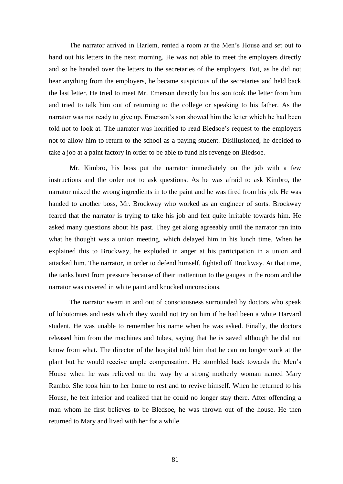The narrator arrived in Harlem, rented a room at the Men's House and set out to hand out his letters in the next morning. He was not able to meet the employers directly and so he handed over the letters to the secretaries of the employers. But, as he did not hear anything from the employers, he became suspicious of the secretaries and held back the last letter. He tried to meet Mr. Emerson directly but his son took the letter from him and tried to talk him out of returning to the college or speaking to his father. As the narrator was not ready to give up, Emerson's son showed him the letter which he had been told not to look at. The narrator was horrified to read Bledsoe's request to the employers not to allow him to return to the school as a paying student. Disillusioned, he decided to take a job at a paint factory in order to be able to fund his revenge on Bledsoe.

Mr. Kimbro, his boss put the narrator immediately on the job with a few instructions and the order not to ask questions. As he was afraid to ask Kimbro, the narrator mixed the wrong ingredients in to the paint and he was fired from his job. He was handed to another boss, Mr. Brockway who worked as an engineer of sorts. Brockway feared that the narrator is trying to take his job and felt quite irritable towards him. He asked many questions about his past. They get along agreeably until the narrator ran into what he thought was a union meeting, which delayed him in his lunch time. When he explained this to Brockway, he exploded in anger at his participation in a union and attacked him. The narrator, in order to defend himself, fighted off Brockway. At that time, the tanks burst from pressure because of their inattention to the gauges in the room and the narrator was covered in white paint and knocked unconscious.

The narrator swam in and out of consciousness surrounded by doctors who speak of lobotomies and tests which they would not try on him if he had been a white Harvard student. He was unable to remember his name when he was asked. Finally, the doctors released him from the machines and tubes, saying that he is saved although he did not know from what. The director of the hospital told him that he can no longer work at the plant but he would receive ample compensation. He stumbled back towards the Men's House when he was relieved on the way by a strong motherly woman named Mary Rambo. She took him to her home to rest and to revive himself. When he returned to his House, he felt inferior and realized that he could no longer stay there. After offending a man whom he first believes to be Bledsoe, he was thrown out of the house. He then returned to Mary and lived with her for a while.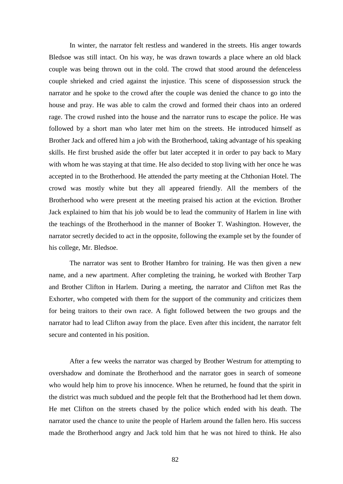In winter, the narrator felt restless and wandered in the streets. His anger towards Bledsoe was still intact. On his way, he was drawn towards a place where an old black couple was being thrown out in the cold. The crowd that stood around the defenceless couple shrieked and cried against the injustice. This scene of dispossession struck the narrator and he spoke to the crowd after the couple was denied the chance to go into the house and pray. He was able to calm the crowd and formed their chaos into an ordered rage. The crowd rushed into the house and the narrator runs to escape the police. He was followed by a short man who later met him on the streets. He introduced himself as Brother Jack and offered him a job with the Brotherhood, taking advantage of his speaking skills. He first brushed aside the offer but later accepted it in order to pay back to Mary with whom he was staying at that time. He also decided to stop living with her once he was accepted in to the Brotherhood. He attended the party meeting at the Chthonian Hotel. The crowd was mostly white but they all appeared friendly. All the members of the Brotherhood who were present at the meeting praised his action at the eviction. Brother Jack explained to him that his job would be to lead the community of Harlem in line with the teachings of the Brotherhood in the manner of Booker T. Washington. However, the narrator secretly decided to act in the opposite, following the example set by the founder of his college, Mr. Bledsoe.

The narrator was sent to Brother Hambro for training. He was then given a new name, and a new apartment. After completing the training, he worked with Brother Tarp and Brother Clifton in Harlem. During a meeting, the narrator and Clifton met Ras the Exhorter, who competed with them for the support of the community and criticizes them for being traitors to their own race. A fight followed between the two groups and the narrator had to lead Clifton away from the place. Even after this incident, the narrator felt secure and contented in his position.

After a few weeks the narrator was charged by Brother Westrum for attempting to overshadow and dominate the Brotherhood and the narrator goes in search of someone who would help him to prove his innocence. When he returned, he found that the spirit in the district was much subdued and the people felt that the Brotherhood had let them down. He met Clifton on the streets chased by the police which ended with his death. The narrator used the chance to unite the people of Harlem around the fallen hero. His success made the Brotherhood angry and Jack told him that he was not hired to think. He also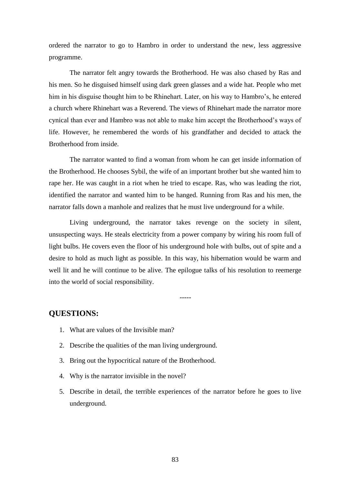ordered the narrator to go to Hambro in order to understand the new, less aggressive programme.

The narrator felt angry towards the Brotherhood. He was also chased by Ras and his men. So he disguised himself using dark green glasses and a wide hat. People who met him in his disguise thought him to be Rhinehart. Later, on his way to Hambro's, he entered a church where Rhinehart was a Reverend. The views of Rhinehart made the narrator more cynical than ever and Hambro was not able to make him accept the Brotherhood's ways of life. However, he remembered the words of his grandfather and decided to attack the Brotherhood from inside.

The narrator wanted to find a woman from whom he can get inside information of the Brotherhood. He chooses Sybil, the wife of an important brother but she wanted him to rape her. He was caught in a riot when he tried to escape. Ras, who was leading the riot, identified the narrator and wanted him to be hanged. Running from Ras and his men, the narrator falls down a manhole and realizes that he must live underground for a while.

Living underground, the narrator takes revenge on the society in silent, unsuspecting ways. He steals electricity from a power company by wiring his room full of light bulbs. He covers even the floor of his underground hole with bulbs, out of spite and a desire to hold as much light as possible. In this way, his hibernation would be warm and well lit and he will continue to be alive. The epilogue talks of his resolution to reemerge into the world of social responsibility.

-----

# **QUESTIONS:**

- 1. What are values of the Invisible man?
- 2. Describe the qualities of the man living underground.
- 3. Bring out the hypocritical nature of the Brotherhood.
- 4. Why is the narrator invisible in the novel?
- 5. Describe in detail, the terrible experiences of the narrator before he goes to live underground.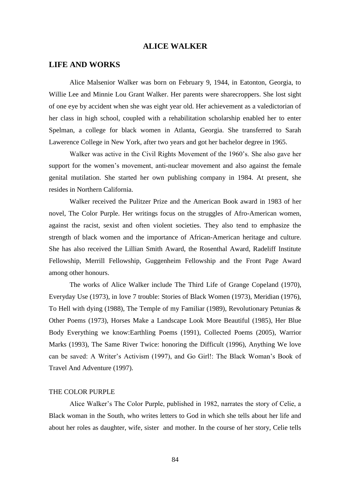# **ALICE WALKER**

# **LIFE AND WORKS**

Alice Malsenior Walker was born on February 9, 1944, in Eatonton, Georgia, to Willie Lee and Minnie Lou Grant Walker. Her parents were sharecroppers. She lost sight of one eye by accident when she was eight year old. Her achievement as a valedictorian of her class in high school, coupled with a rehabilitation scholarship enabled her to enter Spelman, a college for black women in Atlanta, Georgia. She transferred to Sarah Lawerence College in New York, after two years and got her bachelor degree in 1965.

Walker was active in the Civil Rights Movement of the 1960's. She also gave her support for the women's movement, anti-nuclear movement and also against the female genital mutilation. She started her own publishing company in 1984. At present, she resides in Northern California.

Walker received the Pulitzer Prize and the American Book award in 1983 of her novel, The Color Purple. Her writings focus on the struggles of Afro-American women, against the racist, sexist and often violent societies. They also tend to emphasize the strength of black women and the importance of African-American heritage and culture. She has also received the Lillian Smith Award, the Rosenthal Award, Radeliff Institute Fellowship, Merrill Fellowship, Guggenheim Fellowship and the Front Page Award among other honours.

The works of Alice Walker include The Third Life of Grange Copeland (1970), Everyday Use (1973), in love 7 trouble: Stories of Black Women (1973), Meridian (1976), To Hell with dying (1988), The Temple of my Familiar (1989), Revolutionary Petunias & Other Poems (1973), Horses Make a Landscape Look More Beautiful (1985), Her Blue Body Everything we know:Earthling Poems (1991), Collected Poems (2005), Warrior Marks (1993), The Same River Twice: honoring the Difficult (1996), Anything We love can be saved: A Writer's Activism (1997), and Go Girl!: The Black Woman's Book of Travel And Adventure (1997).

#### THE COLOR PURPLE

Alice Walker's The Color Purple, published in 1982, narrates the story of Celie, a Black woman in the South, who writes letters to God in which she tells about her life and about her roles as daughter, wife, sister and mother. In the course of her story, Celie tells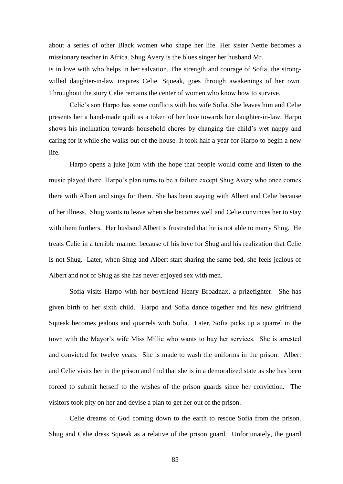about a series of other Black women who shape her life. Her sister Nettie becomes a missionary teacher in Africa. Shug Avery is the blues singer her husband Mr.\_\_\_\_\_\_\_\_\_\_\_ is in love with who helps in her salvation. The strength and courage of Sofia, the strongwilled daughter-in-law inspires Celie. Squeak, goes through awakenings of her own. Throughout the story Celie remains the center of women who know how to survive.

Celie's son Harpo has some conflicts with his wife Sofia. She leaves him and Celie presents her a hand-made quilt as a token of her love towards her daughter-in-law. Harpo shows his inclination towards household chores by changing the child's wet nappy and caring for it while she walks out of the house. It took half a year for Harpo to begin a new life.

Harpo opens a juke joint with the hope that people would come and listen to the music played there. Harpo's plan turns to be a failure except Shug Avery who once comes there with Albert and sings for them. She has been staying with Albert and Celie because of her illness. Shug wants to leave when she becomes well and Celie convinces her to stay with them furthers. Her husband Albert is frustrated that he is not able to marry Shug. He treats Celie in a terrible manner because of his love for Shug and his realization that Celie is not Shug. Later, when Shug and Albert start sharing the same bed, she feels jealous of Albert and not of Shug as she has never enjoyed sex with men.

Sofia visits Harpo with her boyfriend Henry Broadnax, a prizefighter. She has given birth to her sixth child. Harpo and Sofia dance together and his new girlfriend Squeak becomes jealous and quarrels with Sofia. Later, Sofia picks up a quarrel in the town with the Mayor's wife Miss Millie who wants to buy her services. She is arrested and convicted for twelve years. She is made to wash the uniforms in the prison. Albert and Celie visits her in the prison and find that she is in a demoralized state as she has been forced to submit herself to the wishes of the prison guards since her conviction. The visitors took pity on her and devise a plan to get her out of the prison.

Celie dreams of God coming down to the earth to rescue Sofia from the prison. Shug and Celie dress Squeak as a relative of the prison guard. Unfortunately, the guard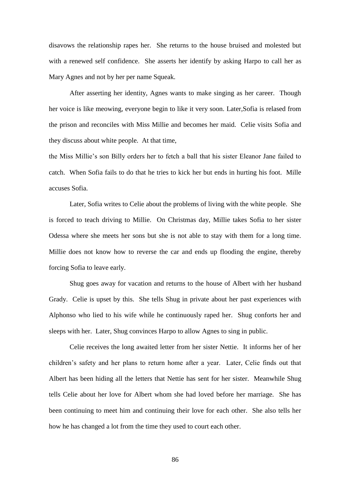disavows the relationship rapes her. She returns to the house bruised and molested but with a renewed self confidence. She asserts her identify by asking Harpo to call her as Mary Agnes and not by her per name Squeak.

After asserting her identity, Agnes wants to make singing as her career. Though her voice is like meowing, everyone begin to like it very soon. Later,Sofia is relased from the prison and reconciles with Miss Millie and becomes her maid. Celie visits Sofia and they discuss about white people. At that time,

the Miss Millie's son Billy orders her to fetch a ball that his sister Eleanor Jane failed to catch. When Sofia fails to do that he tries to kick her but ends in hurting his foot. Mille accuses Sofia.

Later, Sofia writes to Celie about the problems of living with the white people. She is forced to teach driving to Millie. On Christmas day, Millie takes Sofia to her sister Odessa where she meets her sons but she is not able to stay with them for a long time. Millie does not know how to reverse the car and ends up flooding the engine, thereby forcing Sofia to leave early.

Shug goes away for vacation and returns to the house of Albert with her husband Grady. Celie is upset by this. She tells Shug in private about her past experiences with Alphonso who lied to his wife while he continuously raped her. Shug conforts her and sleeps with her. Later, Shug convinces Harpo to allow Agnes to sing in public.

Celie receives the long awaited letter from her sister Nettie. It informs her of her children's safety and her plans to return home after a year. Later, Celie finds out that Albert has been hiding all the letters that Nettie has sent for her sister. Meanwhile Shug tells Celie about her love for Albert whom she had loved before her marriage. She has been continuing to meet him and continuing their love for each other. She also tells her how he has changed a lot from the time they used to court each other.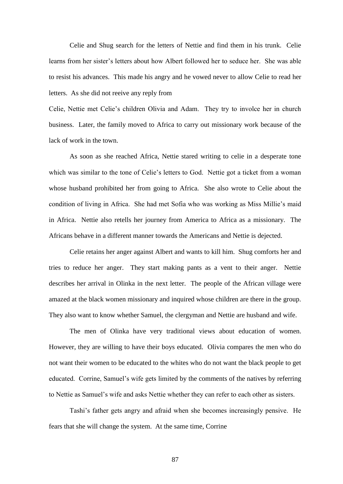Celie and Shug search for the letters of Nettie and find them in his trunk. Celie learns from her sister's letters about how Albert followed her to seduce her. She was able to resist his advances. This made his angry and he vowed never to allow Celie to read her letters. As she did not reeive any reply from

Celie, Nettie met Celie's children Olivia and Adam. They try to involce her in church business. Later, the family moved to Africa to carry out missionary work because of the lack of work in the town.

As soon as she reached Africa, Nettie stared writing to celie in a desperate tone which was similar to the tone of Celie's letters to God. Nettie got a ticket from a woman whose husband prohibited her from going to Africa. She also wrote to Celie about the condition of living in Africa. She had met Sofia who was working as Miss Millie's maid in Africa. Nettie also retells her journey from America to Africa as a missionary. The Africans behave in a different manner towards the Americans and Nettie is dejected.

Celie retains her anger against Albert and wants to kill him. Shug comforts her and tries to reduce her anger. They start making pants as a vent to their anger. Nettie describes her arrival in Olinka in the next letter. The people of the African village were amazed at the black women missionary and inquired whose children are there in the group. They also want to know whether Samuel, the clergyman and Nettie are husband and wife.

The men of Olinka have very traditional views about education of women. However, they are willing to have their boys educated. Olivia compares the men who do not want their women to be educated to the whites who do not want the black people to get educated. Corrine, Samuel's wife gets limited by the comments of the natives by referring to Nettie as Samuel's wife and asks Nettie whether they can refer to each other as sisters.

Tashi's father gets angry and afraid when she becomes increasingly pensive. He fears that she will change the system. At the same time, Corrine

87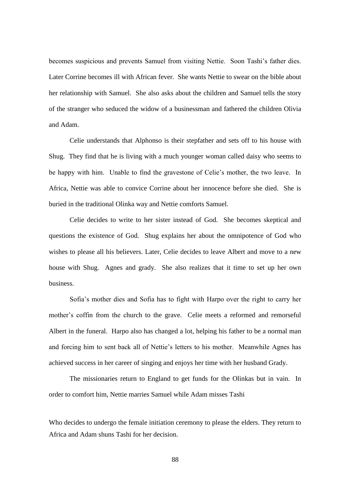becomes suspicious and prevents Samuel from visiting Nettie. Soon Tashi's father dies. Later Corrine becomes ill with African fever. She wants Nettie to swear on the bible about her relationship with Samuel. She also asks about the children and Samuel tells the story of the stranger who seduced the widow of a businessman and fathered the children Olivia and Adam.

Celie understands that Alphonso is their stepfather and sets off to his house with Shug. They find that he is living with a much younger woman called daisy who seems to be happy with him. Unable to find the gravestone of Celie's mother, the two leave. In Africa, Nettie was able to convice Corrine about her innocence before she died. She is buried in the traditional Olinka way and Nettie comforts Samuel.

Celie decides to write to her sister instead of God. She becomes skeptical and questions the existence of God. Shug explains her about the omnipotence of God who wishes to please all his believers. Later, Celie decides to leave Albert and move to a new house with Shug. Agnes and grady. She also realizes that it time to set up her own business.

Sofia's mother dies and Sofia has to fight with Harpo over the right to carry her mother's coffin from the church to the grave. Celie meets a reformed and remorseful Albert in the funeral. Harpo also has changed a lot, helping his father to be a normal man and forcing him to sent back all of Nettie's letters to his mother. Meanwhile Agnes has achieved success in her career of singing and enjoys her time with her husband Grady.

The missionaries return to England to get funds for the Olinkas but in vain. In order to comfort him, Nettie marries Samuel while Adam misses Tashi

Who decides to undergo the female initiation ceremony to please the elders. They return to Africa and Adam shuns Tashi for her decision.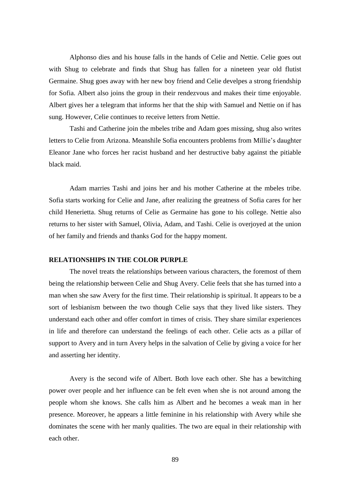Alphonso dies and his house falls in the hands of Celie and Nettie. Celie goes out with Shug to celebrate and finds that Shug has fallen for a nineteen year old flutist Germaine. Shug goes away with her new boy friend and Celie develpes a strong friendship for Sofia. Albert also joins the group in their rendezvous and makes their time enjoyable. Albert gives her a telegram that informs her that the ship with Samuel and Nettie on if has sung. However, Celie continues to receive letters from Nettie.

Tashi and Catherine join the mbeles tribe and Adam goes missing, shug also writes letters to Celie from Arizona. Meanshile Sofia encounters problems from Millie's daughter Eleanor Jane who forces her racist husband and her destructive baby against the pitiable black maid.

Adam marries Tashi and joins her and his mother Catherine at the mbeles tribe. Sofia starts working for Celie and Jane, after realizing the greatness of Sofia cares for her child Henerietta. Shug returns of Celie as Germaine has gone to his college. Nettie also returns to her sister with Samuel, Olivia, Adam, and Tashi. Celie is overjoyed at the union of her family and friends and thanks God for the happy moment.

#### **RELATIONSHIPS IN THE COLOR PURPLE**

The novel treats the relationships between various characters, the foremost of them being the relationship between Celie and Shug Avery. Celie feels that she has turned into a man when she saw Avery for the first time. Their relationship is spiritual. It appears to be a sort of lesbianism between the two though Celie says that they lived like sisters. They understand each other and offer comfort in times of crisis. They share similar experiences in life and therefore can understand the feelings of each other. Celie acts as a pillar of support to Avery and in turn Avery helps in the salvation of Celie by giving a voice for her and asserting her identity.

Avery is the second wife of Albert. Both love each other. She has a bewitching power over people and her influence can be felt even when she is not around among the people whom she knows. She calls him as Albert and he becomes a weak man in her presence. Moreover, he appears a little feminine in his relationship with Avery while she dominates the scene with her manly qualities. The two are equal in their relationship with each other.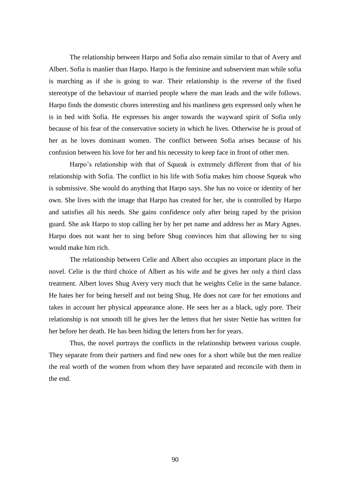The relationship between Harpo and Sofia also remain similar to that of Avery and Albert. Sofia is manlier than Harpo. Harpo is the feminine and subservient man while sofia is marching as if she is going to war. Their relationship is the reverse of the fixed stereotype of the behaviour of married people where the man leads and the wife follows. Harpo finds the domestic chores interesting and his manliness gets expressed only when he is in bed with Sofia. He expresses his anger towards the wayward spirit of Sofia only because of his fear of the conservative society in which he lives. Otherwise he is proud of her as he loves dominant women. The conflict between Sofia arises because of his confusion between his love for her and his necessity to keep face in front of other men.

Harpo's relationship with that of Squeak is extremely different from that of his relationship with Sofia. The conflict in his life with Sofia makes him choose Squeak who is submissive. She would do anything that Harpo says. She has no voice or identity of her own. She lives with the image that Harpo has created for her, she is controlled by Harpo and satisfies all his needs. She gains confidence only after being raped by the prision guard. She ask Harpo to stop calling her by her pet name and address her as Mary Agnes. Harpo does not want her to sing before Shug convinces him that allowing her to sing would make him rich.

The relationship between Celie and Albert also occupies an important place in the novel. Celie is the third choice of Albert as his wife and he gives her only a third class treatment. Albert loves Shug Avery very much that he weights Celie in the same balance. He hates her for being herself and not being Shug. He does not care for her emotions and takes in account her physical appearance alone. He sees her as a black, ugly pore. Their relationship is not smooth till he gives her the letters that her sister Nettie has written for her before her death. He has been hiding the letters from her for years.

Thus, the novel portrays the conflicts in the relationship between various couple. They separate from their partners and find new ones for a short while but the men realize the real worth of the women from whom they have separated and reconcile with them in the end.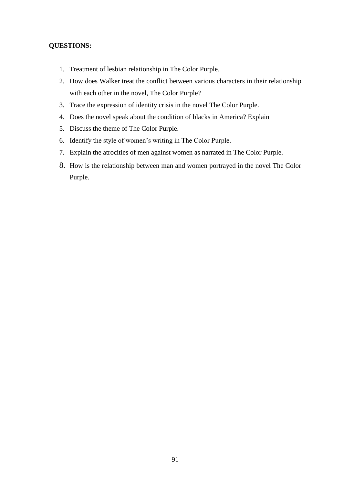# **QUESTIONS:**

- 1. Treatment of lesbian relationship in The Color Purple.
- 2. How does Walker treat the conflict between various characters in their relationship with each other in the novel, The Color Purple?
- 3. Trace the expression of identity crisis in the novel The Color Purple.
- 4. Does the novel speak about the condition of blacks in America? Explain
- 5. Discuss the theme of The Color Purple.
- 6. Identify the style of women's writing in The Color Purple.
- 7. Explain the atrocities of men against women as narrated in The Color Purple.
- 8. How is the relationship between man and women portrayed in the novel The Color Purple.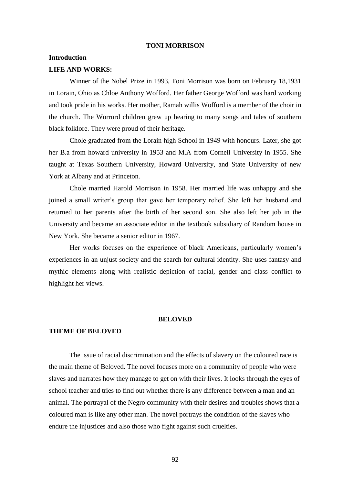#### **TONI MORRISON**

#### **Introduction**

#### **LIFE AND WORKS:**

Winner of the Nobel Prize in 1993, Toni Morrison was born on February 18,1931 in Lorain, Ohio as Chloe Anthony Wofford. Her father George Wofford was hard working and took pride in his works. Her mother, Ramah willis Wofford is a member of the choir in the church. The Worrord children grew up hearing to many songs and tales of southern black folklore. They were proud of their heritage.

Chole graduated from the Lorain high School in 1949 with honours. Later, she got her B.a from howard university in 1953 and M.A from Cornell University in 1955. She taught at Texas Southern University, Howard University, and State University of new York at Albany and at Princeton.

Chole married Harold Morrison in 1958. Her married life was unhappy and she joined a small writer's group that gave her temporary relief. She left her husband and returned to her parents after the birth of her second son. She also left her job in the University and became an associate editor in the textbook subsidiary of Random house in New York. She became a senior editor in 1967.

Her works focuses on the experience of black Americans, particularly women's experiences in an unjust society and the search for cultural identity. She uses fantasy and mythic elements along with realistic depiction of racial, gender and class conflict to highlight her views.

## **BELOVED**

### **THEME OF BELOVED**

The issue of racial discrimination and the effects of slavery on the coloured race is the main theme of Beloved. The novel focuses more on a community of people who were slaves and narrates how they manage to get on with their lives. It looks through the eyes of school teacher and tries to find out whether there is any difference between a man and an animal. The portrayal of the Negro community with their desires and troubles shows that a coloured man is like any other man. The novel portrays the condition of the slaves who endure the injustices and also those who fight against such cruelties.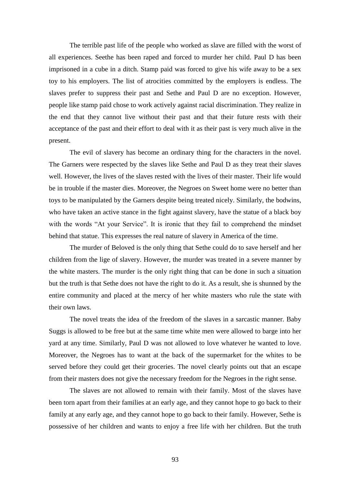The terrible past life of the people who worked as slave are filled with the worst of all experiences. Seethe has been raped and forced to murder her child. Paul D has been imprisoned in a cube in a ditch. Stamp paid was forced to give his wife away to be a sex toy to his employers. The list of atrocities committed by the employers is endless. The slaves prefer to suppress their past and Sethe and Paul D are no exception. However, people like stamp paid chose to work actively against racial discrimination. They realize in the end that they cannot live without their past and that their future rests with their acceptance of the past and their effort to deal with it as their past is very much alive in the present.

The evil of slavery has become an ordinary thing for the characters in the novel. The Garners were respected by the slaves like Sethe and Paul D as they treat their slaves well. However, the lives of the slaves rested with the lives of their master. Their life would be in trouble if the master dies. Moreover, the Negroes on Sweet home were no better than toys to be manipulated by the Garners despite being treated nicely. Similarly, the bodwins, who have taken an active stance in the fight against slavery, have the statue of a black boy with the words "At your Service". It is ironic that they fail to comprehend the mindset behind that statue. This expresses the real nature of slavery in America of the time.

The murder of Beloved is the only thing that Sethe could do to save herself and her children from the lige of slavery. However, the murder was treated in a severe manner by the white masters. The murder is the only right thing that can be done in such a situation but the truth is that Sethe does not have the right to do it. As a result, she is shunned by the entire community and placed at the mercy of her white masters who rule the state with their own laws.

The novel treats the idea of the freedom of the slaves in a sarcastic manner. Baby Suggs is allowed to be free but at the same time white men were allowed to barge into her yard at any time. Similarly, Paul D was not allowed to love whatever he wanted to love. Moreover, the Negroes has to want at the back of the supermarket for the whites to be served before they could get their groceries. The novel clearly points out that an escape from their masters does not give the necessary freedom for the Negroes in the right sense.

The slaves are not allowed to remain with their family. Most of the slaves have been torn apart from their families at an early age, and they cannot hope to go back to their family at any early age, and they cannot hope to go back to their family. However, Sethe is possessive of her children and wants to enjoy a free life with her children. But the truth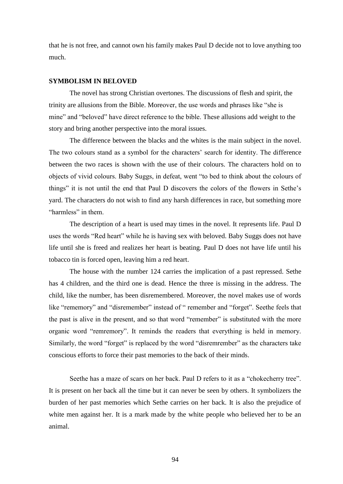that he is not free, and cannot own his family makes Paul D decide not to love anything too much.

## **SYMBOLISM IN BELOVED**

The novel has strong Christian overtones. The discussions of flesh and spirit, the trinity are allusions from the Bible. Moreover, the use words and phrases like "she is mine" and "beloved" have direct reference to the bible. These allusions add weight to the story and bring another perspective into the moral issues.

The difference between the blacks and the whites is the main subject in the novel. The two colours stand as a symbol for the characters' search for identity. The difference between the two races is shown with the use of their colours. The characters hold on to objects of vivid colours. Baby Suggs, in defeat, went "to bed to think about the colours of things" it is not until the end that Paul D discovers the colors of the flowers in Sethe's yard. The characters do not wish to find any harsh differences in race, but something more "harmless" in them.

The description of a heart is used may times in the novel. It represents life. Paul D uses the words "Red heart" while he is having sex with beloved. Baby Suggs does not have life until she is freed and realizes her heart is beating. Paul D does not have life until his tobacco tin is forced open, leaving him a red heart.

The house with the number 124 carries the implication of a past repressed. Sethe has 4 children, and the third one is dead. Hence the three is missing in the address. The child, like the number, has been disremembered. Moreover, the novel makes use of words like "rememory" and "disremember" instead of " remember and "forget". Seethe feels that the past is alive in the present, and so that word "remember" is substituted with the more organic word "remremory". It reminds the readers that everything is held in memory. Similarly, the word "forget" is replaced by the word "disremrember" as the characters take conscious efforts to force their past memories to the back of their minds.

Seethe has a maze of scars on her back. Paul D refers to it as a "chokecherry tree". It is present on her back all the time but it can never be seen by others. It symbolizers the burden of her past memories which Sethe carries on her back. It is also the prejudice of white men against her. It is a mark made by the white people who believed her to be an animal.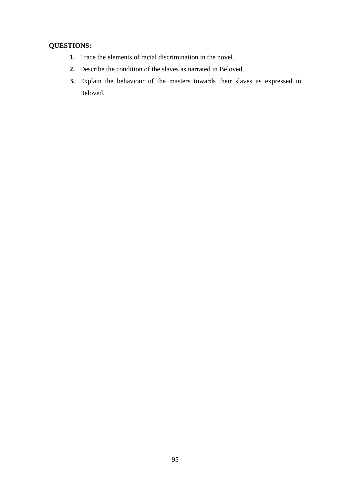# **QUESTIONS:**

- **1.** Trace the elements of racial discrimination in the novel.
- **2.** Describe the condition of the slaves as narrated in Beloved.
- **3.** Explain the behaviour of the masters towards their slaves as expressed in Beloved.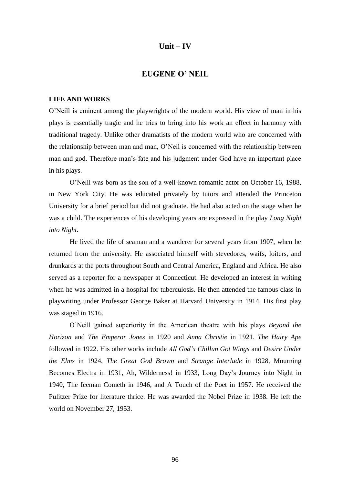# **Unit – IV**

# **EUGENE O' NEIL**

### **LIFE AND WORKS**

O'Neill is eminent among the playwrights of the modern world. His view of man in his plays is essentially tragic and he tries to bring into his work an effect in harmony with traditional tragedy. Unlike other dramatists of the modern world who are concerned with the relationship between man and man, O'Neil is concerned with the relationship between man and god. Therefore man's fate and his judgment under God have an important place in his plays.

O'Neill was born as the son of a well-known romantic actor on October 16, 1988, in New York City. He was educated privately by tutors and attended the Princeton University for a brief period but did not graduate. He had also acted on the stage when he was a child. The experiences of his developing years are expressed in the play *Long Night into Night.*

He lived the life of seaman and a wanderer for several years from 1907, when he returned from the university. He associated himself with stevedores, waifs, loiters, and drunkards at the ports throughout South and Central America, England and Africa. He also served as a reporter for a newspaper at Connecticut. He developed an interest in writing when he was admitted in a hospital for tuberculosis. He then attended the famous class in playwriting under Professor George Baker at Harvard University in 1914. His first play was staged in 1916.

O'Neill gained superiority in the American theatre with his plays *Beyond the Horizon* and *The Emperor Jones* in 1920 and *Anna Christie* in 1921. *The Hairy Ape*  followed in 1922. His other works include *All God's Chillun Got Wings* and *Desire Under the Elms* in 1924, *The Great God Brown* and *Strange Interlude* in 1928, Mourning Becomes Electra in 1931, Ah, Wilderness! in 1933, Long Day's Journey into Night in 1940, The Iceman Cometh in 1946, and A Touch of the Poet in 1957. He received the Pulitzer Prize for literature thrice. He was awarded the Nobel Prize in 1938. He left the world on November 27, 1953.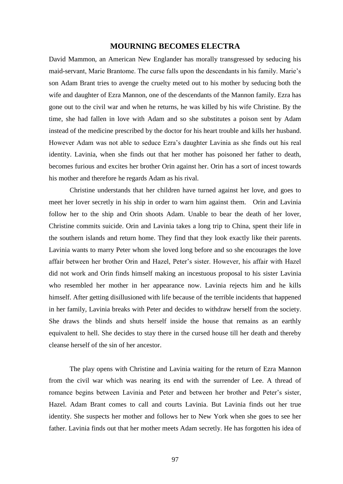## **MOURNING BECOMES ELECTRA**

David Mammon, an American New Englander has morally transgressed by seducing his maid-servant, Marie Brantome. The curse falls upon the descendants in his family. Marie's son Adam Brant tries to avenge the cruelty meted out to his mother by seducing both the wife and daughter of Ezra Mannon, one of the descendants of the Mannon family. Ezra has gone out to the civil war and when he returns, he was killed by his wife Christine. By the time, she had fallen in love with Adam and so she substitutes a poison sent by Adam instead of the medicine prescribed by the doctor for his heart trouble and kills her husband. However Adam was not able to seduce Ezra's daughter Lavinia as she finds out his real identity. Lavinia, when she finds out that her mother has poisoned her father to death, becomes furious and excites her brother Orin against her. Orin has a sort of incest towards his mother and therefore he regards Adam as his rival.

Christine understands that her children have turned against her love, and goes to meet her lover secretly in his ship in order to warn him against them. Orin and Lavinia follow her to the ship and Orin shoots Adam. Unable to bear the death of her lover, Christine commits suicide. Orin and Lavinia takes a long trip to China, spent their life in the southern islands and return home. They find that they look exactly like their parents. Lavinia wants to marry Peter whom she loved long before and so she encourages the love affair between her brother Orin and Hazel, Peter's sister. However, his affair with Hazel did not work and Orin finds himself making an incestuous proposal to his sister Lavinia who resembled her mother in her appearance now. Lavinia rejects him and he kills himself. After getting disillusioned with life because of the terrible incidents that happened in her family, Lavinia breaks with Peter and decides to withdraw herself from the society. She draws the blinds and shuts herself inside the house that remains as an earthly equivalent to hell. She decides to stay there in the cursed house till her death and thereby cleanse herself of the sin of her ancestor.

The play opens with Christine and Lavinia waiting for the return of Ezra Mannon from the civil war which was nearing its end with the surrender of Lee. A thread of romance begins between Lavinia and Peter and between her brother and Peter's sister, Hazel. Adam Brant comes to call and courts Lavinia. But Lavinia finds out her true identity. She suspects her mother and follows her to New York when she goes to see her father. Lavinia finds out that her mother meets Adam secretly. He has forgotten his idea of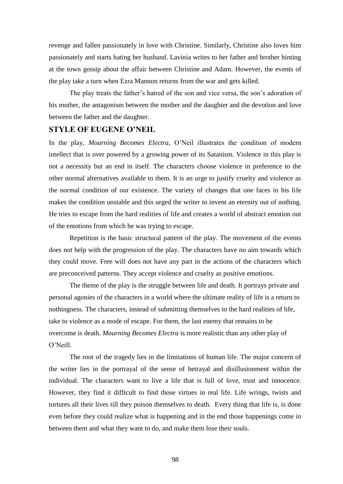revenge and fallen passionately in love with Christine. Similarly, Christine also loves him passionately and starts hating her husband. Lavinia writes to her father and brother hinting at the town gossip about the affair between Christine and Adam. However, the events of the play take a turn when Ezra Mannon returns from the war and gets killed.

The play treats the father's hatred of the son and vice versa, the son's adoration of his mother, the antagonism between the mother and the daughter and the devotion and love between the father and the daughter.

# **STYLE OF EUGENE O'NEIL**

In the play, *Mourning Becomes Electra,* O'Neil illustrates the condition of modern intellect that is over powered by a growing power of its Satanism. Violence in this play is not a necessity but an end in itself. The characters choose violence in preference to the other normal alternatives available to them. It is an urge to justify cruelty and violence as the normal condition of our existence. The variety of changes that one faces in his life makes the condition unstable and this urged the writer to invent an eternity out of nothing. He tries to escape from the hard realities of life and creates a world of abstract emotion out of the emotions from which he was trying to escape.

Repetition is the basic structural pattern of the play. The movement of the events does not help with the progression of the play. The characters have no aim towards which they could move. Free will does not have any part in the actions of the characters which are preconceived patterns. They accept violence and cruelty as positive emotions.

The theme of the play is the struggle between life and death. It portrays private and personal agonies of the characters in a world where the ultimate reality of life is a return to nothingness. The characters, instead of submitting themselves to the hard realities of life, take to violence as a mode of escape. For them, the last enemy that remains to be overcome is death. *Mourning Becomes Electra* is more realistic than any other play of O'Neill.

The root of the tragedy lies in the limitations of human life. The major concern of the writer lies in the portrayal of the sense of betrayal and disillusionment within the individual. The characters want to live a life that is full of love, trust and innocence. However, they find it difficult to find those virtues in real life. Life wrings, twists and tortures all their lives till they poison themselves to death. Every thing that life is, is done even before they could realize what is happening and in the end those happenings come in between them and what they want to do, and make them lose their souls.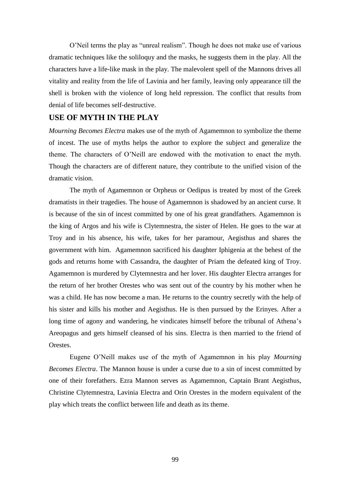O'Neil terms the play as "unreal realism". Though he does not make use of various dramatic techniques like the soliloquy and the masks, he suggests them in the play. All the characters have a life-like mask in the play. The malevolent spell of the Mannons drives all vitality and reality from the life of Lavinia and her family, leaving only appearance till the shell is broken with the violence of long held repression. The conflict that results from denial of life becomes self-destructive.

# **USE OF MYTH IN THE PLAY**

*Mourning Becomes Electra* makes use of the myth of Agamemnon to symbolize the theme of incest. The use of myths helps the author to explore the subject and generalize the theme. The characters of O'Neill are endowed with the motivation to enact the myth. Though the characters are of different nature, they contribute to the unified vision of the dramatic vision.

The myth of Agamemnon or Orpheus or Oedipus is treated by most of the Greek dramatists in their tragedies. The house of Agamemnon is shadowed by an ancient curse. It is because of the sin of incest committed by one of his great grandfathers. Agamemnon is the king of Argos and his wife is Clytemnestra, the sister of Helen. He goes to the war at Troy and in his absence, his wife, takes for her paramour, Aegisthus and shares the government with him. Agamemnon sacrificed his daughter Iphigenia at the behest of the gods and returns home with Cassandra, the daughter of Priam the defeated king of Troy. Agamemnon is murdered by Clytemnestra and her lover. His daughter Electra arranges for the return of her brother Orestes who was sent out of the country by his mother when he was a child. He has now become a man. He returns to the country secretly with the help of his sister and kills his mother and Aegisthus. He is then pursued by the Erinyes. After a long time of agony and wandering, he vindicates himself before the tribunal of Athena's Areopagus and gets himself cleansed of his sins. Electra is then married to the friend of Orestes.

Eugene O'Neill makes use of the myth of Agamemnon in his play *Mourning Becomes Electra*. The Mannon house is under a curse due to a sin of incest committed by one of their forefathers. Ezra Mannon serves as Agamemnon, Captain Brant Aegisthus, Christine Clytemnestra, Lavinia Electra and Orin Orestes in the modern equivalent of the play which treats the conflict between life and death as its theme.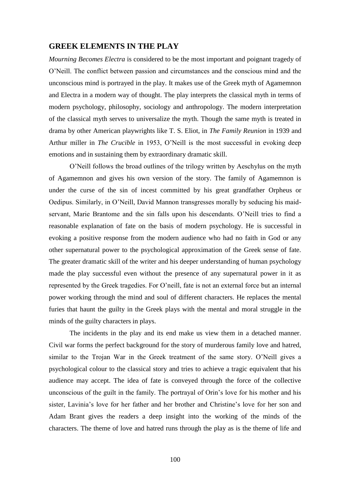# **GREEK ELEMENTS IN THE PLAY**

*Mourning Becomes Electra* is considered to be the most important and poignant tragedy of O'Neill. The conflict between passion and circumstances and the conscious mind and the unconscious mind is portrayed in the play. It makes use of the Greek myth of Agamemnon and Electra in a modern way of thought. The play interprets the classical myth in terms of modern psychology, philosophy, sociology and anthropology. The modern interpretation of the classical myth serves to universalize the myth. Though the same myth is treated in drama by other American playwrights like T. S. Eliot, in *The Family Reunion* in 1939 and Arthur miller in *The Crucible* in 1953, O'Neill is the most successful in evoking deep emotions and in sustaining them by extraordinary dramatic skill.

O'Neill follows the broad outlines of the trilogy written by Aeschylus on the myth of Agamemnon and gives his own version of the story. The family of Agamemnon is under the curse of the sin of incest committed by his great grandfather Orpheus or Oedipus. Similarly, in O'Neill, David Mannon transgresses morally by seducing his maidservant, Marie Brantome and the sin falls upon his descendants. O'Neill tries to find a reasonable explanation of fate on the basis of modern psychology. He is successful in evoking a positive response from the modern audience who had no faith in God or any other supernatural power to the psychological approximation of the Greek sense of fate. The greater dramatic skill of the writer and his deeper understanding of human psychology made the play successful even without the presence of any supernatural power in it as represented by the Greek tragedies. For O'neill, fate is not an external force but an internal power working through the mind and soul of different characters. He replaces the mental furies that haunt the guilty in the Greek plays with the mental and moral struggle in the minds of the guilty characters in plays.

The incidents in the play and its end make us view them in a detached manner. Civil war forms the perfect background for the story of murderous family love and hatred, similar to the Trojan War in the Greek treatment of the same story. O'Neill gives a psychological colour to the classical story and tries to achieve a tragic equivalent that his audience may accept. The idea of fate is conveyed through the force of the collective unconscious of the guilt in the family. The portrayal of Orin's love for his mother and his sister, Lavinia's love for her father and her brother and Christine's love for her son and Adam Brant gives the readers a deep insight into the working of the minds of the characters. The theme of love and hatred runs through the play as is the theme of life and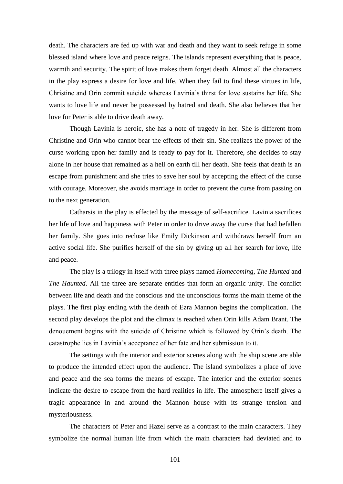death. The characters are fed up with war and death and they want to seek refuge in some blessed island where love and peace reigns. The islands represent everything that is peace, warmth and security. The spirit of love makes them forget death. Almost all the characters in the play express a desire for love and life. When they fail to find these virtues in life, Christine and Orin commit suicide whereas Lavinia's thirst for love sustains her life. She wants to love life and never be possessed by hatred and death. She also believes that her love for Peter is able to drive death away.

Though Lavinia is heroic, she has a note of tragedy in her. She is different from Christine and Orin who cannot bear the effects of their sin. She realizes the power of the curse working upon her family and is ready to pay for it. Therefore, she decides to stay alone in her house that remained as a hell on earth till her death. She feels that death is an escape from punishment and she tries to save her soul by accepting the effect of the curse with courage. Moreover, she avoids marriage in order to prevent the curse from passing on to the next generation.

Catharsis in the play is effected by the message of self-sacrifice. Lavinia sacrifices her life of love and happiness with Peter in order to drive away the curse that had befallen her family. She goes into recluse like Emily Dickinson and withdraws herself from an active social life. She purifies herself of the sin by giving up all her search for love, life and peace.

The play is a trilogy in itself with three plays named *Homecoming*, *The Hunted* and *The Haunted*. All the three are separate entities that form an organic unity. The conflict between life and death and the conscious and the unconscious forms the main theme of the plays. The first play ending with the death of Ezra Mannon begins the complication. The second play develops the plot and the climax is reached when Orin kills Adam Brant. The denouement begins with the suicide of Christine which is followed by Orin's death. The catastrophe lies in Lavinia's acceptance of her fate and her submission to it.

The settings with the interior and exterior scenes along with the ship scene are able to produce the intended effect upon the audience. The island symbolizes a place of love and peace and the sea forms the means of escape. The interior and the exterior scenes indicate the desire to escape from the hard realities in life. The atmosphere itself gives a tragic appearance in and around the Mannon house with its strange tension and mysteriousness.

The characters of Peter and Hazel serve as a contrast to the main characters. They symbolize the normal human life from which the main characters had deviated and to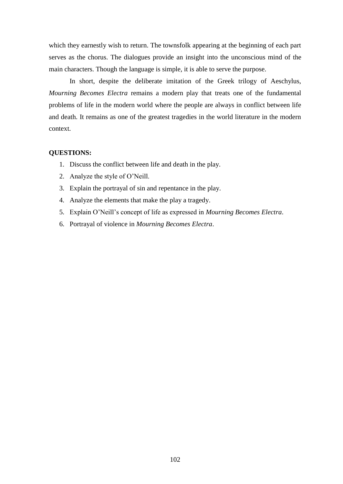which they earnestly wish to return. The townsfolk appearing at the beginning of each part serves as the chorus. The dialogues provide an insight into the unconscious mind of the main characters. Though the language is simple, it is able to serve the purpose.

In short, despite the deliberate imitation of the Greek trilogy of Aeschylus, *Mourning Becomes Electra* remains a modern play that treats one of the fundamental problems of life in the modern world where the people are always in conflict between life and death. It remains as one of the greatest tragedies in the world literature in the modern context.

#### **QUESTIONS:**

- 1. Discuss the conflict between life and death in the play.
- 2. Analyze the style of O'Neill.
- 3. Explain the portrayal of sin and repentance in the play.
- 4. Analyze the elements that make the play a tragedy.
- 5. Explain O'Neill's concept of life as expressed in *Mourning Becomes Electra*.
- 6. Portrayal of violence in *Mourning Becomes Electra*.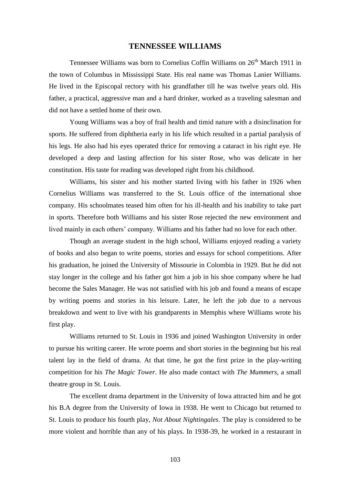#### **TENNESSEE WILLIAMS**

Tennessee Williams was born to Cornelius Coffin Williams on 26<sup>th</sup> March 1911 in the town of Columbus in Mississippi State. His real name was Thomas Lanier Williams. He lived in the Episcopal rectory with his grandfather till he was twelve years old. His father, a practical, aggressive man and a hard drinker, worked as a traveling salesman and did not have a settled home of their own.

Young Williams was a boy of frail health and timid nature with a disinclination for sports. He suffered from diphtheria early in his life which resulted in a partial paralysis of his legs. He also had his eyes operated thrice for removing a cataract in his right eye. He developed a deep and lasting affection for his sister Rose, who was delicate in her constitution. His taste for reading was developed right from his childhood.

Williams, his sister and his mother started living with his father in 1926 when Cornelius Williams was transferred to the St. Louis office of the international shoe company. His schoolmates teased him often for his ill-health and his inability to take part in sports. Therefore both Williams and his sister Rose rejected the new environment and lived mainly in each others' company. Williams and his father had no love for each other.

Though an average student in the high school, Williams enjoyed reading a variety of books and also began to write poems, stories and essays for school competitions. After his graduation, he joined the University of Missourie in Colombia in 1929. But he did not stay longer in the college and his father got him a job in his shoe company where he had become the Sales Manager. He was not satisfied with his job and found a means of escape by writing poems and stories in his leisure. Later, he left the job due to a nervous breakdown and went to live with his grandparents in Memphis where Williams wrote his first play.

Williams returned to St. Louis in 1936 and joined Washington University in order to pursue his writing career. He wrote poems and short stories in the beginning but his real talent lay in the field of drama. At that time, he got the first prize in the play-writing competition for his *The Magic Tower*. He also made contact with *The Mummers*, a small theatre group in St. Louis.

The excellent drama department in the University of Iowa attracted him and he got his B.A degree from the University of Iowa in 1938. He went to Chicago but returned to St. Louis to produce his fourth play, *Not About Nightingales*. The play is considered to be more violent and horrible than any of his plays. In 1938-39, he worked in a restaurant in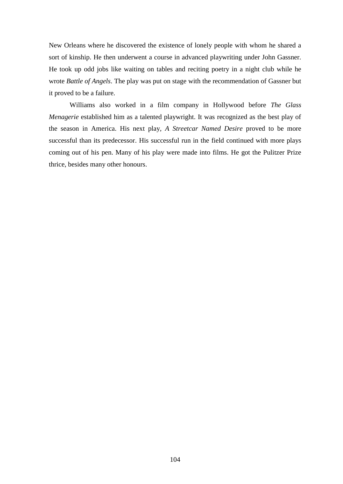New Orleans where he discovered the existence of lonely people with whom he shared a sort of kinship. He then underwent a course in advanced playwriting under John Gassner. He took up odd jobs like waiting on tables and reciting poetry in a night club while he wrote *Battle of Angels*. The play was put on stage with the recommendation of Gassner but it proved to be a failure.

Williams also worked in a film company in Hollywood before *The Glass Menagerie* established him as a talented playwright. It was recognized as the best play of the season in America. His next play, *A Streetcar Named Desire* proved to be more successful than its predecessor. His successful run in the field continued with more plays coming out of his pen. Many of his play were made into films. He got the Pulitzer Prize thrice, besides many other honours.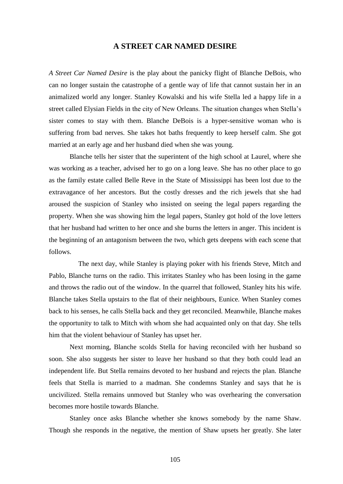# **A STREET CAR NAMED DESIRE**

*A Street Car Named Desire* is the play about the panicky flight of Blanche DeBois, who can no longer sustain the catastrophe of a gentle way of life that cannot sustain her in an animalized world any longer. Stanley Kowalski and his wife Stella led a happy life in a street called Elysian Fields in the city of New Orleans. The situation changes when Stella's sister comes to stay with them. Blanche DeBois is a hyper-sensitive woman who is suffering from bad nerves. She takes hot baths frequently to keep herself calm. She got married at an early age and her husband died when she was young.

Blanche tells her sister that the superintent of the high school at Laurel, where she was working as a teacher, advised her to go on a long leave. She has no other place to go as the family estate called Belle Reve in the State of Mississippi has been lost due to the extravagance of her ancestors. But the costly dresses and the rich jewels that she had aroused the suspicion of Stanley who insisted on seeing the legal papers regarding the property. When she was showing him the legal papers, Stanley got hold of the love letters that her husband had written to her once and she burns the letters in anger. This incident is the beginning of an antagonism between the two, which gets deepens with each scene that follows.

 The next day, while Stanley is playing poker with his friends Steve, Mitch and Pablo, Blanche turns on the radio. This irritates Stanley who has been losing in the game and throws the radio out of the window. In the quarrel that followed, Stanley hits his wife. Blanche takes Stella upstairs to the flat of their neighbours, Eunice. When Stanley comes back to his senses, he calls Stella back and they get reconciled. Meanwhile, Blanche makes the opportunity to talk to Mitch with whom she had acquainted only on that day. She tells him that the violent behaviour of Stanley has upset her.

Next morning, Blanche scolds Stella for having reconciled with her husband so soon. She also suggests her sister to leave her husband so that they both could lead an independent life. But Stella remains devoted to her husband and rejects the plan. Blanche feels that Stella is married to a madman. She condemns Stanley and says that he is uncivilized. Stella remains unmoved but Stanley who was overhearing the conversation becomes more hostile towards Blanche.

Stanley once asks Blanche whether she knows somebody by the name Shaw. Though she responds in the negative, the mention of Shaw upsets her greatly. She later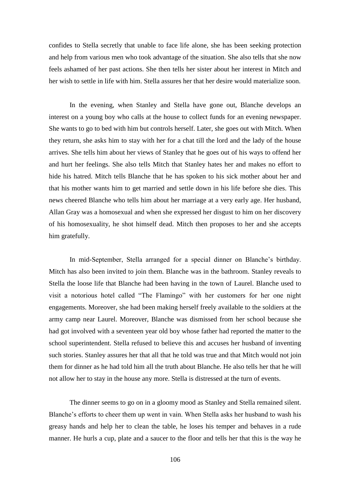confides to Stella secretly that unable to face life alone, she has been seeking protection and help from various men who took advantage of the situation. She also tells that she now feels ashamed of her past actions. She then tells her sister about her interest in Mitch and her wish to settle in life with him. Stella assures her that her desire would materialize soon.

In the evening, when Stanley and Stella have gone out, Blanche develops an interest on a young boy who calls at the house to collect funds for an evening newspaper. She wants to go to bed with him but controls herself. Later, she goes out with Mitch. When they return, she asks him to stay with her for a chat till the lord and the lady of the house arrives. She tells him about her views of Stanley that he goes out of his ways to offend her and hurt her feelings. She also tells Mitch that Stanley hates her and makes no effort to hide his hatred. Mitch tells Blanche that he has spoken to his sick mother about her and that his mother wants him to get married and settle down in his life before she dies. This news cheered Blanche who tells him about her marriage at a very early age. Her husband, Allan Gray was a homosexual and when she expressed her disgust to him on her discovery of his homosexuality, he shot himself dead. Mitch then proposes to her and she accepts him gratefully.

In mid-September, Stella arranged for a special dinner on Blanche's birthday. Mitch has also been invited to join them. Blanche was in the bathroom. Stanley reveals to Stella the loose life that Blanche had been having in the town of Laurel. Blanche used to visit a notorious hotel called "The Flamingo" with her customers for her one night engagements. Moreover, she had been making herself freely available to the soldiers at the army camp near Laurel. Moreover, Blanche was dismissed from her school because she had got involved with a seventeen year old boy whose father had reported the matter to the school superintendent. Stella refused to believe this and accuses her husband of inventing such stories. Stanley assures her that all that he told was true and that Mitch would not join them for dinner as he had told him all the truth about Blanche. He also tells her that he will not allow her to stay in the house any more. Stella is distressed at the turn of events.

The dinner seems to go on in a gloomy mood as Stanley and Stella remained silent. Blanche's efforts to cheer them up went in vain. When Stella asks her husband to wash his greasy hands and help her to clean the table, he loses his temper and behaves in a rude manner. He hurls a cup, plate and a saucer to the floor and tells her that this is the way he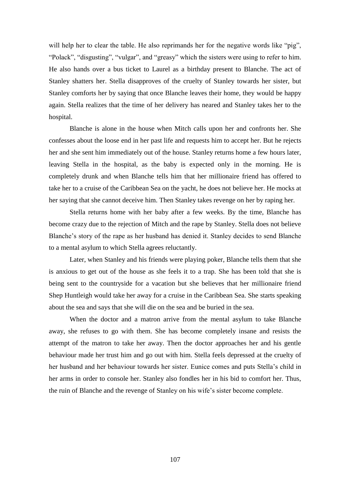will help her to clear the table. He also reprimands her for the negative words like "pig", "Polack", "disgusting", "vulgar", and "greasy" which the sisters were using to refer to him. He also hands over a bus ticket to Laurel as a birthday present to Blanche. The act of Stanley shatters her. Stella disapproves of the cruelty of Stanley towards her sister, but Stanley comforts her by saying that once Blanche leaves their home, they would be happy again. Stella realizes that the time of her delivery has neared and Stanley takes her to the hospital.

Blanche is alone in the house when Mitch calls upon her and confronts her. She confesses about the loose end in her past life and requests him to accept her. But he rejects her and she sent him immediately out of the house. Stanley returns home a few hours later, leaving Stella in the hospital, as the baby is expected only in the morning. He is completely drunk and when Blanche tells him that her millionaire friend has offered to take her to a cruise of the Caribbean Sea on the yacht, he does not believe her. He mocks at her saying that she cannot deceive him. Then Stanley takes revenge on her by raping her.

Stella returns home with her baby after a few weeks. By the time, Blanche has become crazy due to the rejection of Mitch and the rape by Stanley. Stella does not believe Blanche's story of the rape as her husband has denied it. Stanley decides to send Blanche to a mental asylum to which Stella agrees reluctantly.

Later, when Stanley and his friends were playing poker, Blanche tells them that she is anxious to get out of the house as she feels it to a trap. She has been told that she is being sent to the countryside for a vacation but she believes that her millionaire friend Shep Huntleigh would take her away for a cruise in the Caribbean Sea. She starts speaking about the sea and says that she will die on the sea and be buried in the sea.

When the doctor and a matron arrive from the mental asylum to take Blanche away, she refuses to go with them. She has become completely insane and resists the attempt of the matron to take her away. Then the doctor approaches her and his gentle behaviour made her trust him and go out with him. Stella feels depressed at the cruelty of her husband and her behaviour towards her sister. Eunice comes and puts Stella's child in her arms in order to console her. Stanley also fondles her in his bid to comfort her. Thus, the ruin of Blanche and the revenge of Stanley on his wife's sister become complete.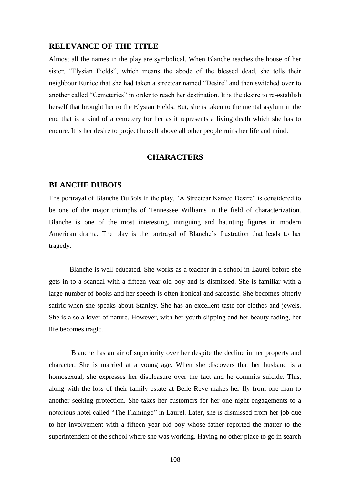### **RELEVANCE OF THE TITLE**

Almost all the names in the play are symbolical. When Blanche reaches the house of her sister, "Elysian Fields", which means the abode of the blessed dead, she tells their neighbour Eunice that she had taken a streetcar named "Desire" and then switched over to another called "Cemeteries" in order to reach her destination. It is the desire to re-establish herself that brought her to the Elysian Fields. But, she is taken to the mental asylum in the end that is a kind of a cemetery for her as it represents a living death which she has to endure. It is her desire to project herself above all other people ruins her life and mind.

# **CHARACTERS**

# **BLANCHE DUBOIS**

The portrayal of Blanche DuBois in the play, "A Streetcar Named Desire" is considered to be one of the major triumphs of Tennessee Williams in the field of characterization. Blanche is one of the most interesting, intriguing and haunting figures in modern American drama. The play is the portrayal of Blanche's frustration that leads to her tragedy.

Blanche is well-educated. She works as a teacher in a school in Laurel before she gets in to a scandal with a fifteen year old boy and is dismissed. She is familiar with a large number of books and her speech is often ironical and sarcastic. She becomes bitterly satiric when she speaks about Stanley. She has an excellent taste for clothes and jewels. She is also a lover of nature. However, with her youth slipping and her beauty fading, her life becomes tragic.

Blanche has an air of superiority over her despite the decline in her property and character. She is married at a young age. When she discovers that her husband is a homosexual, she expresses her displeasure over the fact and he commits suicide. This, along with the loss of their family estate at Belle Reve makes her fly from one man to another seeking protection. She takes her customers for her one night engagements to a notorious hotel called "The Flamingo" in Laurel. Later, she is dismissed from her job due to her involvement with a fifteen year old boy whose father reported the matter to the superintendent of the school where she was working. Having no other place to go in search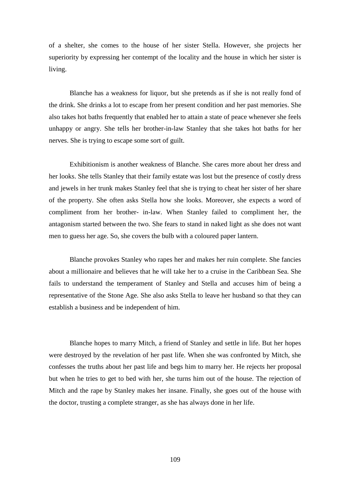of a shelter, she comes to the house of her sister Stella. However, she projects her superiority by expressing her contempt of the locality and the house in which her sister is living.

Blanche has a weakness for liquor, but she pretends as if she is not really fond of the drink. She drinks a lot to escape from her present condition and her past memories. She also takes hot baths frequently that enabled her to attain a state of peace whenever she feels unhappy or angry. She tells her brother-in-law Stanley that she takes hot baths for her nerves. She is trying to escape some sort of guilt.

Exhibitionism is another weakness of Blanche. She cares more about her dress and her looks. She tells Stanley that their family estate was lost but the presence of costly dress and jewels in her trunk makes Stanley feel that she is trying to cheat her sister of her share of the property. She often asks Stella how she looks. Moreover, she expects a word of compliment from her brother- in-law. When Stanley failed to compliment her, the antagonism started between the two. She fears to stand in naked light as she does not want men to guess her age. So, she covers the bulb with a coloured paper lantern.

Blanche provokes Stanley who rapes her and makes her ruin complete. She fancies about a millionaire and believes that he will take her to a cruise in the Caribbean Sea. She fails to understand the temperament of Stanley and Stella and accuses him of being a representative of the Stone Age. She also asks Stella to leave her husband so that they can establish a business and be independent of him.

Blanche hopes to marry Mitch, a friend of Stanley and settle in life. But her hopes were destroyed by the revelation of her past life. When she was confronted by Mitch, she confesses the truths about her past life and begs him to marry her. He rejects her proposal but when he tries to get to bed with her, she turns him out of the house. The rejection of Mitch and the rape by Stanley makes her insane. Finally, she goes out of the house with the doctor, trusting a complete stranger, as she has always done in her life.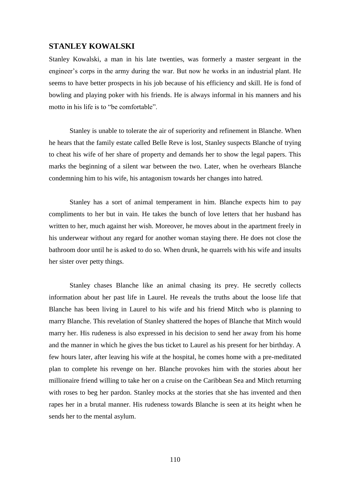# **STANLEY KOWALSKI**

Stanley Kowalski, a man in his late twenties, was formerly a master sergeant in the engineer's corps in the army during the war. But now he works in an industrial plant. He seems to have better prospects in his job because of his efficiency and skill. He is fond of bowling and playing poker with his friends. He is always informal in his manners and his motto in his life is to "be comfortable".

Stanley is unable to tolerate the air of superiority and refinement in Blanche. When he hears that the family estate called Belle Reve is lost, Stanley suspects Blanche of trying to cheat his wife of her share of property and demands her to show the legal papers. This marks the beginning of a silent war between the two. Later, when he overhears Blanche condemning him to his wife, his antagonism towards her changes into hatred.

Stanley has a sort of animal temperament in him. Blanche expects him to pay compliments to her but in vain. He takes the bunch of love letters that her husband has written to her, much against her wish. Moreover, he moves about in the apartment freely in his underwear without any regard for another woman staying there. He does not close the bathroom door until he is asked to do so. When drunk, he quarrels with his wife and insults her sister over petty things.

Stanley chases Blanche like an animal chasing its prey. He secretly collects information about her past life in Laurel. He reveals the truths about the loose life that Blanche has been living in Laurel to his wife and his friend Mitch who is planning to marry Blanche. This revelation of Stanley shattered the hopes of Blanche that Mitch would marry her. His rudeness is also expressed in his decision to send her away from his home and the manner in which he gives the bus ticket to Laurel as his present for her birthday. A few hours later, after leaving his wife at the hospital, he comes home with a pre-meditated plan to complete his revenge on her. Blanche provokes him with the stories about her millionaire friend willing to take her on a cruise on the Caribbean Sea and Mitch returning with roses to beg her pardon. Stanley mocks at the stories that she has invented and then rapes her in a brutal manner. His rudeness towards Blanche is seen at its height when he sends her to the mental asylum.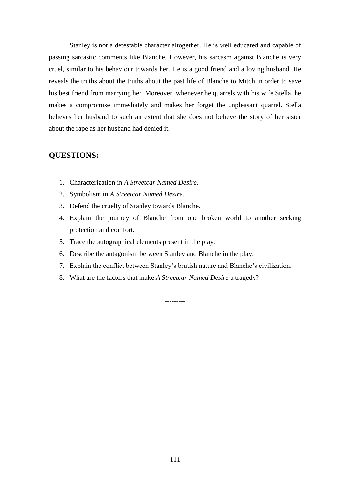Stanley is not a detestable character altogether. He is well educated and capable of passing sarcastic comments like Blanche. However, his sarcasm against Blanche is very cruel, similar to his behaviour towards her. He is a good friend and a loving husband. He reveals the truths about the truths about the past life of Blanche to Mitch in order to save his best friend from marrying her. Moreover, whenever he quarrels with his wife Stella, he makes a compromise immediately and makes her forget the unpleasant quarrel. Stella believes her husband to such an extent that she does not believe the story of her sister about the rape as her husband had denied it.

# **QUESTIONS:**

- 1. Characterization in *A Streetcar Named Desire*.
- 2. Symbolism in *A Streetcar Named Desire*.
- 3. Defend the cruelty of Stanley towards Blanche.
- 4. Explain the journey of Blanche from one broken world to another seeking protection and comfort.
- 5. Trace the autographical elements present in the play.
- 6. Describe the antagonism between Stanley and Blanche in the play.
- 7. Explain the conflict between Stanley's brutish nature and Blanche's civilization.
- 8. What are the factors that make *A Streetcar Named Desire* a tragedy?

---------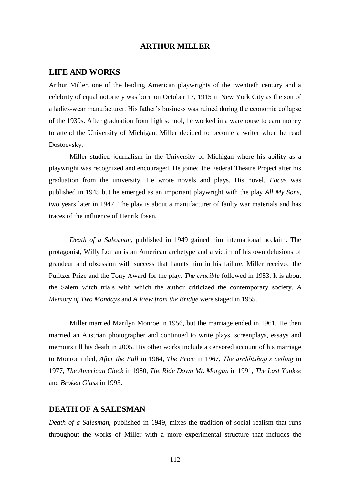# **ARTHUR MILLER**

### **LIFE AND WORKS**

Arthur Miller, one of the leading American playwrights of the twentieth century and a celebrity of equal notoriety was born on October 17, 1915 in New York City as the son of a ladies-wear manufacturer. His father's business was ruined during the economic collapse of the 1930s. After graduation from high school, he worked in a warehouse to earn money to attend the University of Michigan. Miller decided to become a writer when he read Dostoevsky.

Miller studied journalism in the University of Michigan where his ability as a playwright was recognized and encouraged. He joined the Federal Theatre Project after his graduation from the university. He wrote novels and plays. His novel, *Focus* was published in 1945 but he emerged as an important playwright with the play *All My Sons*, two years later in 1947. The play is about a manufacturer of faulty war materials and has traces of the influence of Henrik Ibsen.

*Death of a Salesman*, published in 1949 gained him international acclaim. The protagonist, Willy Loman is an American archetype and a victim of his own delusions of grandeur and obsession with success that haunts him in his failure. Miller received the Pulitzer Prize and the Tony Award for the play. *The crucible* followed in 1953. It is about the Salem witch trials with which the author criticized the contemporary society. *A Memory of Two Mondays* and *A View from the Bridge* were staged in 1955.

Miller married Marilyn Monroe in 1956, but the marriage ended in 1961. He then married an Austrian photographer and continued to write plays, screenplays, essays and memoirs till his death in 2005. His other works include a censored account of his marriage to Monroe titled, *After the Fall* in 1964, *The Price* in 1967, *The archbishop's ceiling* in 1977, *The American Clock* in 1980, *The Ride Down Mt. Morgan* in 1991, *The Last Yankee* and *Broken Glass* in 1993.

# **DEATH OF A SALESMAN**

*Death of a Salesman*, published in 1949, mixes the tradition of social realism that runs throughout the works of Miller with a more experimental structure that includes the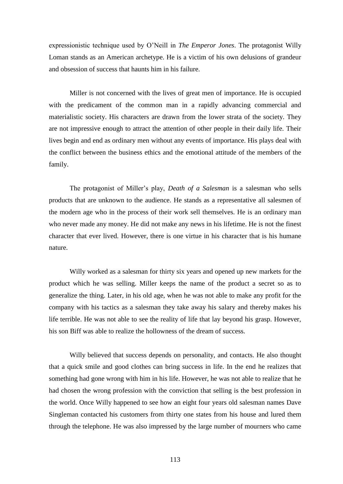expressionistic technique used by O'Neill in *The Emperor Jones*. The protagonist Willy Loman stands as an American archetype. He is a victim of his own delusions of grandeur and obsession of success that haunts him in his failure.

Miller is not concerned with the lives of great men of importance. He is occupied with the predicament of the common man in a rapidly advancing commercial and materialistic society. His characters are drawn from the lower strata of the society. They are not impressive enough to attract the attention of other people in their daily life. Their lives begin and end as ordinary men without any events of importance. His plays deal with the conflict between the business ethics and the emotional attitude of the members of the family.

The protagonist of Miller's play, *Death of a Salesman* is a salesman who sells products that are unknown to the audience. He stands as a representative all salesmen of the modern age who in the process of their work sell themselves. He is an ordinary man who never made any money. He did not make any news in his lifetime. He is not the finest character that ever lived. However, there is one virtue in his character that is his humane nature.

Willy worked as a salesman for thirty six years and opened up new markets for the product which he was selling. Miller keeps the name of the product a secret so as to generalize the thing. Later, in his old age, when he was not able to make any profit for the company with his tactics as a salesman they take away his salary and thereby makes his life terrible. He was not able to see the reality of life that lay beyond his grasp. However, his son Biff was able to realize the hollowness of the dream of success.

Willy believed that success depends on personality, and contacts. He also thought that a quick smile and good clothes can bring success in life. In the end he realizes that something had gone wrong with him in his life. However, he was not able to realize that he had chosen the wrong profession with the conviction that selling is the best profession in the world. Once Willy happened to see how an eight four years old salesman names Dave Singleman contacted his customers from thirty one states from his house and lured them through the telephone. He was also impressed by the large number of mourners who came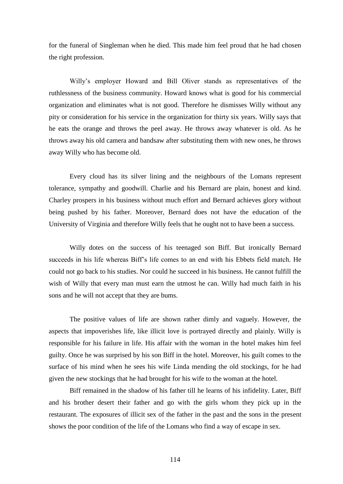for the funeral of Singleman when he died. This made him feel proud that he had chosen the right profession.

Willy's employer Howard and Bill Oliver stands as representatives of the ruthlessness of the business community. Howard knows what is good for his commercial organization and eliminates what is not good. Therefore he dismisses Willy without any pity or consideration for his service in the organization for thirty six years. Willy says that he eats the orange and throws the peel away. He throws away whatever is old. As he throws away his old camera and bandsaw after substituting them with new ones, he throws away Willy who has become old.

Every cloud has its silver lining and the neighbours of the Lomans represent tolerance, sympathy and goodwill. Charlie and his Bernard are plain, honest and kind. Charley prospers in his business without much effort and Bernard achieves glory without being pushed by his father. Moreover, Bernard does not have the education of the University of Virginia and therefore Willy feels that he ought not to have been a success.

Willy dotes on the success of his teenaged son Biff. But ironically Bernard succeeds in his life whereas Biff's life comes to an end with his Ebbets field match. He could not go back to his studies. Nor could he succeed in his business. He cannot fulfill the wish of Willy that every man must earn the utmost he can. Willy had much faith in his sons and he will not accept that they are bums.

The positive values of life are shown rather dimly and vaguely. However, the aspects that impoverishes life, like illicit love is portrayed directly and plainly. Willy is responsible for his failure in life. His affair with the woman in the hotel makes him feel guilty. Once he was surprised by his son Biff in the hotel. Moreover, his guilt comes to the surface of his mind when he sees his wife Linda mending the old stockings, for he had given the new stockings that he had brought for his wife to the woman at the hotel.

Biff remained in the shadow of his father till he learns of his infidelity. Later, Biff and his brother desert their father and go with the girls whom they pick up in the restaurant. The exposures of illicit sex of the father in the past and the sons in the present shows the poor condition of the life of the Lomans who find a way of escape in sex.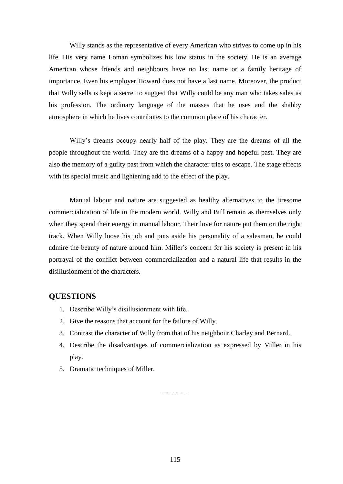Willy stands as the representative of every American who strives to come up in his life. His very name Loman symbolizes his low status in the society. He is an average American whose friends and neighbours have no last name or a family heritage of importance. Even his employer Howard does not have a last name. Moreover, the product that Willy sells is kept a secret to suggest that Willy could be any man who takes sales as his profession. The ordinary language of the masses that he uses and the shabby atmosphere in which he lives contributes to the common place of his character.

Willy's dreams occupy nearly half of the play. They are the dreams of all the people throughout the world. They are the dreams of a happy and hopeful past. They are also the memory of a guilty past from which the character tries to escape. The stage effects with its special music and lightening add to the effect of the play.

Manual labour and nature are suggested as healthy alternatives to the tiresome commercialization of life in the modern world. Willy and Biff remain as themselves only when they spend their energy in manual labour. Their love for nature put them on the right track. When Willy loose his job and puts aside his personality of a salesman, he could admire the beauty of nature around him. Miller's concern for his society is present in his portrayal of the conflict between commercialization and a natural life that results in the disillusionment of the characters.

# **QUESTIONS**

- 1. Describe Willy's disillusionment with life.
- 2. Give the reasons that account for the failure of Willy.
- 3. Contrast the character of Willy from that of his neighbour Charley and Bernard.
- 4. Describe the disadvantages of commercialization as expressed by Miller in his play.
- 5. Dramatic techniques of Miller.

-----------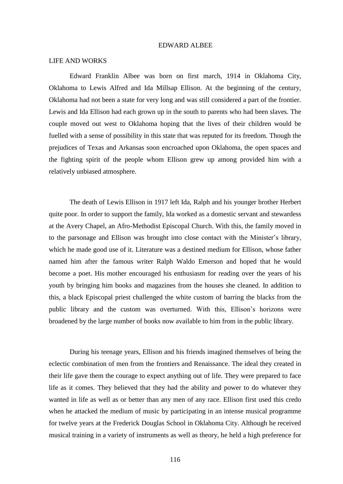#### EDWARD ALBEE

#### LIFE AND WORKS

Edward Franklin Albee was born on first march, 1914 in Oklahoma City, Oklahoma to Lewis Alfred and Ida Millsap Ellison. At the beginning of the century, Oklahoma had not been a state for very long and was still considered a part of the frontier. Lewis and Ida Ellison had each grown up in the south to parents who had been slaves. The couple moved out west to Oklahoma hoping that the lives of their children would be fuelled with a sense of possibility in this state that was reputed for its freedom. Though the prejudices of Texas and Arkansas soon encroached upon Oklahoma, the open spaces and the fighting spirit of the people whom Ellison grew up among provided him with a relatively unbiased atmosphere.

The death of Lewis Ellison in 1917 left Ida, Ralph and his younger brother Herbert quite poor. In order to support the family, Ida worked as a domestic servant and stewardess at the Avery Chapel, an Afro-Methodist Episcopal Church. With this, the family moved in to the parsonage and Ellison was brought into close contact with the Minister's library, which he made good use of it. Literature was a destined medium for Ellison, whose father named him after the famous writer Ralph Waldo Emerson and hoped that he would become a poet. His mother encouraged his enthusiasm for reading over the years of his youth by bringing him books and magazines from the houses she cleaned. In addition to this, a black Episcopal priest challenged the white custom of barring the blacks from the public library and the custom was overturned. With this, Ellison's horizons were broadened by the large number of books now available to him from in the public library.

During his teenage years, Ellison and his friends imagined themselves of being the eclectic combination of men from the frontiers and Renaissance. The ideal they created in their life gave them the courage to expect anything out of life. They were prepared to face life as it comes. They believed that they had the ability and power to do whatever they wanted in life as well as or better than any men of any race. Ellison first used this credo when he attacked the medium of music by participating in an intense musical programme for twelve years at the Frederick Douglas School in Oklahoma City. Although he received musical training in a variety of instruments as well as theory, he held a high preference for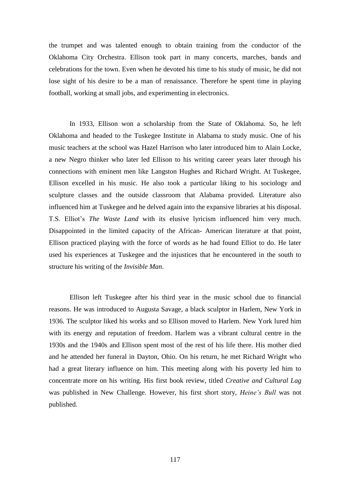the trumpet and was talented enough to obtain training from the conductor of the Oklahoma City Orchestra. Ellison took part in many concerts, marches, bands and celebrations for the town. Even when he devoted his time to his study of music, he did not lose sight of his desire to be a man of renaissance. Therefore he spent time in playing football, working at small jobs, and experimenting in electronics.

In 1933, Ellison won a scholarship from the State of Oklahoma. So, he left Oklahoma and headed to the Tuskegee Institute in Alabama to study music. One of his music teachers at the school was Hazel Harrison who later introduced him to Alain Locke, a new Negro thinker who later led Ellison to his writing career years later through his connections with eminent men like Langston Hughes and Richard Wright. At Tuskegee, Ellison excelled in his music. He also took a particular liking to his sociology and sculpture classes and the outside classroom that Alabama provided. Literature also influenced him at Tuskegee and he delved again into the expansive libraries at his disposal. T.S. Elliot's *The Waste Land* with its elusive lyricism influenced him very much. Disappointed in the limited capacity of the African- American literature at that point, Ellison practiced playing with the force of words as he had found Elliot to do. He later used his experiences at Tuskegee and the injustices that he encountered in the south to structure his writing of the *Invisible Man*.

Ellison left Tuskegee after his third year in the music school due to financial reasons. He was introduced to Augusta Savage, a black sculptor in Harlem, New York in 1936. The sculptor liked his works and so Ellison moved to Harlem. New York lured him with its energy and reputation of freedom. Harlem was a vibrant cultural centre in the 1930s and the 1940s and Ellison spent most of the rest of his life there. His mother died and he attended her funeral in Dayton, Ohio. On his return, he met Richard Wright who had a great literary influence on him. This meeting along with his poverty led him to concentrate more on his writing. His first book review, titled *Creative and Cultural Lag* was published in New Challenge. However, his first short story, *Heine's Bull* was not published.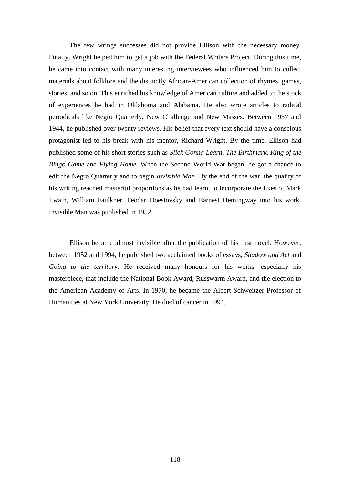The few wrings successes did not provide Ellison with the necessary money. Finally, Wright helped him to get a job with the Federal Writers Project. During this time, he came into contact with many interesting interviewees who influenced him to collect materials about folklore and the distinctly African-American collection of rhymes, games, stories, and so on. This enriched his knowledge of American culture and added to the stock of experiences he had in Oklahoma and Alabama. He also wrote articles to radical periodicals like Negro Quarterly, New Challenge and New Masses. Between 1937 and 1944, he published over twenty reviews. His belief that every text should have a conscious protagonist led to his break with his mentor, Richard Wright. By the time, Ellison had published some of his short stories such as *Slick Gonna Learn*, *The Birthmark*, *King of the Bingo Game* and *Flying Home*. When the Second World War began, he got a chance to edit the Negro Quarterly and to begin *Invisible Man*. By the end of the war, the quality of his writing reached masterful proportions as he had learnt to incorporate the likes of Mark Twain, William Faulkner, Feodar Doestovsky and Earnest Hemingway into his work. Invisible Man was published in 1952.

Ellison became almost invisible after the publication of his first novel. However, between 1952 and 1994, he published two acclaimed books of essays, *Shadow and Act* and *Going to the territory*. He received many honours for his works, especially his masterpiece, that include the National Book Award, Russwarm Award, and the election to the American Academy of Arts. In 1970, he became the Albert Schweitzer Professor of Humanities at New York University. He died of cancer in 1994.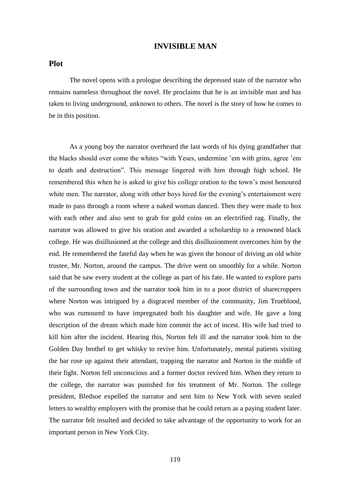# **INVISIBLE MAN**

## **Plot**

The novel opens with a prologue describing the depressed state of the narrator who remains nameless throughout the novel. He proclaims that he is an invisible man and has taken to living underground, unknown to others. The novel is the story of how he comes to be in this position.

As a young boy the narrator overheard the last words of his dying grandfather that the blacks should over come the whites "with Yeses, undermine 'em with grins, agree 'em to death and destruction". This message lingered with him through high school. He remembered this when he is asked to give his college oration to the town's most honoured white men. The narrator, along with other boys hired for the evening's entertainment were made to pass through a room where a naked woman danced. Then they were made to box with each other and also sent to grab for gold coins on an electrified rag. Finally, the narrator was allowed to give his oration and awarded a scholarship to a renowned black college. He was disillusioned at the college and this disillusionment overcomes him by the end. He remembered the fateful day when he was given the honour of driving an old white trustee, Mr. Norton, around the campus. The drive went on smoothly for a while. Norton said that he saw every student at the college as part of his fate. He wanted to explore parts of the surrounding town and the narrator took him in to a poor district of sharecroppers where Norton was intrigued by a disgraced member of the community, Jim Trueblood, who was rumoured to have impregnated both his daughter and wife. He gave a long description of the dream which made him commit the act of incest. His wife had tried to kill him after the incident. Hearing this, Norton felt ill and the narrator took him to the Golden Day brothel to get whisky to revive him. Unfortunately, mental patients visiting the bar rose up against their attendant, trapping the narrator and Norton in the middle of their fight. Norton fell unconscious and a former doctor revived him. When they return to the college, the narrator was punished for his treatment of Mr. Norton. The college president, Bledsoe expelled the narrator and sent him to New York with seven sealed letters to wealthy employers with the promise that he could return as a paying student later. The narrator felt insulted and decided to take advantage of the opportunity to work for an important person in New York City.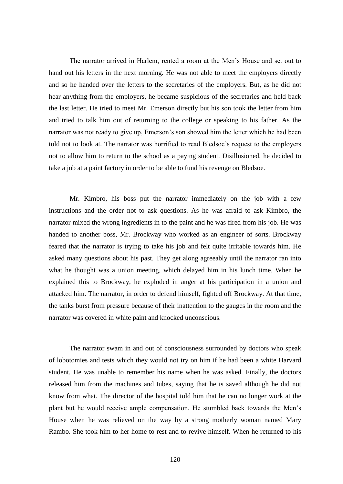The narrator arrived in Harlem, rented a room at the Men's House and set out to hand out his letters in the next morning. He was not able to meet the employers directly and so he handed over the letters to the secretaries of the employers. But, as he did not hear anything from the employers, he became suspicious of the secretaries and held back the last letter. He tried to meet Mr. Emerson directly but his son took the letter from him and tried to talk him out of returning to the college or speaking to his father. As the narrator was not ready to give up, Emerson's son showed him the letter which he had been told not to look at. The narrator was horrified to read Bledsoe's request to the employers not to allow him to return to the school as a paying student. Disillusioned, he decided to take a job at a paint factory in order to be able to fund his revenge on Bledsoe.

Mr. Kimbro, his boss put the narrator immediately on the job with a few instructions and the order not to ask questions. As he was afraid to ask Kimbro, the narrator mixed the wrong ingredients in to the paint and he was fired from his job. He was handed to another boss, Mr. Brockway who worked as an engineer of sorts. Brockway feared that the narrator is trying to take his job and felt quite irritable towards him. He asked many questions about his past. They get along agreeably until the narrator ran into what he thought was a union meeting, which delayed him in his lunch time. When he explained this to Brockway, he exploded in anger at his participation in a union and attacked him. The narrator, in order to defend himself, fighted off Brockway. At that time, the tanks burst from pressure because of their inattention to the gauges in the room and the narrator was covered in white paint and knocked unconscious.

The narrator swam in and out of consciousness surrounded by doctors who speak of lobotomies and tests which they would not try on him if he had been a white Harvard student. He was unable to remember his name when he was asked. Finally, the doctors released him from the machines and tubes, saying that he is saved although he did not know from what. The director of the hospital told him that he can no longer work at the plant but he would receive ample compensation. He stumbled back towards the Men's House when he was relieved on the way by a strong motherly woman named Mary Rambo. She took him to her home to rest and to revive himself. When he returned to his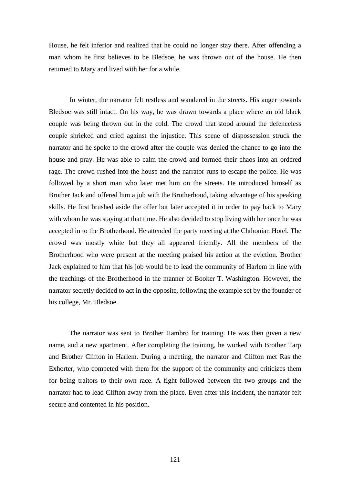House, he felt inferior and realized that he could no longer stay there. After offending a man whom he first believes to be Bledsoe, he was thrown out of the house. He then returned to Mary and lived with her for a while.

In winter, the narrator felt restless and wandered in the streets. His anger towards Bledsoe was still intact. On his way, he was drawn towards a place where an old black couple was being thrown out in the cold. The crowd that stood around the defenceless couple shrieked and cried against the injustice. This scene of dispossession struck the narrator and he spoke to the crowd after the couple was denied the chance to go into the house and pray. He was able to calm the crowd and formed their chaos into an ordered rage. The crowd rushed into the house and the narrator runs to escape the police. He was followed by a short man who later met him on the streets. He introduced himself as Brother Jack and offered him a job with the Brotherhood, taking advantage of his speaking skills. He first brushed aside the offer but later accepted it in order to pay back to Mary with whom he was staying at that time. He also decided to stop living with her once he was accepted in to the Brotherhood. He attended the party meeting at the Chthonian Hotel. The crowd was mostly white but they all appeared friendly. All the members of the Brotherhood who were present at the meeting praised his action at the eviction. Brother Jack explained to him that his job would be to lead the community of Harlem in line with the teachings of the Brotherhood in the manner of Booker T. Washington. However, the narrator secretly decided to act in the opposite, following the example set by the founder of his college, Mr. Bledsoe.

The narrator was sent to Brother Hambro for training. He was then given a new name, and a new apartment. After completing the training, he worked with Brother Tarp and Brother Clifton in Harlem. During a meeting, the narrator and Clifton met Ras the Exhorter, who competed with them for the support of the community and criticizes them for being traitors to their own race. A fight followed between the two groups and the narrator had to lead Clifton away from the place. Even after this incident, the narrator felt secure and contented in his position.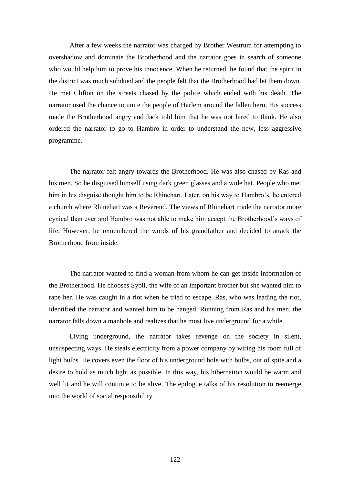After a few weeks the narrator was charged by Brother Westrum for attempting to overshadow and dominate the Brotherhood and the narrator goes in search of someone who would help him to prove his innocence. When he returned, he found that the spirit in the district was much subdued and the people felt that the Brotherhood had let them down. He met Clifton on the streets chased by the police which ended with his death. The narrator used the chance to unite the people of Harlem around the fallen hero. His success made the Brotherhood angry and Jack told him that he was not hired to think. He also ordered the narrator to go to Hambro in order to understand the new, less aggressive programme.

The narrator felt angry towards the Brotherhood. He was also chased by Ras and his men. So he disguised himself using dark green glasses and a wide hat. People who met him in his disguise thought him to be Rhinehart. Later, on his way to Hambro's, he entered a church where Rhinehart was a Reverend. The views of Rhinehart made the narrator more cynical than ever and Hambro was not able to make him accept the Brotherhood's ways of life. However, he remembered the words of his grandfather and decided to attack the Brotherhood from inside.

The narrator wanted to find a woman from whom he can get inside information of the Brotherhood. He chooses Sybil, the wife of an important brother but she wanted him to rape her. He was caught in a riot when he tried to escape. Ras, who was leading the riot, identified the narrator and wanted him to be hanged. Running from Ras and his men, the narrator falls down a manhole and realizes that he must live underground for a while.

Living underground, the narrator takes revenge on the society in silent, unsuspecting ways. He steals electricity from a power company by wiring his room full of light bulbs. He covers even the floor of his underground hole with bulbs, out of spite and a desire to hold as much light as possible. In this way, his hibernation would be warm and well lit and he will continue to be alive. The epilogue talks of his resolution to reemerge into the world of social responsibility.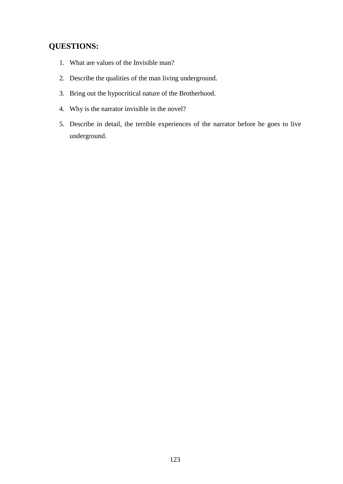# **QUESTIONS:**

- 1. What are values of the Invisible man?
- 2. Describe the qualities of the man living underground.
- 3. Bring out the hypocritical nature of the Brotherhood.
- 4. Why is the narrator invisible in the novel?
- 5. Describe in detail, the terrible experiences of the narrator before he goes to live underground.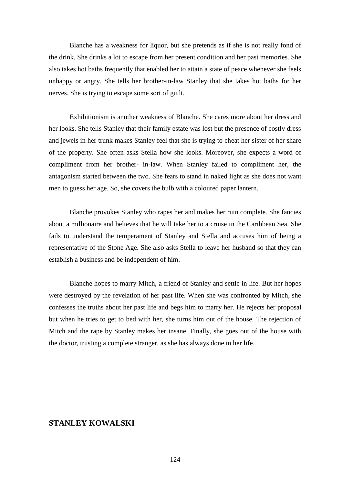Blanche has a weakness for liquor, but she pretends as if she is not really fond of the drink. She drinks a lot to escape from her present condition and her past memories. She also takes hot baths frequently that enabled her to attain a state of peace whenever she feels unhappy or angry. She tells her brother-in-law Stanley that she takes hot baths for her nerves. She is trying to escape some sort of guilt.

Exhibitionism is another weakness of Blanche. She cares more about her dress and her looks. She tells Stanley that their family estate was lost but the presence of costly dress and jewels in her trunk makes Stanley feel that she is trying to cheat her sister of her share of the property. She often asks Stella how she looks. Moreover, she expects a word of compliment from her brother- in-law. When Stanley failed to compliment her, the antagonism started between the two. She fears to stand in naked light as she does not want men to guess her age. So, she covers the bulb with a coloured paper lantern.

Blanche provokes Stanley who rapes her and makes her ruin complete. She fancies about a millionaire and believes that he will take her to a cruise in the Caribbean Sea. She fails to understand the temperament of Stanley and Stella and accuses him of being a representative of the Stone Age. She also asks Stella to leave her husband so that they can establish a business and be independent of him.

Blanche hopes to marry Mitch, a friend of Stanley and settle in life. But her hopes were destroyed by the revelation of her past life. When she was confronted by Mitch, she confesses the truths about her past life and begs him to marry her. He rejects her proposal but when he tries to get to bed with her, she turns him out of the house. The rejection of Mitch and the rape by Stanley makes her insane. Finally, she goes out of the house with the doctor, trusting a complete stranger, as she has always done in her life.

# **STANLEY KOWALSKI**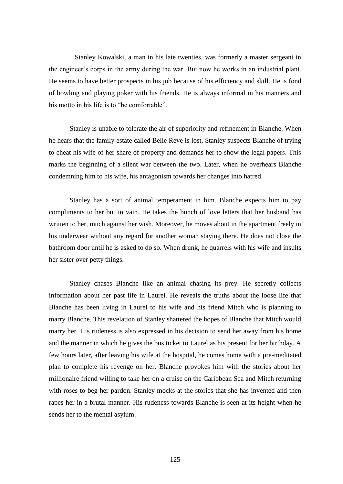Stanley Kowalski, a man in his late twenties, was formerly a master sergeant in the engineer's corps in the army during the war. But now he works in an industrial plant. He seems to have better prospects in his job because of his efficiency and skill. He is fond of bowling and playing poker with his friends. He is always informal in his manners and his motto in his life is to "be comfortable".

Stanley is unable to tolerate the air of superiority and refinement in Blanche. When he hears that the family estate called Belle Reve is lost, Stanley suspects Blanche of trying to cheat his wife of her share of property and demands her to show the legal papers. This marks the beginning of a silent war between the two. Later, when he overhears Blanche condemning him to his wife, his antagonism towards her changes into hatred.

Stanley has a sort of animal temperament in him. Blanche expects him to pay compliments to her but in vain. He takes the bunch of love letters that her husband has written to her, much against her wish. Moreover, he moves about in the apartment freely in his underwear without any regard for another woman staying there. He does not close the bathroom door until he is asked to do so. When drunk, he quarrels with his wife and insults her sister over petty things.

Stanley chases Blanche like an animal chasing its prey. He secretly collects information about her past life in Laurel. He reveals the truths about the loose life that Blanche has been living in Laurel to his wife and his friend Mitch who is planning to marry Blanche. This revelation of Stanley shattered the hopes of Blanche that Mitch would marry her. His rudeness is also expressed in his decision to send her away from his home and the manner in which he gives the bus ticket to Laurel as his present for her birthday. A few hours later, after leaving his wife at the hospital, he comes home with a pre-meditated plan to complete his revenge on her. Blanche provokes him with the stories about her millionaire friend willing to take her on a cruise on the Caribbean Sea and Mitch returning with roses to beg her pardon. Stanley mocks at the stories that she has invented and then rapes her in a brutal manner. His rudeness towards Blanche is seen at its height when he sends her to the mental asylum.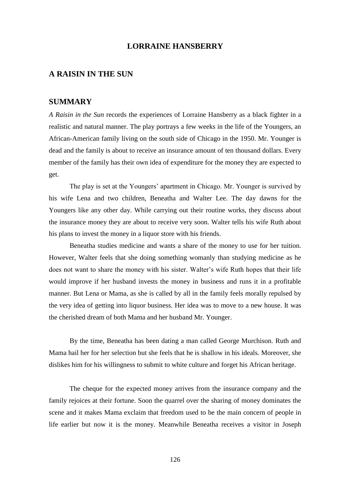# **LORRAINE HANSBERRY**

# **A RAISIN IN THE SUN**

# **SUMMARY**

*A Raisin in the Sun* records the experiences of Lorraine Hansberry as a black fighter in a realistic and natural manner. The play portrays a few weeks in the life of the Youngers, an African-American family living on the south side of Chicago in the 1950. Mr. Younger is dead and the family is about to receive an insurance amount of ten thousand dollars. Every member of the family has their own idea of expenditure for the money they are expected to get.

The play is set at the Youngers' apartment in Chicago. Mr. Younger is survived by his wife Lena and two children, Beneatha and Walter Lee. The day dawns for the Youngers like any other day. While carrying out their routine works, they discuss about the insurance money they are about to receive very soon. Walter tells his wife Ruth about his plans to invest the money in a liquor store with his friends.

Beneatha studies medicine and wants a share of the money to use for her tuition. However, Walter feels that she doing something womanly than studying medicine as he does not want to share the money with his sister. Walter's wife Ruth hopes that their life would improve if her husband invests the money in business and runs it in a profitable manner. But Lena or Mama, as she is called by all in the family feels morally repulsed by the very idea of getting into liquor business. Her idea was to move to a new house. It was the cherished dream of both Mama and her husband Mr. Younger.

By the time, Beneatha has been dating a man called George Murchison. Ruth and Mama hail her for her selection but she feels that he is shallow in his ideals. Moreover, she dislikes him for his willingness to submit to white culture and forget his African heritage.

The cheque for the expected money arrives from the insurance company and the family rejoices at their fortune. Soon the quarrel over the sharing of money dominates the scene and it makes Mama exclaim that freedom used to be the main concern of people in life earlier but now it is the money. Meanwhile Beneatha receives a visitor in Joseph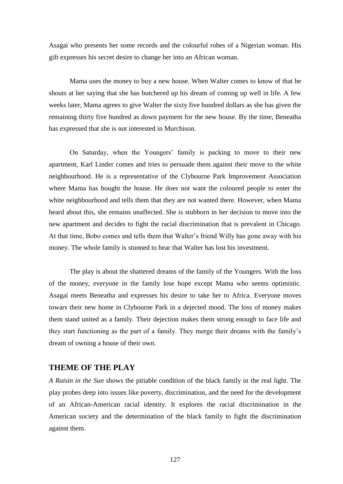Asagai who presents her some records and the colourful robes of a Nigerian woman. His gift expresses his secret desire to change her into an African woman.

Mama uses the money to buy a new house. When Walter comes to know of that he shouts at her saying that she has butchered up his dream of coming up well in life. A few weeks later, Mama agrees to give Walter the sixty five hundred dollars as she has given the remaining thirty five hundred as down payment for the new house. By the time, Beneatha has expressed that she is not interested in Murchison.

On Saturday, when the Youngers' family is packing to move to their new apartment, Karl Linder comes and tries to persuade them against their move to the white neighbourhood. He is a representative of the Clybourne Park Improvement Association where Mama has bought the house. He does not want the coloured people to enter the white neighbourhood and tells them that they are not wanted there. However, when Mama heard about this, she remains unaffected. She is stubborn in her decision to move into the new apartment and decides to fight the racial discrimination that is prevalent in Chicago. At that time, Bobo comes and tells them that Walter's friend Willy has gone away with his money. The whole family is stunned to hear that Walter has lost his investment.

The play is about the shattered dreams of the family of the Youngers. With the loss of the money, everyone in the family lose hope except Mama who seems optimistic. Asagai meets Beneatha and expresses his desire to take her to Africa. Everyone moves towars their new home in Clybourne Park in a dejected mood. The loss of money makes them stand united as a family. Their dejection makes them strong enough to face life and they start functioning as the part of a family. They merge their dreams with the family's dream of owning a house of their own.

# **THEME OF THE PLAY**

*A Raisin in the Sun* shows the pitiable condition of the black family in the real light. The play probes deep into issues like poverty, discrimination, and the need for the development of an African-American racial identity. It explores the racial discrimination in the American society and the determination of the black family to fight the discrimination against them.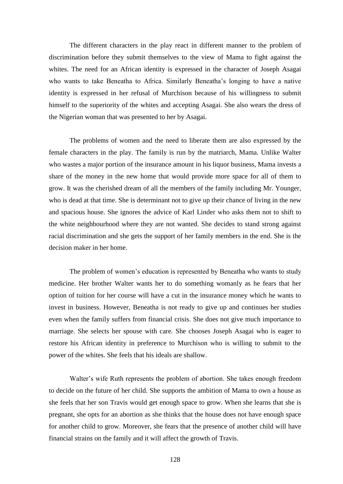The different characters in the play react in different manner to the problem of discrimination before they submit themselves to the view of Mama to fight against the whites. The need for an African identity is expressed in the character of Joseph Asagai who wants to take Beneatha to Africa. Similarly Beneatha's longing to have a native identity is expressed in her refusal of Murchison because of his willingness to submit himself to the superiority of the whites and accepting Asagai. She also wears the dress of the Nigerian woman that was presented to her by Asagai.

The problems of women and the need to liberate them are also expressed by the female characters in the play. The family is run by the matriarch, Mama. Unlike Walter who wastes a major portion of the insurance amount in his liquor business, Mama invests a share of the money in the new home that would provide more space for all of them to grow. It was the cherished dream of all the members of the family including Mr. Younger, who is dead at that time. She is determinant not to give up their chance of living in the new and spacious house. She ignores the advice of Karl Linder who asks them not to shift to the white neighbourhood where they are not wanted. She decides to stand strong against racial discrimination and she gets the support of her family members in the end. She is the decision maker in her home.

The problem of women's education is represented by Beneatha who wants to study medicine. Her brother Walter wants her to do something womanly as he fears that her option of tuition for her course will have a cut in the insurance money which he wants to invest in business. However, Beneatha is not ready to give up and continues her studies even when the family suffers from financial crisis. She does not give much importance to marriage. She selects her spouse with care. She chooses Joseph Asagai who is eager to restore his African identity in preference to Murchison who is willing to submit to the power of the whites. She feels that his ideals are shallow.

Walter's wife Ruth represents the problem of abortion. She takes enough freedom to decide on the future of her child. She supports the ambition of Mama to own a house as she feels that her son Travis would get enough space to grow. When she learns that she is pregnant, she opts for an abortion as she thinks that the house does not have enough space for another child to grow. Moreover, she fears that the presence of another child will have financial strains on the family and it will affect the growth of Travis.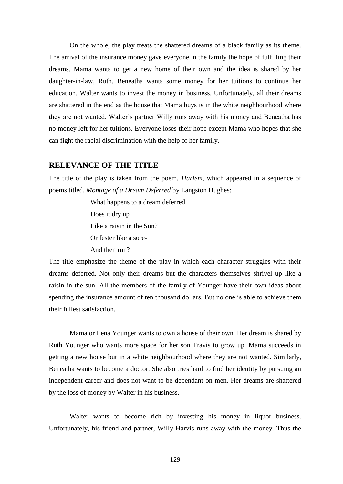On the whole, the play treats the shattered dreams of a black family as its theme. The arrival of the insurance money gave everyone in the family the hope of fulfilling their dreams. Mama wants to get a new home of their own and the idea is shared by her daughter-in-law, Ruth. Beneatha wants some money for her tuitions to continue her education. Walter wants to invest the money in business. Unfortunately, all their dreams are shattered in the end as the house that Mama buys is in the white neighbourhood where they are not wanted. Walter's partner Willy runs away with his money and Beneatha has no money left for her tuitions. Everyone loses their hope except Mama who hopes that she can fight the racial discrimination with the help of her family.

# **RELEVANCE OF THE TITLE**

The title of the play is taken from the poem, *Harlem*, which appeared in a sequence of poems titled, *Montage of a Dream Deferred* by Langston Hughes:

> What happens to a dream deferred Does it dry up Like a raisin in the Sun? Or fester like a sore-And then run?

The title emphasize the theme of the play in which each character struggles with their dreams deferred. Not only their dreams but the characters themselves shrivel up like a raisin in the sun. All the members of the family of Younger have their own ideas about spending the insurance amount of ten thousand dollars. But no one is able to achieve them their fullest satisfaction.

Mama or Lena Younger wants to own a house of their own. Her dream is shared by Ruth Younger who wants more space for her son Travis to grow up. Mama succeeds in getting a new house but in a white neighbourhood where they are not wanted. Similarly, Beneatha wants to become a doctor. She also tries hard to find her identity by pursuing an independent career and does not want to be dependant on men. Her dreams are shattered by the loss of money by Walter in his business.

Walter wants to become rich by investing his money in liquor business. Unfortunately, his friend and partner, Willy Harvis runs away with the money. Thus the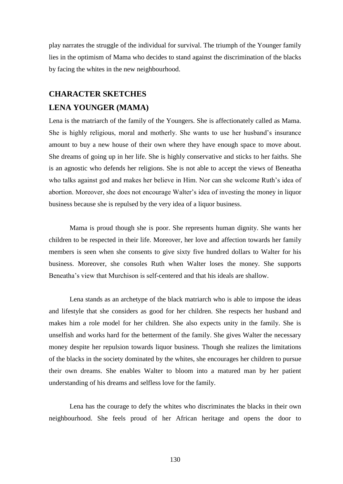play narrates the struggle of the individual for survival. The triumph of the Younger family lies in the optimism of Mama who decides to stand against the discrimination of the blacks by facing the whites in the new neighbourhood.

# **CHARACTER SKETCHES**

# **LENA YOUNGER (MAMA)**

Lena is the matriarch of the family of the Youngers. She is affectionately called as Mama. She is highly religious, moral and motherly. She wants to use her husband's insurance amount to buy a new house of their own where they have enough space to move about. She dreams of going up in her life. She is highly conservative and sticks to her faiths. She is an agnostic who defends her religions. She is not able to accept the views of Beneatha who talks against god and makes her believe in Him. Nor can she welcome Ruth's idea of abortion. Moreover, she does not encourage Walter's idea of investing the money in liquor business because she is repulsed by the very idea of a liquor business.

Mama is proud though she is poor. She represents human dignity. She wants her children to be respected in their life. Moreover, her love and affection towards her family members is seen when she consents to give sixty five hundred dollars to Walter for his business. Moreover, she consoles Ruth when Walter loses the money. She supports Beneatha's view that Murchison is self-centered and that his ideals are shallow.

Lena stands as an archetype of the black matriarch who is able to impose the ideas and lifestyle that she considers as good for her children. She respects her husband and makes him a role model for her children. She also expects unity in the family. She is unselfish and works hard for the betterment of the family. She gives Walter the necessary money despite her repulsion towards liquor business. Though she realizes the limitations of the blacks in the society dominated by the whites, she encourages her children to pursue their own dreams. She enables Walter to bloom into a matured man by her patient understanding of his dreams and selfless love for the family.

Lena has the courage to defy the whites who discriminates the blacks in their own neighbourhood. She feels proud of her African heritage and opens the door to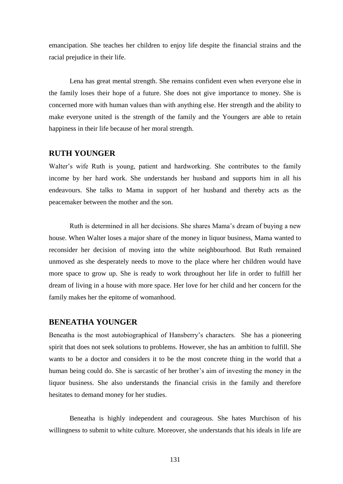emancipation. She teaches her children to enjoy life despite the financial strains and the racial prejudice in their life.

Lena has great mental strength. She remains confident even when everyone else in the family loses their hope of a future. She does not give importance to money. She is concerned more with human values than with anything else. Her strength and the ability to make everyone united is the strength of the family and the Youngers are able to retain happiness in their life because of her moral strength.

# **RUTH YOUNGER**

Walter's wife Ruth is young, patient and hardworking. She contributes to the family income by her hard work. She understands her husband and supports him in all his endeavours. She talks to Mama in support of her husband and thereby acts as the peacemaker between the mother and the son.

Ruth is determined in all her decisions. She shares Mama's dream of buying a new house. When Walter loses a major share of the money in liquor business, Mama wanted to reconsider her decision of moving into the white neighbourhood. But Ruth remained unmoved as she desperately needs to move to the place where her children would have more space to grow up. She is ready to work throughout her life in order to fulfill her dream of living in a house with more space. Her love for her child and her concern for the family makes her the epitome of womanhood.

#### **BENEATHA YOUNGER**

Beneatha is the most autobiographical of Hansberry's characters. She has a pioneering spirit that does not seek solutions to problems. However, she has an ambition to fulfill. She wants to be a doctor and considers it to be the most concrete thing in the world that a human being could do. She is sarcastic of her brother's aim of investing the money in the liquor business. She also understands the financial crisis in the family and therefore hesitates to demand money for her studies.

Beneatha is highly independent and courageous. She hates Murchison of his willingness to submit to white culture. Moreover, she understands that his ideals in life are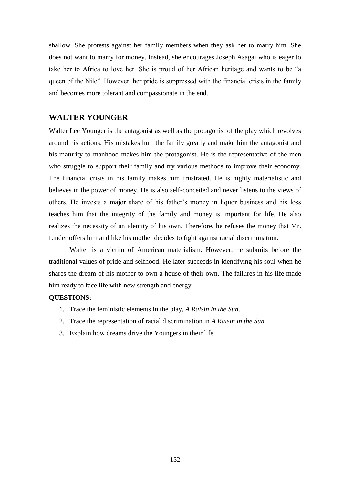shallow. She protests against her family members when they ask her to marry him. She does not want to marry for money. Instead, she encourages Joseph Asagai who is eager to take her to Africa to love her. She is proud of her African heritage and wants to be "a queen of the Nile". However, her pride is suppressed with the financial crisis in the family and becomes more tolerant and compassionate in the end.

# **WALTER YOUNGER**

Walter Lee Younger is the antagonist as well as the protagonist of the play which revolves around his actions. His mistakes hurt the family greatly and make him the antagonist and his maturity to manhood makes him the protagonist. He is the representative of the men who struggle to support their family and try various methods to improve their economy. The financial crisis in his family makes him frustrated. He is highly materialistic and believes in the power of money. He is also self-conceited and never listens to the views of others. He invests a major share of his father's money in liquor business and his loss teaches him that the integrity of the family and money is important for life. He also realizes the necessity of an identity of his own. Therefore, he refuses the money that Mr. Linder offers him and like his mother decides to fight against racial discrimination.

Walter is a victim of American materialism. However, he submits before the traditional values of pride and selfhood. He later succeeds in identifying his soul when he shares the dream of his mother to own a house of their own. The failures in his life made him ready to face life with new strength and energy.

#### **QUESTIONS:**

- 1. Trace the feministic elements in the play, *A Raisin in the Sun*.
- 2. Trace the representation of racial discrimination in *A Raisin in the Sun*.
- 3. Explain how dreams drive the Youngers in their life.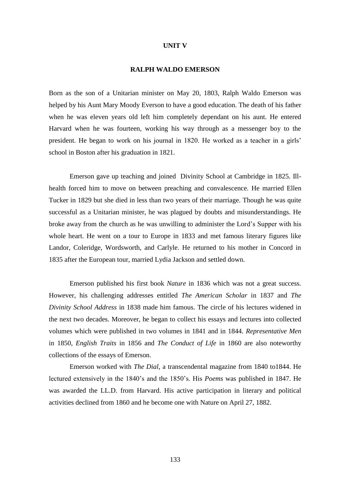#### **UNIT V**

#### **RALPH WALDO EMERSON**

Born as the son of a Unitarian minister on May 20, 1803, Ralph Waldo Emerson was helped by his Aunt Mary Moody Everson to have a good education. The death of his father when he was eleven years old left him completely dependant on his aunt. He entered Harvard when he was fourteen, working his way through as a messenger boy to the president. He began to work on his journal in 1820. He worked as a teacher in a girls' school in Boston after his graduation in 1821.

Emerson gave up teaching and joined Divinity School at Cambridge in 1825. Illhealth forced him to move on between preaching and convalescence. He married Ellen Tucker in 1829 but she died in less than two years of their marriage. Though he was quite successful as a Unitarian minister, he was plagued by doubts and misunderstandings. He broke away from the church as he was unwilling to administer the Lord's Supper with his whole heart. He went on a tour to Europe in 1833 and met famous literary figures like Landor, Coleridge, Wordsworth, and Carlyle. He returned to his mother in Concord in 1835 after the European tour, married Lydia Jackson and settled down.

Emerson published his first book *Nature* in 1836 which was not a great success. However, his challenging addresses entitled *The American Scholar* in 1837 and *The Divinity School Address* in 1838 made him famous. The circle of his lectures widened in the next two decades. Moreover, he began to collect his essays and lectures into collected volumes which were published in two volumes in 1841 and in 1844. *Representative Men* in 1850, *English Traits* in 1856 and *The Conduct of Life* in 1860 are also noteworthy collections of the essays of Emerson.

Emerson worked with *The Dial*, a transcendental magazine from 1840 to1844. He lectured extensively in the 1840's and the 1850's. His *Poems* was published in 1847. He was awarded the LL.D. from Harvard. His active participation in literary and political activities declined from 1860 and he become one with Nature on April 27, 1882.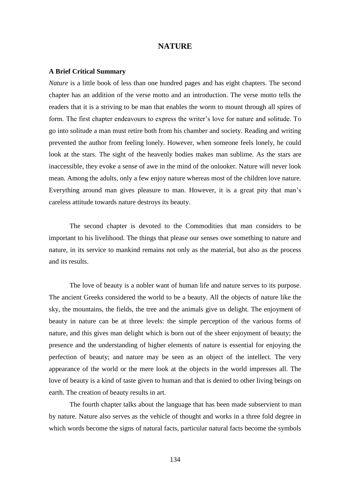### **NATURE**

#### **A Brief Critical Summary**

*Nature* is a little book of less than one hundred pages and has eight chapters. The second chapter has an addition of the verse motto and an introduction. The verse motto tells the readers that it is a striving to be man that enables the worm to mount through all spires of form. The first chapter endeavours to express the writer's love for nature and solitude. To go into solitude a man must retire both from his chamber and society. Reading and writing prevented the author from feeling lonely. However, when someone feels lonely, he could look at the stars. The sight of the heavenly bodies makes man sublime. As the stars are inaccessible, they evoke a sense of awe in the mind of the onlooker. Nature will never look mean. Among the adults, only a few enjoy nature whereas most of the children love nature. Everything around man gives pleasure to man. However, it is a great pity that man's careless attitude towards nature destroys its beauty.

The second chapter is devoted to the Commodities that man considers to be important to his livelihood. The things that please our senses owe something to nature and nature, in its service to mankind remains not only as the material, but also as the process and its results.

The love of beauty is a nobler want of human life and nature serves to its purpose. The ancient Greeks considered the world to be a beauty. All the objects of nature like the sky, the mountains, the fields, the tree and the animals give us delight. The enjoyment of beauty in nature can be at three levels: the simple perception of the various forms of nature, and this gives man delight which is born out of the sheer enjoyment of beauty; the presence and the understanding of higher elements of nature is essential for enjoying the perfection of beauty; and nature may be seen as an object of the intellect. The very appearance of the world or the mere look at the objects in the world impresses all. The love of beauty is a kind of taste given to human and that is denied to other living beings on earth. The creation of beauty results in art.

The fourth chapter talks about the language that has been made subservient to man by nature. Nature also serves as the vehicle of thought and works in a three fold degree in which words become the signs of natural facts, particular natural facts become the symbols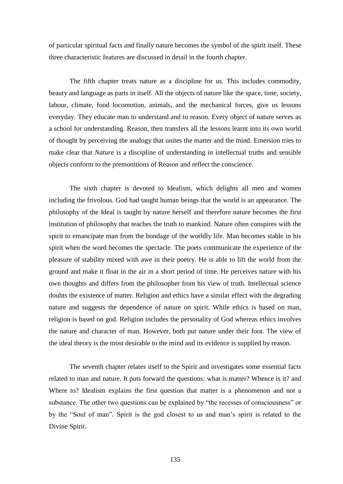of particular spiritual facts and finally nature becomes the symbol of the spirit itself. These three characteristic features are discussed in detail in the fourth chapter.

The fifth chapter treats nature as a discipline for us. This includes commodity, beauty and language as parts in itself. All the objects of nature like the space, time, society, labour, climate, food locomotion, animals, and the mechanical forces, give us lessons everyday. They educate man to understand and to reason. Every object of nature serves as a school for understanding. Reason, then transfers all the lessons learnt into its own world of thought by perceiving the analogy that unites the matter and the mind. Emersion tries to make clear that *Nature* is a discipline of understanding in intellectual truths and sensible objects conform to the premonitions of Reason and reflect the conscience.

The sixth chapter is devoted to Idealism, which delights all men and women including the frivolous. God had taught human beings that the world is an appearance. The philosophy of the Ideal is taught by nature herself and therefore nature becomes the first institution of philosophy that teaches the truth to mankind. Nature often conspires with the spirit to emancipate man from the bondage of the worldly life. Man becomes stable in his spirit when the word becomes the spectacle. The poets communicate the experience of the pleasure of stability mixed with awe in their poetry. He is able to lift the world from the ground and make it float in the air in a short period of time. He perceives nature with his own thoughts and differs from the philosopher from his view of truth. Intellectual science doubts the existence of matter. Religion and ethics have a similar effect with the degrading nature and suggests the dependence of nature on spirit. While ethics is based on man, religion is based on god. Religion includes the personality of God whereas ethics involves the nature and character of man. However, both put nature under their foot. The view of the ideal theory is the most desirable to the mind and its evidence is supplied by reason.

The seventh chapter relates itself to the Spirit and investigates some essential facts related to man and nature. It puts forward the questions: what is matter? Whence is it? and Where to? Idealism explains the first question that matter is a phenomenon and not a substance. The other two questions can be explained by "the recesses of consciousness" or by the "Soul of man". Spirit is the god closest to us and man's spirit is related to the Divine Spirit.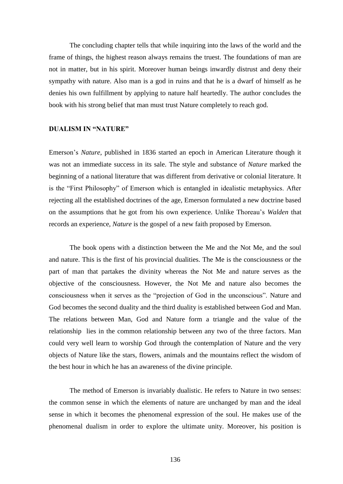The concluding chapter tells that while inquiring into the laws of the world and the frame of things, the highest reason always remains the truest. The foundations of man are not in matter, but in his spirit. Moreover human beings inwardly distrust and deny their sympathy with nature. Also man is a god in ruins and that he is a dwarf of himself as he denies his own fulfillment by applying to nature half heartedly. The author concludes the book with his strong belief that man must trust Nature completely to reach god.

### **DUALISM IN "NATURE"**

Emerson's *Nature*, published in 1836 started an epoch in American Literature though it was not an immediate success in its sale. The style and substance of *Nature* marked the beginning of a national literature that was different from derivative or colonial literature. It is the "First Philosophy" of Emerson which is entangled in idealistic metaphysics. After rejecting all the established doctrines of the age, Emerson formulated a new doctrine based on the assumptions that he got from his own experience. Unlike Thoreau's *Walden* that records an experience, *Nature* is the gospel of a new faith proposed by Emerson.

The book opens with a distinction between the Me and the Not Me, and the soul and nature. This is the first of his provincial dualities. The Me is the consciousness or the part of man that partakes the divinity whereas the Not Me and nature serves as the objective of the consciousness. However, the Not Me and nature also becomes the consciousness when it serves as the "projection of God in the unconscious". Nature and God becomes the second duality and the third duality is established between God and Man. The relations between Man, God and Nature form a triangle and the value of the relationship lies in the common relationship between any two of the three factors. Man could very well learn to worship God through the contemplation of Nature and the very objects of Nature like the stars, flowers, animals and the mountains reflect the wisdom of the best hour in which he has an awareness of the divine principle.

The method of Emerson is invariably dualistic. He refers to Nature in two senses: the common sense in which the elements of nature are unchanged by man and the ideal sense in which it becomes the phenomenal expression of the soul. He makes use of the phenomenal dualism in order to explore the ultimate unity. Moreover, his position is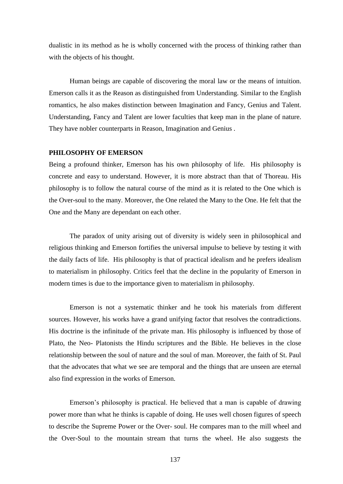dualistic in its method as he is wholly concerned with the process of thinking rather than with the objects of his thought.

Human beings are capable of discovering the moral law or the means of intuition. Emerson calls it as the Reason as distinguished from Understanding. Similar to the English romantics, he also makes distinction between Imagination and Fancy, Genius and Talent. Understanding, Fancy and Talent are lower faculties that keep man in the plane of nature. They have nobler counterparts in Reason, Imagination and Genius .

### **PHILOSOPHY OF EMERSON**

Being a profound thinker, Emerson has his own philosophy of life. His philosophy is concrete and easy to understand. However, it is more abstract than that of Thoreau. His philosophy is to follow the natural course of the mind as it is related to the One which is the Over-soul to the many. Moreover, the One related the Many to the One. He felt that the One and the Many are dependant on each other.

The paradox of unity arising out of diversity is widely seen in philosophical and religious thinking and Emerson fortifies the universal impulse to believe by testing it with the daily facts of life. His philosophy is that of practical idealism and he prefers idealism to materialism in philosophy. Critics feel that the decline in the popularity of Emerson in modern times is due to the importance given to materialism in philosophy.

Emerson is not a systematic thinker and he took his materials from different sources. However, his works have a grand unifying factor that resolves the contradictions. His doctrine is the infinitude of the private man. His philosophy is influenced by those of Plato, the Neo- Platonists the Hindu scriptures and the Bible. He believes in the close relationship between the soul of nature and the soul of man. Moreover, the faith of St. Paul that the advocates that what we see are temporal and the things that are unseen are eternal also find expression in the works of Emerson.

Emerson's philosophy is practical. He believed that a man is capable of drawing power more than what he thinks is capable of doing. He uses well chosen figures of speech to describe the Supreme Power or the Over- soul. He compares man to the mill wheel and the Over-Soul to the mountain stream that turns the wheel. He also suggests the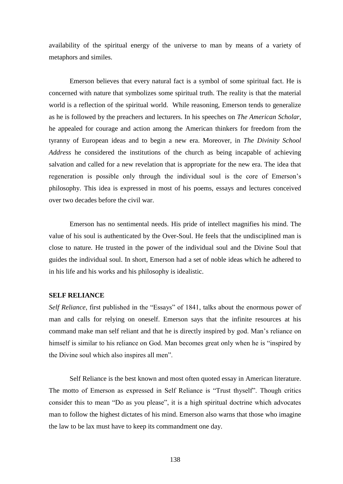availability of the spiritual energy of the universe to man by means of a variety of metaphors and similes.

Emerson believes that every natural fact is a symbol of some spiritual fact. He is concerned with nature that symbolizes some spiritual truth. The reality is that the material world is a reflection of the spiritual world. While reasoning, Emerson tends to generalize as he is followed by the preachers and lecturers. In his speeches on *The American Scholar*, he appealed for courage and action among the American thinkers for freedom from the tyranny of European ideas and to begin a new era. Moreover, in *The Divinity School Address* he considered the institutions of the church as being incapable of achieving salvation and called for a new revelation that is appropriate for the new era. The idea that regeneration is possible only through the individual soul is the core of Emerson's philosophy. This idea is expressed in most of his poems, essays and lectures conceived over two decades before the civil war.

Emerson has no sentimental needs. His pride of intellect magnifies his mind. The value of his soul is authenticated by the Over-Soul. He feels that the undisciplined man is close to nature. He trusted in the power of the individual soul and the Divine Soul that guides the individual soul. In short, Emerson had a set of noble ideas which he adhered to in his life and his works and his philosophy is idealistic.

### **SELF RELIANCE**

*Self Reliance*, first published in the "Essays" of 1841, talks about the enormous power of man and calls for relying on oneself. Emerson says that the infinite resources at his command make man self reliant and that he is directly inspired by god. Man's reliance on himself is similar to his reliance on God. Man becomes great only when he is "inspired by the Divine soul which also inspires all men".

Self Reliance is the best known and most often quoted essay in American literature. The motto of Emerson as expressed in Self Reliance is "Trust thyself". Though critics consider this to mean "Do as you please", it is a high spiritual doctrine which advocates man to follow the highest dictates of his mind. Emerson also warns that those who imagine the law to be lax must have to keep its commandment one day.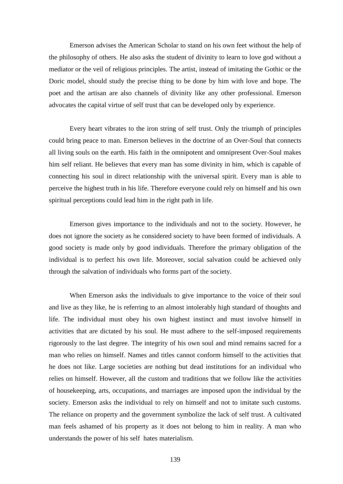Emerson advises the American Scholar to stand on his own feet without the help of the philosophy of others. He also asks the student of divinity to learn to love god without a mediator or the veil of religious principles. The artist, instead of imitating the Gothic or the Doric model, should study the precise thing to be done by him with love and hope. The poet and the artisan are also channels of divinity like any other professional. Emerson advocates the capital virtue of self trust that can be developed only by experience.

Every heart vibrates to the iron string of self trust. Only the triumph of principles could bring peace to man. Emerson believes in the doctrine of an Over-Soul that connects all living souls on the earth. His faith in the omnipotent and omnipresent Over-Soul makes him self reliant. He believes that every man has some divinity in him, which is capable of connecting his soul in direct relationship with the universal spirit. Every man is able to perceive the highest truth in his life. Therefore everyone could rely on himself and his own spiritual perceptions could lead him in the right path in life.

Emerson gives importance to the individuals and not to the society. However, he does not ignore the society as he considered society to have been formed of individuals. A good society is made only by good individuals. Therefore the primary obligation of the individual is to perfect his own life. Moreover, social salvation could be achieved only through the salvation of individuals who forms part of the society.

When Emerson asks the individuals to give importance to the voice of their soul and live as they like, he is referring to an almost intolerably high standard of thoughts and life. The individual must obey his own highest instinct and must involve himself in activities that are dictated by his soul. He must adhere to the self-imposed requirements rigorously to the last degree. The integrity of his own soul and mind remains sacred for a man who relies on himself. Names and titles cannot conform himself to the activities that he does not like. Large societies are nothing but dead institutions for an individual who relies on himself. However, all the custom and traditions that we follow like the activities of housekeeping, arts, occupations, and marriages are imposed upon the individual by the society. Emerson asks the individual to rely on himself and not to imitate such customs. The reliance on property and the government symbolize the lack of self trust. A cultivated man feels ashamed of his property as it does not belong to him in reality. A man who understands the power of his self hates materialism.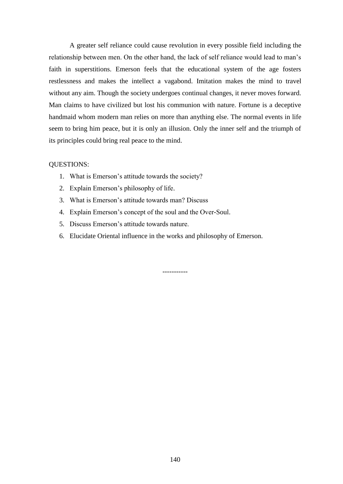A greater self reliance could cause revolution in every possible field including the relationship between men. On the other hand, the lack of self reliance would lead to man's faith in superstitions. Emerson feels that the educational system of the age fosters restlessness and makes the intellect a vagabond. Imitation makes the mind to travel without any aim. Though the society undergoes continual changes, it never moves forward. Man claims to have civilized but lost his communion with nature. Fortune is a deceptive handmaid whom modern man relies on more than anything else. The normal events in life seem to bring him peace, but it is only an illusion. Only the inner self and the triumph of its principles could bring real peace to the mind.

### QUESTIONS:

- 1. What is Emerson's attitude towards the society?
- 2. Explain Emerson's philosophy of life.
- 3. What is Emerson's attitude towards man? Discuss
- 4. Explain Emerson's concept of the soul and the Over-Soul.
- 5. Discuss Emerson's attitude towards nature.
- 6. Elucidate Oriental influence in the works and philosophy of Emerson.

-----------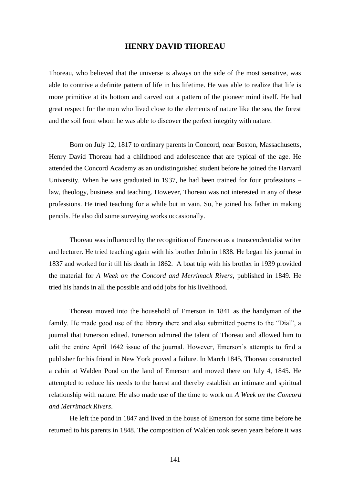# **HENRY DAVID THOREAU**

Thoreau, who believed that the universe is always on the side of the most sensitive, was able to contrive a definite pattern of life in his lifetime. He was able to realize that life is more primitive at its bottom and carved out a pattern of the pioneer mind itself. He had great respect for the men who lived close to the elements of nature like the sea, the forest and the soil from whom he was able to discover the perfect integrity with nature.

Born on July 12, 1817 to ordinary parents in Concord, near Boston, Massachusetts, Henry David Thoreau had a childhood and adolescence that are typical of the age. He attended the Concord Academy as an undistinguished student before he joined the Harvard University. When he was graduated in 1937, he had been trained for four professions – law, theology, business and teaching. However, Thoreau was not interested in any of these professions. He tried teaching for a while but in vain. So, he joined his father in making pencils. He also did some surveying works occasionally.

Thoreau was influenced by the recognition of Emerson as a transcendentalist writer and lecturer. He tried teaching again with his brother John in 1838. He began his journal in 1837 and worked for it till his death in 1862. A boat trip with his brother in 1939 provided the material for *A Week on the Concord and Merrimack Rivers*, published in 1849. He tried his hands in all the possible and odd jobs for his livelihood.

Thoreau moved into the household of Emerson in 1841 as the handyman of the family. He made good use of the library there and also submitted poems to the "Dial", a journal that Emerson edited. Emerson admired the talent of Thoreau and allowed him to edit the entire April 1642 issue of the journal. However, Emerson's attempts to find a publisher for his friend in New York proved a failure. In March 1845, Thoreau constructed a cabin at Walden Pond on the land of Emerson and moved there on July 4, 1845. He attempted to reduce his needs to the barest and thereby establish an intimate and spiritual relationship with nature. He also made use of the time to work on *A Week on the Concord and Merrimack Rivers*.

He left the pond in 1847 and lived in the house of Emerson for some time before he returned to his parents in 1848. The composition of Walden took seven years before it was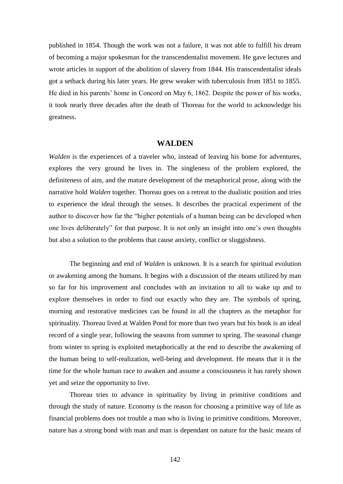published in 1854. Though the work was not a failure, it was not able to fulfill his dream of becoming a major spokesman for the transcendentalist movement. He gave lectures and wrote articles in support of the abolition of slavery from 1844. His transcendentalist ideals got a setback during his later years. He grew weaker with tuberculosis from 1851 to 1855. He died in his parents' home in Concord on May 6, 1862. Despite the power of his works, it took nearly three decades after the death of Thoreau for the world to acknowledge his greatness.

### **WALDEN**

*Walden* is the experiences of a traveler who, instead of leaving his home for adventures, explores the very ground he lives in. The singleness of the problem explored, the definiteness of aim, and the mature development of the metaphorical prose, along with the narrative hold *Walden* together. Thoreau goes on a retreat to the dualistic position and tries to experience the ideal through the senses. It describes the practical experiment of the author to discover how far the "higher potentials of a human being can be developed when one lives deliberately" for that purpose. It is not only an insight into one's own thoughts but also a solution to the problems that cause anxiety, conflict or sluggishness.

The beginning and end of *Walden* is unknown. It is a search for spiritual evolution or awakening among the humans. It begins with a discussion of the means utilized by man so far for his improvement and concludes with an invitation to all to wake up and to explore themselves in order to find out exactly who they are. The symbols of spring, morning and restorative medicines can be found in all the chapters as the metaphor for spirituality. Thoreau lived at Walden Pond for more than two years but his book is an ideal record of a single year, following the seasons from summer to spring. The seasonal change from winter to spring is exploited metaphorically at the end to describe the awakening of the human being to self-realization, well-being and development. He means that it is the time for the whole human race to awaken and assume a consciousness it has rarely shown yet and seize the opportunity to live.

Thoreau tries to advance in spirituality by living in primitive conditions and through the study of nature. Economy is the reason for choosing a primitive way of life as financial problems does not trouble a man who is living in primitive conditions. Moreover, nature has a strong bond with man and man is dependant on nature for the basic means of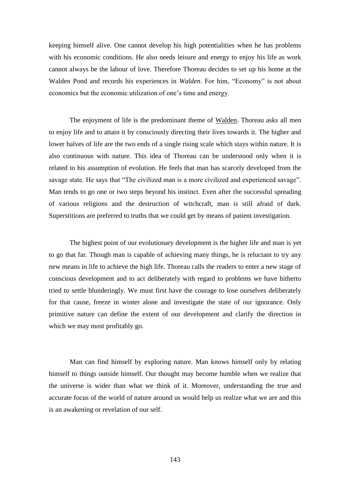keeping himself alive. One cannot develop his high potentialities when he has problems with his economic conditions. He also needs leisure and energy to enjoy his life as work cannot always be the labour of love. Therefore Thoreau decides to set up his home at the Walden Pond and records his experiences in *Walden*. For him, "Economy" is not about economics but the economic utilization of one's time and energy.

The enjoyment of life is the predominant theme of Walden. Thoreau asks all men to enjoy life and to attain it by consciously directing their lives towards it. The higher and lower halves of life are the two ends of a single rising scale which stays within nature. It is also continuous with nature. This idea of Thoreau can be understood only when it is related to his assumption of evolution. He feels that man has scarcely developed from the savage state. He says that "The civilized man is a more civilized and experienced savage". Man tends to go one or two steps beyond his instinct. Even after the successful spreading of various religions and the destruction of witchcraft, man is still afraid of dark. Superstitions are preferred to truths that we could get by means of patient investigation.

The highest point of our evolutionary development is the higher life and man is yet to go that far. Though man is capable of achieving many things, he is reluctant to try any new means in life to achieve the high life. Thoreau calls the readers to enter a new stage of conscious development and to act deliberately with regard to problems we have hitherto tried to settle blunderingly. We must first have the courage to lose ourselves deliberately for that cause, freeze in winter alone and investigate the state of our ignorance. Only primitive nature can define the extent of our development and clarify the direction in which we may most profitably go.

Man can find himself by exploring nature. Man knows himself only by relating himself to things outside himself. Our thought may become humble when we realize that the universe is wider than what we think of it. Moreover, understanding the true and accurate focus of the world of nature around us would help us realize what we are and this is an awakening or revelation of our self.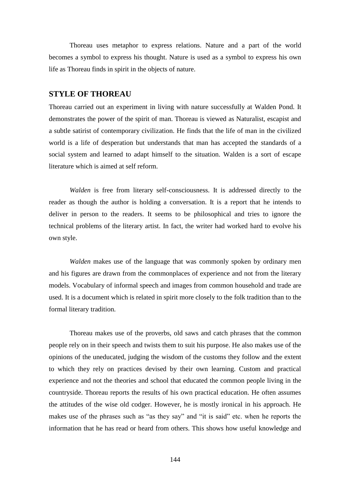Thoreau uses metaphor to express relations. Nature and a part of the world becomes a symbol to express his thought. Nature is used as a symbol to express his own life as Thoreau finds in spirit in the objects of nature.

## **STYLE OF THOREAU**

Thoreau carried out an experiment in living with nature successfully at Walden Pond. It demonstrates the power of the spirit of man. Thoreau is viewed as Naturalist, escapist and a subtle satirist of contemporary civilization. He finds that the life of man in the civilized world is a life of desperation but understands that man has accepted the standards of a social system and learned to adapt himself to the situation. Walden is a sort of escape literature which is aimed at self reform.

*Walden* is free from literary self-consciousness. It is addressed directly to the reader as though the author is holding a conversation. It is a report that he intends to deliver in person to the readers. It seems to be philosophical and tries to ignore the technical problems of the literary artist. In fact, the writer had worked hard to evolve his own style.

*Walden* makes use of the language that was commonly spoken by ordinary men and his figures are drawn from the commonplaces of experience and not from the literary models. Vocabulary of informal speech and images from common household and trade are used. It is a document which is related in spirit more closely to the folk tradition than to the formal literary tradition.

Thoreau makes use of the proverbs, old saws and catch phrases that the common people rely on in their speech and twists them to suit his purpose. He also makes use of the opinions of the uneducated, judging the wisdom of the customs they follow and the extent to which they rely on practices devised by their own learning. Custom and practical experience and not the theories and school that educated the common people living in the countryside. Thoreau reports the results of his own practical education. He often assumes the attitudes of the wise old codger. However, he is mostly ironical in his approach. He makes use of the phrases such as "as they say" and "it is said" etc. when he reports the information that he has read or heard from others. This shows how useful knowledge and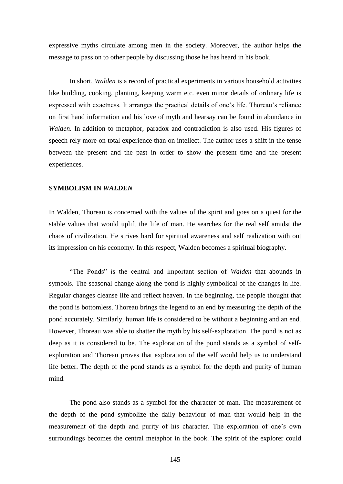expressive myths circulate among men in the society. Moreover, the author helps the message to pass on to other people by discussing those he has heard in his book.

In short, *Walden* is a record of practical experiments in various household activities like building, cooking, planting, keeping warm etc. even minor details of ordinary life is expressed with exactness. It arranges the practical details of one's life. Thoreau's reliance on first hand information and his love of myth and hearsay can be found in abundance in *Walden*. In addition to metaphor, paradox and contradiction is also used. His figures of speech rely more on total experience than on intellect. The author uses a shift in the tense between the present and the past in order to show the present time and the present experiences.

## **SYMBOLISM IN** *WALDEN*

In Walden, Thoreau is concerned with the values of the spirit and goes on a quest for the stable values that would uplift the life of man. He searches for the real self amidst the chaos of civilization. He strives hard for spiritual awareness and self realization with out its impression on his economy. In this respect, Walden becomes a spiritual biography.

"The Ponds" is the central and important section of *Walden* that abounds in symbols. The seasonal change along the pond is highly symbolical of the changes in life. Regular changes cleanse life and reflect heaven. In the beginning, the people thought that the pond is bottomless. Thoreau brings the legend to an end by measuring the depth of the pond accurately. Similarly, human life is considered to be without a beginning and an end. However, Thoreau was able to shatter the myth by his self-exploration. The pond is not as deep as it is considered to be. The exploration of the pond stands as a symbol of selfexploration and Thoreau proves that exploration of the self would help us to understand life better. The depth of the pond stands as a symbol for the depth and purity of human mind.

The pond also stands as a symbol for the character of man. The measurement of the depth of the pond symbolize the daily behaviour of man that would help in the measurement of the depth and purity of his character. The exploration of one's own surroundings becomes the central metaphor in the book. The spirit of the explorer could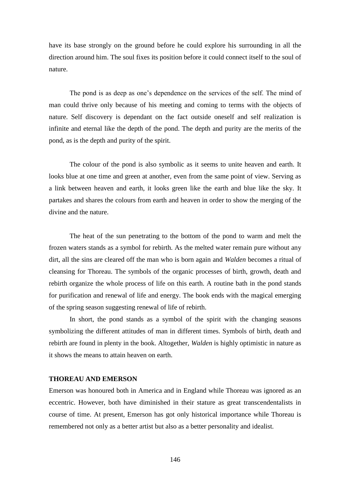have its base strongly on the ground before he could explore his surrounding in all the direction around him. The soul fixes its position before it could connect itself to the soul of nature.

The pond is as deep as one's dependence on the services of the self. The mind of man could thrive only because of his meeting and coming to terms with the objects of nature. Self discovery is dependant on the fact outside oneself and self realization is infinite and eternal like the depth of the pond. The depth and purity are the merits of the pond, as is the depth and purity of the spirit.

The colour of the pond is also symbolic as it seems to unite heaven and earth. It looks blue at one time and green at another, even from the same point of view. Serving as a link between heaven and earth, it looks green like the earth and blue like the sky. It partakes and shares the colours from earth and heaven in order to show the merging of the divine and the nature.

The heat of the sun penetrating to the bottom of the pond to warm and melt the frozen waters stands as a symbol for rebirth. As the melted water remain pure without any dirt, all the sins are cleared off the man who is born again and *Walden* becomes a ritual of cleansing for Thoreau. The symbols of the organic processes of birth, growth, death and rebirth organize the whole process of life on this earth. A routine bath in the pond stands for purification and renewal of life and energy. The book ends with the magical emerging of the spring season suggesting renewal of life of rebirth.

In short, the pond stands as a symbol of the spirit with the changing seasons symbolizing the different attitudes of man in different times. Symbols of birth, death and rebirth are found in plenty in the book. Altogether, *Walden* is highly optimistic in nature as it shows the means to attain heaven on earth.

## **THOREAU AND EMERSON**

Emerson was honoured both in America and in England while Thoreau was ignored as an eccentric. However, both have diminished in their stature as great transcendentalists in course of time. At present, Emerson has got only historical importance while Thoreau is remembered not only as a better artist but also as a better personality and idealist.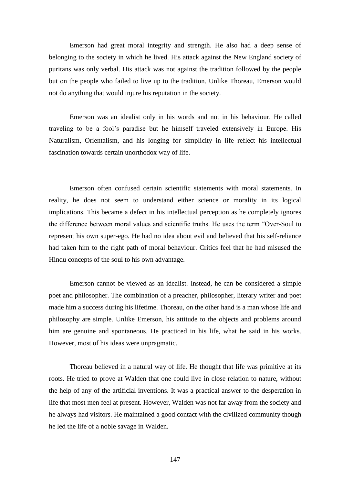Emerson had great moral integrity and strength. He also had a deep sense of belonging to the society in which he lived. His attack against the New England society of puritans was only verbal. His attack was not against the tradition followed by the people but on the people who failed to live up to the tradition. Unlike Thoreau, Emerson would not do anything that would injure his reputation in the society.

Emerson was an idealist only in his words and not in his behaviour. He called traveling to be a fool's paradise but he himself traveled extensively in Europe. His Naturalism, Orientalism, and his longing for simplicity in life reflect his intellectual fascination towards certain unorthodox way of life.

Emerson often confused certain scientific statements with moral statements. In reality, he does not seem to understand either science or morality in its logical implications. This became a defect in his intellectual perception as he completely ignores the difference between moral values and scientific truths. He uses the term "Over-Soul to represent his own super-ego. He had no idea about evil and believed that his self-reliance had taken him to the right path of moral behaviour. Critics feel that he had misused the Hindu concepts of the soul to his own advantage.

Emerson cannot be viewed as an idealist. Instead, he can be considered a simple poet and philosopher. The combination of a preacher, philosopher, literary writer and poet made him a success during his lifetime. Thoreau, on the other hand is a man whose life and philosophy are simple. Unlike Emerson, his attitude to the objects and problems around him are genuine and spontaneous. He practiced in his life, what he said in his works. However, most of his ideas were unpragmatic.

Thoreau believed in a natural way of life. He thought that life was primitive at its roots. He tried to prove at Walden that one could live in close relation to nature, without the help of any of the artificial inventions. It was a practical answer to the desperation in life that most men feel at present. However, Walden was not far away from the society and he always had visitors. He maintained a good contact with the civilized community though he led the life of a noble savage in Walden.